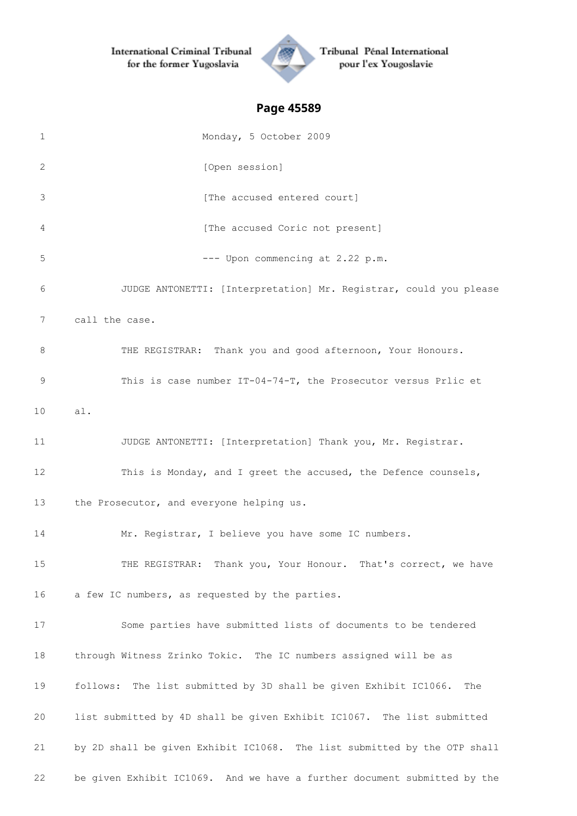International Criminal Tribunal for the former Yugoslavia



Tribunal Pénal International pour l'ex Yougoslavie

# **Page 45589**

| $\mathbf 1$ | Monday, 5 October 2009                                                     |
|-------------|----------------------------------------------------------------------------|
| 2           | [Open session]                                                             |
| 3           | [The accused entered court]                                                |
| 4           | [The accused Coric not present]                                            |
| 5           | --- Upon commencing at 2.22 p.m.                                           |
| 6           | JUDGE ANTONETTI: [Interpretation] Mr. Registrar, could you please          |
| 7           | call the case.                                                             |
| 8           | THE REGISTRAR: Thank you and good afternoon, Your Honours.                 |
| 9           | This is case number IT-04-74-T, the Prosecutor versus Prlic et             |
| 10          | al.                                                                        |
| 11          | JUDGE ANTONETTI: [Interpretation] Thank you, Mr. Registrar.                |
| 12          | This is Monday, and I greet the accused, the Defence counsels,             |
| 13          | the Prosecutor, and everyone helping us.                                   |
| 14          | Mr. Registrar, I believe you have some IC numbers.                         |
| 15          | THE REGISTRAR: Thank you, Your Honour. That's correct, we have             |
| 16          | a few IC numbers, as requested by the parties.                             |
| 17          | Some parties have submitted lists of documents to be tendered              |
| 18          | through Witness Zrinko Tokic. The IC numbers assigned will be as           |
| 19          | The list submitted by 3D shall be given Exhibit IC1066.<br>follows:<br>The |
| 20          | list submitted by 4D shall be given Exhibit IC1067. The list submitted     |
| 21          | by 2D shall be given Exhibit IC1068. The list submitted by the OTP shall   |
| 22          | be given Exhibit IC1069. And we have a further document submitted by the   |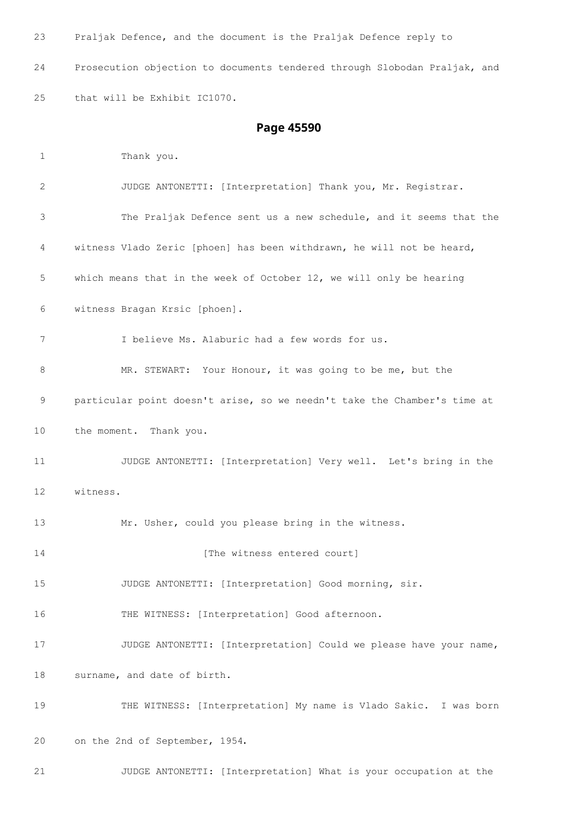Praljak Defence, and the document is the Praljak Defence reply to

 Prosecution objection to documents tendered through Slobodan Praljak, and that will be Exhibit IC1070.

## **Page 45590**

 Thank you. JUDGE ANTONETTI: [Interpretation] Thank you, Mr. Registrar. The Praljak Defence sent us a new schedule, and it seems that the witness Vlado Zeric [phoen] has been withdrawn, he will not be heard, which means that in the week of October 12, we will only be hearing witness Bragan Krsic [phoen]. I believe Ms. Alaburic had a few words for us. MR. STEWART: Your Honour, it was going to be me, but the particular point doesn't arise, so we needn't take the Chamber's time at the moment. Thank you. JUDGE ANTONETTI: [Interpretation] Very well. Let's bring in the witness. Mr. Usher, could you please bring in the witness. **Interval** [The witness entered court] JUDGE ANTONETTI: [Interpretation] Good morning, sir. 16 THE WITNESS: [Interpretation] Good afternoon. 17 JUDGE ANTONETTI: [Interpretation] Could we please have your name, surname, and date of birth. THE WITNESS: [Interpretation] My name is Vlado Sakic. I was born on the 2nd of September, 1954. JUDGE ANTONETTI: [Interpretation] What is your occupation at the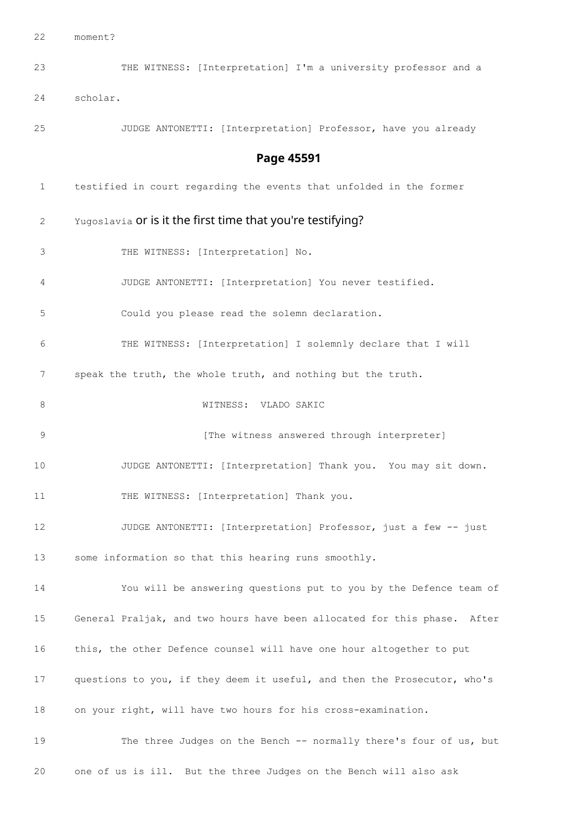moment?

 THE WITNESS: [Interpretation] I'm a university professor and a scholar. JUDGE ANTONETTI: [Interpretation] Professor, have you already **Page 45591** testified in court regarding the events that unfolded in the former 2 Yugoslavia or is it the first time that you're testifying? THE WITNESS: [Interpretation] No. JUDGE ANTONETTI: [Interpretation] You never testified. Could you please read the solemn declaration. THE WITNESS: [Interpretation] I solemnly declare that I will speak the truth, the whole truth, and nothing but the truth. WITNESS: VLADO SAKIC **12 [The witness answered through interpreter]**  JUDGE ANTONETTI: [Interpretation] Thank you. You may sit down. 11 THE WITNESS: [Interpretation] Thank you. JUDGE ANTONETTI: [Interpretation] Professor, just a few -- just some information so that this hearing runs smoothly. You will be answering questions put to you by the Defence team of General Praljak, and two hours have been allocated for this phase. After this, the other Defence counsel will have one hour altogether to put questions to you, if they deem it useful, and then the Prosecutor, who's on your right, will have two hours for his cross-examination. 19 The three Judges on the Bench -- normally there's four of us, but

one of us is ill. But the three Judges on the Bench will also ask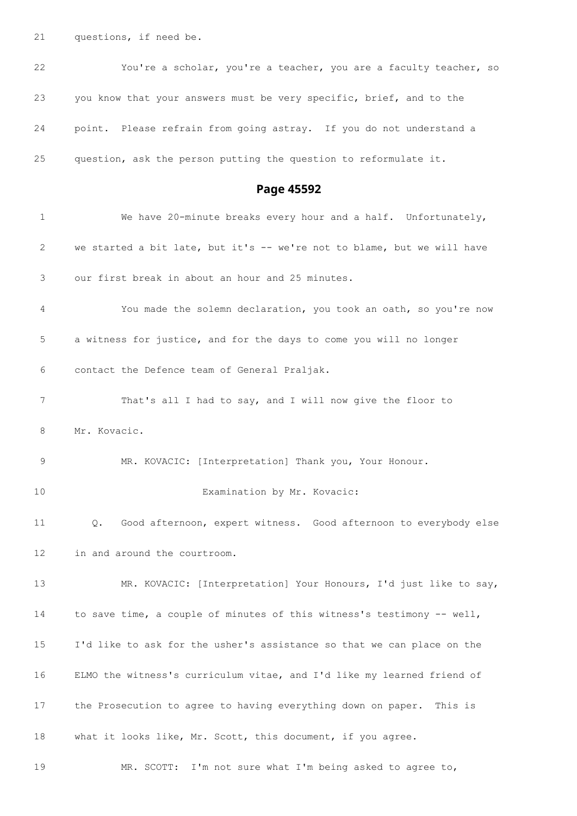questions, if need be.

| 22 | You're a scholar, you're a teacher, you are a faculty teacher, so   |
|----|---------------------------------------------------------------------|
| 23 | you know that your answers must be very specific, brief, and to the |
| 24 | point. Please refrain from going astray. If you do not understand a |
| 25 | question, ask the person putting the question to reformulate it.    |

**Page 45592**

| 1  | We have 20-minute breaks every hour and a half. Unfortunately,          |
|----|-------------------------------------------------------------------------|
| 2  | we started a bit late, but it's -- we're not to blame, but we will have |
| 3  | our first break in about an hour and 25 minutes.                        |
| 4  | You made the solemn declaration, you took an oath, so you're now        |
| 5  | a witness for justice, and for the days to come you will no longer      |
| 6  | contact the Defence team of General Praljak.                            |
| 7  | That's all I had to say, and I will now give the floor to               |
| 8  | Mr. Kovacic.                                                            |
| 9  | MR. KOVACIC: [Interpretation] Thank you, Your Honour.                   |
| 10 | Examination by Mr. Kovacic:                                             |
| 11 | Good afternoon, expert witness. Good afternoon to everybody else<br>Q.  |
| 12 | in and around the courtroom.                                            |
| 13 | MR. KOVACIC: [Interpretation] Your Honours, I'd just like to say,       |
| 14 | to save time, a couple of minutes of this witness's testimony -- well,  |
| 15 | I'd like to ask for the usher's assistance so that we can place on the  |
| 16 | ELMO the witness's curriculum vitae, and I'd like my learned friend of  |
| 17 | the Prosecution to agree to having everything down on paper. This is    |
| 18 | what it looks like, Mr. Scott, this document, if you agree.             |
| 19 | MR. SCOTT: I'm not sure what I'm being asked to agree to,               |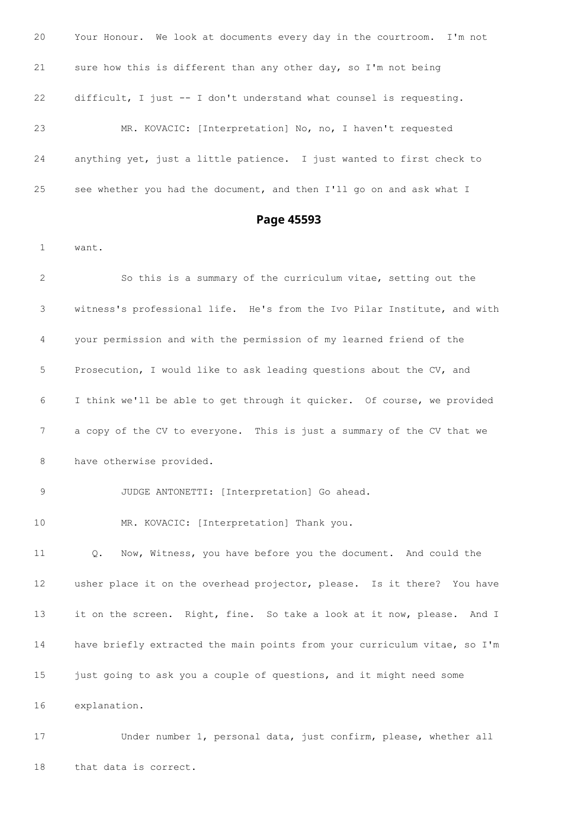| 20 | Your Honour. We look at documents every day in the courtroom. I'm not |
|----|-----------------------------------------------------------------------|
| 21 | sure how this is different than any other day, so I'm not being       |
| 22 | difficult, I just $-$ I don't understand what counsel is requesting.  |
| 23 | MR. KOVACIC: [Interpretation] No, no, I haven't requested             |
| 24 | anything yet, just a little patience. I just wanted to first check to |
| 25 | see whether you had the document, and then I'll go on and ask what I  |

# **Page 45593**

want.

 So this is a summary of the curriculum vitae, setting out the witness's professional life. He's from the Ivo Pilar Institute, and with your permission and with the permission of my learned friend of the Prosecution, I would like to ask leading questions about the CV, and I think we'll be able to get through it quicker. Of course, we provided a copy of the CV to everyone. This is just a summary of the CV that we 8 have otherwise provided. JUDGE ANTONETTI: [Interpretation] Go ahead. MR. KOVACIC: [Interpretation] Thank you. Q. Now, Witness, you have before you the document. And could the usher place it on the overhead projector, please. Is it there? You have it on the screen. Right, fine. So take a look at it now, please. And I have briefly extracted the main points from your curriculum vitae, so I'm 15 just going to ask you a couple of questions, and it might need some explanation.

 Under number 1, personal data, just confirm, please, whether all that data is correct.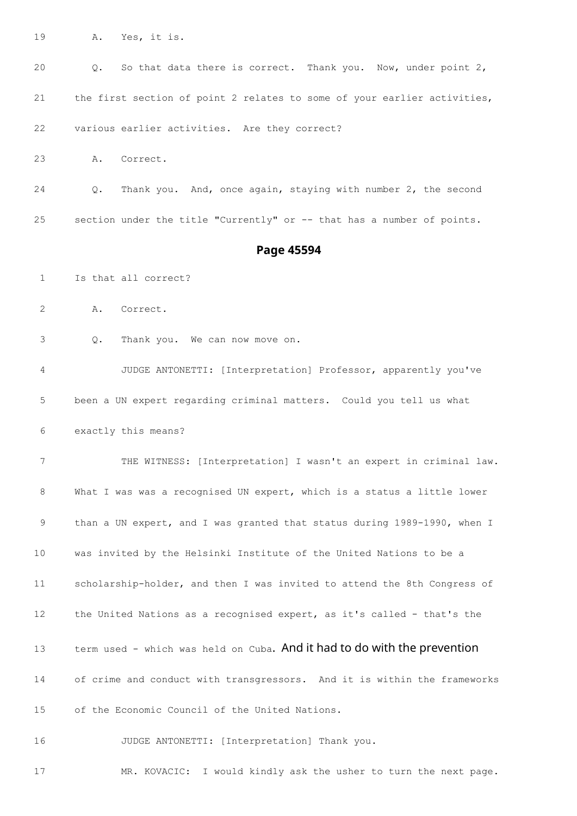A. Yes, it is.

 Q. So that data there is correct. Thank you. Now, under point 2, the first section of point 2 relates to some of your earlier activities, various earlier activities. Are they correct? A. Correct. Q. Thank you. And, once again, staying with number 2, the second section under the title "Currently" or -- that has a number of points. **Page 45594** Is that all correct? A. Correct. Q. Thank you. We can now move on. JUDGE ANTONETTI: [Interpretation] Professor, apparently you've been a UN expert regarding criminal matters. Could you tell us what exactly this means? THE WITNESS: [Interpretation] I wasn't an expert in criminal law. What I was was a recognised UN expert, which is a status a little lower 9 than a UN expert, and I was granted that status during 1989-1990, when I was invited by the Helsinki Institute of the United Nations to be a scholarship-holder, and then I was invited to attend the 8th Congress of 12 the United Nations as a recognised expert, as it's called - that's the 13 term used - which was held on Cuba. And it had to do with the prevention of crime and conduct with transgressors. And it is within the frameworks of the Economic Council of the United Nations.

JUDGE ANTONETTI: [Interpretation] Thank you.

MR. KOVACIC: I would kindly ask the usher to turn the next page.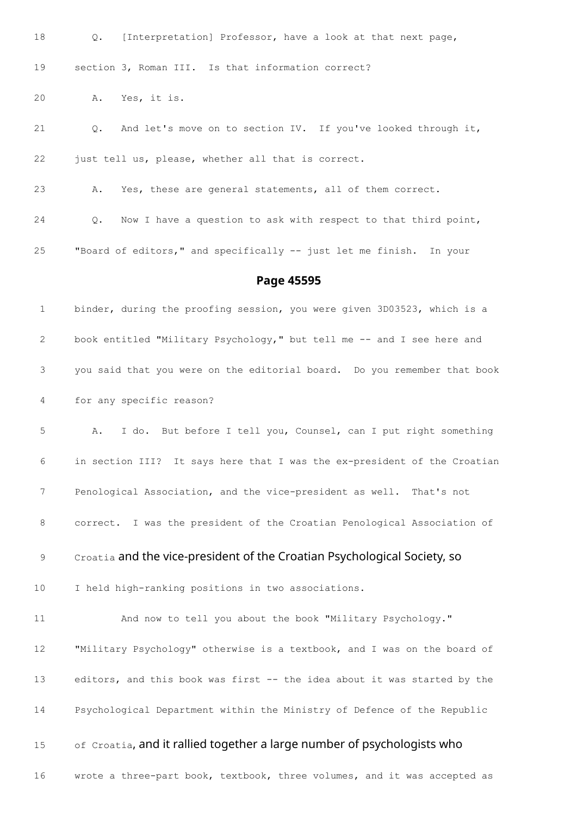Q. [Interpretation] Professor, have a look at that next page, section 3, Roman III. Is that information correct? A. Yes, it is. Q. And let's move on to section IV. If you've looked through it, just tell us, please, whether all that is correct. A. Yes, these are general statements, all of them correct. Q. Now I have a question to ask with respect to that third point, "Board of editors," and specifically -- just let me finish. In your **Page 45595** binder, during the proofing session, you were given 3D03523, which is a 2 book entitled "Military Psychology," but tell me -- and I see here and you said that you were on the editorial board. Do you remember that book

for any specific reason?

 A. I do. But before I tell you, Counsel, can I put right something in section III? It says here that I was the ex-president of the Croatian Penological Association, and the vice-president as well. That's not correct. I was the president of the Croatian Penological Association of

Croatia and the vice-president of the Croatian Psychological Society, so

I held high-ranking positions in two associations.

 And now to tell you about the book "Military Psychology." "Military Psychology" otherwise is a textbook, and I was on the board of editors, and this book was first -- the idea about it was started by the Psychological Department within the Ministry of Defence of the Republic 15 of Croatia, and it rallied together a large number of psychologists who

wrote a three-part book, textbook, three volumes, and it was accepted as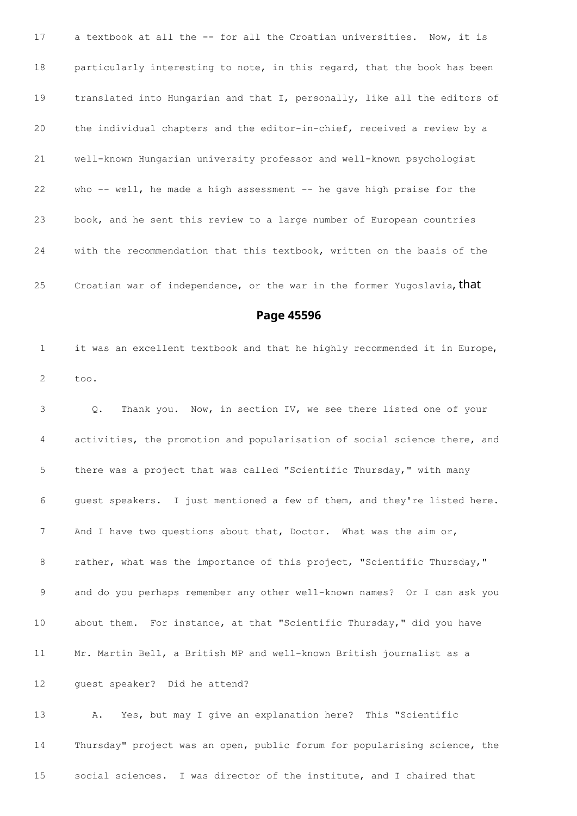17 a textbook at all the -- for all the Croatian universities. Now, it is 18 particularly interesting to note, in this regard, that the book has been translated into Hungarian and that I, personally, like all the editors of the individual chapters and the editor-in-chief, received a review by a well-known Hungarian university professor and well-known psychologist who -- well, he made a high assessment -- he gave high praise for the book, and he sent this review to a large number of European countries with the recommendation that this textbook, written on the basis of the 25 Croatian war of independence, or the war in the former Yugoslavia, that

**Page 45596**

 it was an excellent textbook and that he highly recommended it in Europe, too.

 Q. Thank you. Now, in section IV, we see there listed one of your activities, the promotion and popularisation of social science there, and there was a project that was called "Scientific Thursday," with many guest speakers. I just mentioned a few of them, and they're listed here. 7 And I have two questions about that, Doctor. What was the aim or, 8 rather, what was the importance of this project, "Scientific Thursday," and do you perhaps remember any other well-known names? Or I can ask you about them. For instance, at that "Scientific Thursday," did you have Mr. Martin Bell, a British MP and well-known British journalist as a guest speaker? Did he attend?

 A. Yes, but may I give an explanation here? This "Scientific Thursday" project was an open, public forum for popularising science, the social sciences. I was director of the institute, and I chaired that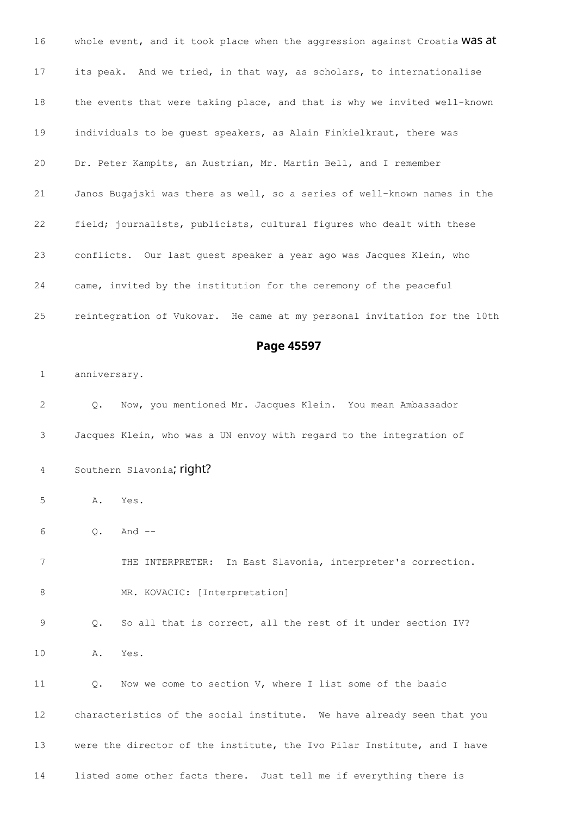16 whole event, and it took place when the aggression against Croatia WaS at its peak. And we tried, in that way, as scholars, to internationalise the events that were taking place, and that is why we invited well-known individuals to be guest speakers, as Alain Finkielkraut, there was Dr. Peter Kampits, an Austrian, Mr. Martin Bell, and I remember Janos Bugajski was there as well, so a series of well-known names in the field; journalists, publicists, cultural figures who dealt with these conflicts. Our last guest speaker a year ago was Jacques Klein, who came, invited by the institution for the ceremony of the peaceful reintegration of Vukovar. He came at my personal invitation for the 10th **Page 45597** anniversary. Q. Now, you mentioned Mr. Jacques Klein. You mean Ambassador Jacques Klein, who was a UN envoy with regard to the integration of 4 Southern Slavonia; right? A. Yes. Q. And -- THE INTERPRETER: In East Slavonia, interpreter's correction. 8 MR. KOVACIC: [Interpretation] Q. So all that is correct, all the rest of it under section IV? A. Yes. Q. Now we come to section V, where I list some of the basic characteristics of the social institute. We have already seen that you were the director of the institute, the Ivo Pilar Institute, and I have listed some other facts there. Just tell me if everything there is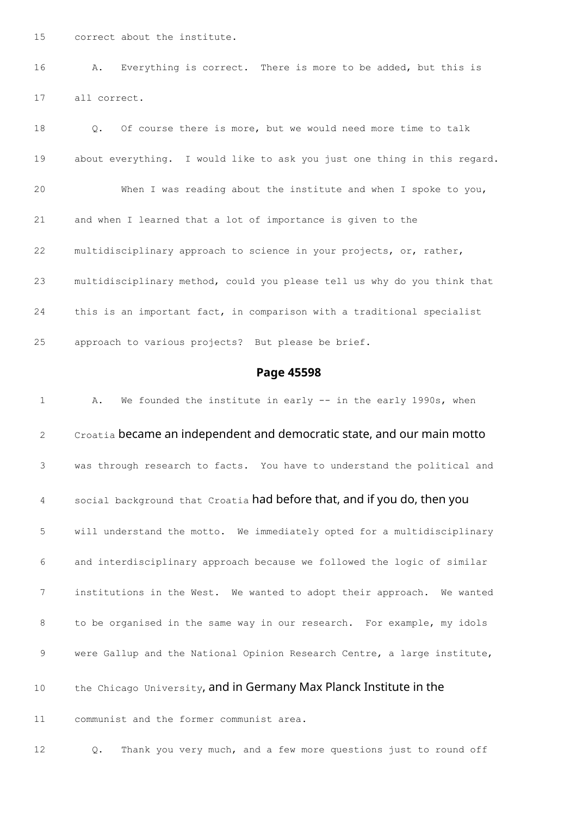correct about the institute.

 A. Everything is correct. There is more to be added, but this is all correct.

 Q. Of course there is more, but we would need more time to talk about everything. I would like to ask you just one thing in this regard. When I was reading about the institute and when I spoke to you, and when I learned that a lot of importance is given to the multidisciplinary approach to science in your projects, or, rather, multidisciplinary method, could you please tell us why do you think that this is an important fact, in comparison with a traditional specialist approach to various projects? But please be brief.

### **Page 45598**

 A. We founded the institute in early -- in the early 1990s, when 2 Croatia became an independent and democratic state, and our main motto was through research to facts. You have to understand the political and 4 social background that Croatia had before that, and if you do, then you will understand the motto. We immediately opted for a multidisciplinary and interdisciplinary approach because we followed the logic of similar institutions in the West. We wanted to adopt their approach. We wanted to be organised in the same way in our research. For example, my idols 9 were Gallup and the National Opinion Research Centre, a large institute, 10 the Chicago University, and in Germany Max Planck Institute in the communist and the former communist area.

Q. Thank you very much, and a few more questions just to round off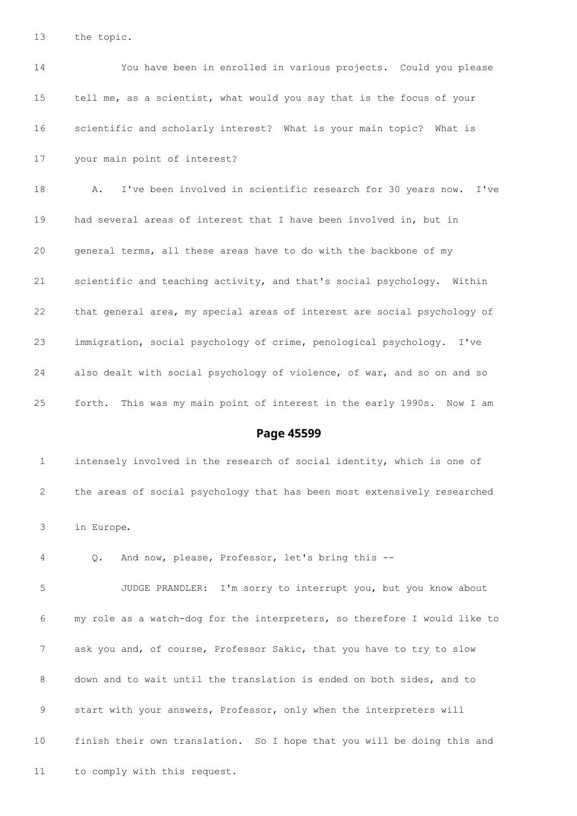the topic.

 You have been in enrolled in various projects. Could you please tell me, as a scientist, what would you say that is the focus of your scientific and scholarly interest? What is your main topic? What is your main point of interest? A. I've been involved in scientific research for 30 years now. I've had several areas of interest that I have been involved in, but in general terms, all these areas have to do with the backbone of my scientific and teaching activity, and that's social psychology. Within that general area, my special areas of interest are social psychology of immigration, social psychology of crime, penological psychology. I've also dealt with social psychology of violence, of war, and so on and so forth. This was my main point of interest in the early 1990s. Now I am

### **Page 45599**

 intensely involved in the research of social identity, which is one of the areas of social psychology that has been most extensively researched in Europe.

Q. And now, please, Professor, let's bring this --

 JUDGE PRANDLER: I'm sorry to interrupt you, but you know about my role as a watch-dog for the interpreters, so therefore I would like to ask you and, of course, Professor Sakic, that you have to try to slow down and to wait until the translation is ended on both sides, and to start with your answers, Professor, only when the interpreters will finish their own translation. So I hope that you will be doing this and to comply with this request.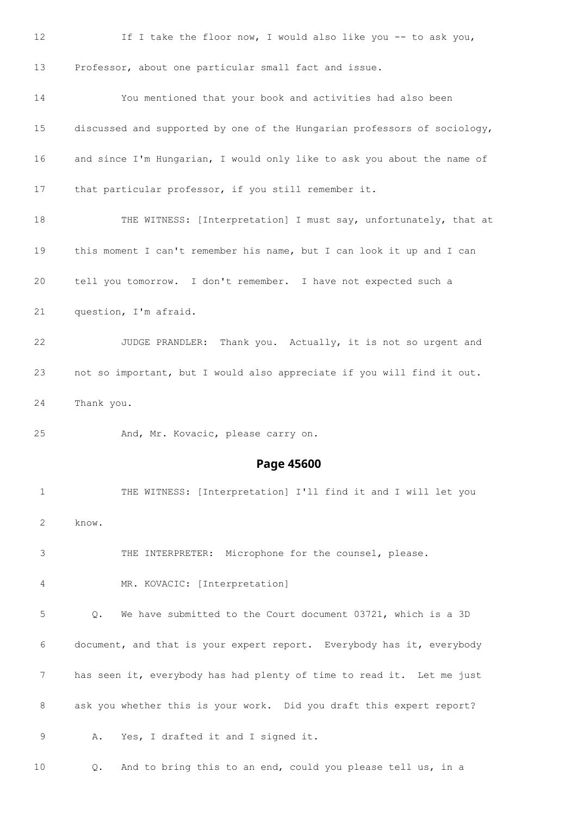| 12          | If I take the floor now, I would also like you -- to ask you,                                              |
|-------------|------------------------------------------------------------------------------------------------------------|
| 13          | Professor, about one particular small fact and issue.                                                      |
| 14          | You mentioned that your book and activities had also been                                                  |
| 15          | discussed and supported by one of the Hungarian professors of sociology,                                   |
| 16          | and since I'm Hungarian, I would only like to ask you about the name of                                    |
| 17          | that particular professor, if you still remember it.                                                       |
| 18          | THE WITNESS: [Interpretation] I must say, unfortunately, that at                                           |
| 19          | this moment I can't remember his name, but I can look it up and I can                                      |
| 20          | tell you tomorrow. I don't remember. I have not expected such a                                            |
| 21          | question, I'm afraid.                                                                                      |
| 22          | JUDGE PRANDLER: Thank you. Actually, it is not so urgent and                                               |
| 23          | not so important, but I would also appreciate if you will find it out.                                     |
| 24          | Thank you.                                                                                                 |
| 25          | And, Mr. Kovacic, please carry on.                                                                         |
|             | Page 45600                                                                                                 |
| $\mathbf 1$ | THE WITNESS: [Interpretation] I'll find it and I will let you                                              |
| 2           | know.                                                                                                      |
|             |                                                                                                            |
| 3           | THE INTERPRETER: Microphone for the counsel, please.                                                       |
| 4           | MR. KOVACIC: [Interpretation]                                                                              |
| 5           | We have submitted to the Court document 03721, which is a 3D<br>$Q$ .                                      |
| 6           | document, and that is your expert report. Everybody has it, everybody                                      |
| 7           | has seen it, everybody has had plenty of time to read it. Let me just                                      |
| 8           | ask you whether this is your work. Did you draft this expert report?<br>Yes, I drafted it and I signed it. |

Q. And to bring this to an end, could you please tell us, in a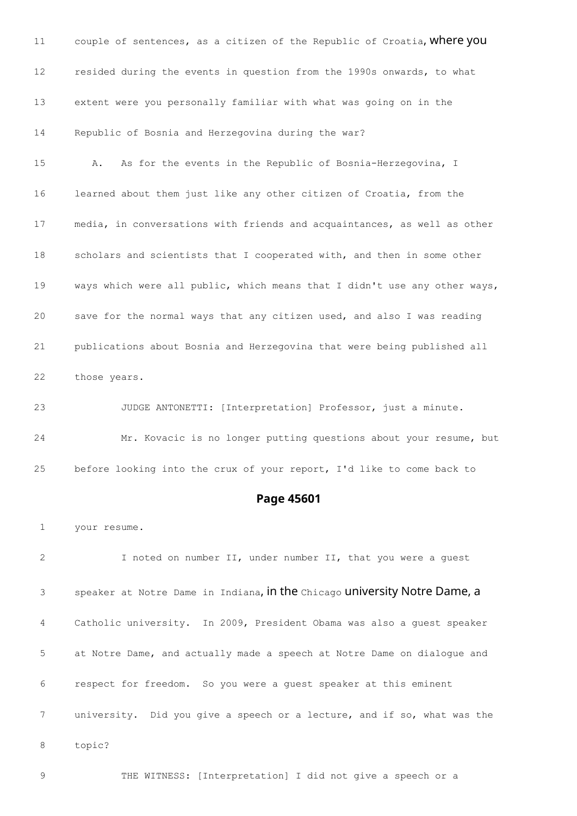11 couple of sentences, as a citizen of the Republic of Croatia, Where you resided during the events in question from the 1990s onwards, to what extent were you personally familiar with what was going on in the Republic of Bosnia and Herzegovina during the war?

 A. As for the events in the Republic of Bosnia-Herzegovina, I learned about them just like any other citizen of Croatia, from the media, in conversations with friends and acquaintances, as well as other scholars and scientists that I cooperated with, and then in some other ways which were all public, which means that I didn't use any other ways, save for the normal ways that any citizen used, and also I was reading publications about Bosnia and Herzegovina that were being published all those years.

 JUDGE ANTONETTI: [Interpretation] Professor, just a minute. Mr. Kovacic is no longer putting questions about your resume, but before looking into the crux of your report, I'd like to come back to

### **Page 45601**

your resume.

 I noted on number II, under number II, that you were a guest speaker at Notre Dame in Indiana, in the Chicago university Notre Dame, a Catholic university. In 2009, President Obama was also a guest speaker at Notre Dame, and actually made a speech at Notre Dame on dialogue and respect for freedom. So you were a guest speaker at this eminent university. Did you give a speech or a lecture, and if so, what was the topic?

THE WITNESS: [Interpretation] I did not give a speech or a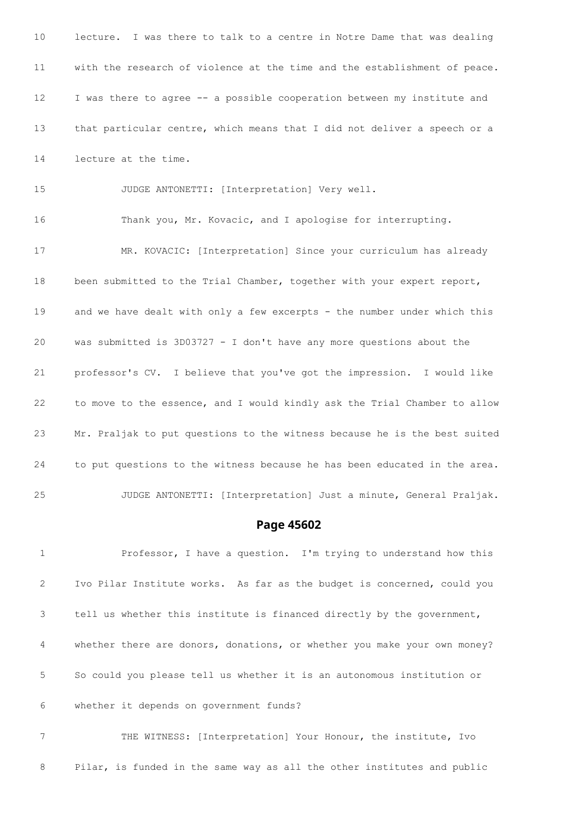lecture. I was there to talk to a centre in Notre Dame that was dealing with the research of violence at the time and the establishment of peace. I was there to agree -- a possible cooperation between my institute and that particular centre, which means that I did not deliver a speech or a lecture at the time. JUDGE ANTONETTI: [Interpretation] Very well. Thank you, Mr. Kovacic, and I apologise for interrupting. MR. KOVACIC: [Interpretation] Since your curriculum has already been submitted to the Trial Chamber, together with your expert report, and we have dealt with only a few excerpts - the number under which this was submitted is 3D03727 - I don't have any more questions about the professor's CV. I believe that you've got the impression. I would like to move to the essence, and I would kindly ask the Trial Chamber to allow Mr. Praljak to put questions to the witness because he is the best suited

JUDGE ANTONETTI: [Interpretation] Just a minute, General Praljak.

## **Page 45602**

 Professor, I have a question. I'm trying to understand how this Ivo Pilar Institute works. As far as the budget is concerned, could you tell us whether this institute is financed directly by the government, whether there are donors, donations, or whether you make your own money? So could you please tell us whether it is an autonomous institution or whether it depends on government funds?

to put questions to the witness because he has been educated in the area.

 THE WITNESS: [Interpretation] Your Honour, the institute, Ivo Pilar, is funded in the same way as all the other institutes and public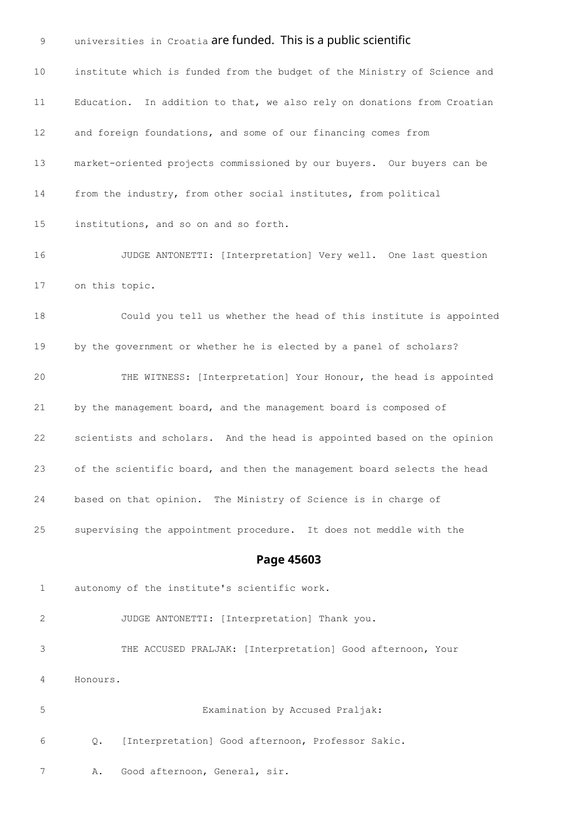9 universities in Croatia are funded. This is a public scientific institute which is funded from the budget of the Ministry of Science and Education. In addition to that, we also rely on donations from Croatian and foreign foundations, and some of our financing comes from market-oriented projects commissioned by our buyers. Our buyers can be from the industry, from other social institutes, from political institutions, and so on and so forth. JUDGE ANTONETTI: [Interpretation] Very well. One last question on this topic. Could you tell us whether the head of this institute is appointed by the government or whether he is elected by a panel of scholars? THE WITNESS: [Interpretation] Your Honour, the head is appointed by the management board, and the management board is composed of scientists and scholars. And the head is appointed based on the opinion of the scientific board, and then the management board selects the head based on that opinion. The Ministry of Science is in charge of supervising the appointment procedure. It does not meddle with the **Page 45603** autonomy of the institute's scientific work. JUDGE ANTONETTI: [Interpretation] Thank you. THE ACCUSED PRALJAK: [Interpretation] Good afternoon, Your Honours. Examination by Accused Praljak: Q. [Interpretation] Good afternoon, Professor Sakic. A. Good afternoon, General, sir.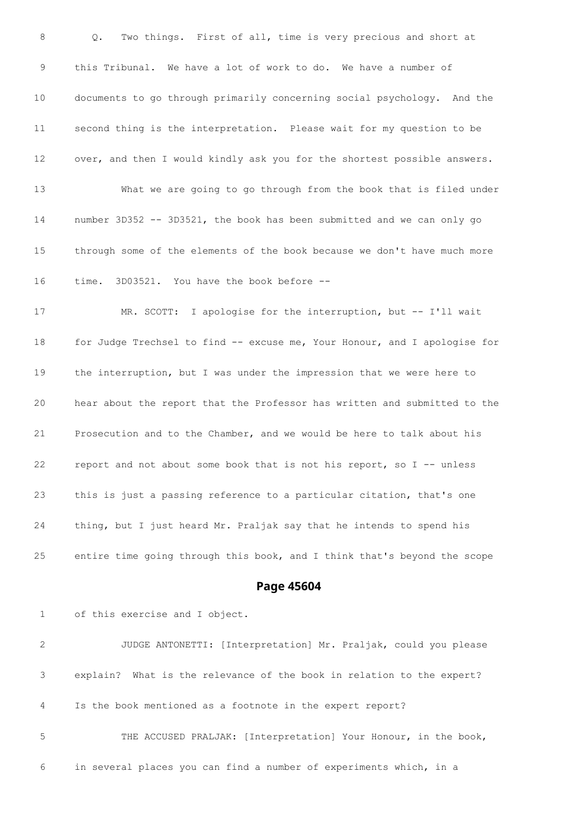Q. Two things. First of all, time is very precious and short at this Tribunal. We have a lot of work to do. We have a number of documents to go through primarily concerning social psychology. And the second thing is the interpretation. Please wait for my question to be over, and then I would kindly ask you for the shortest possible answers. What we are going to go through from the book that is filed under number 3D352 -- 3D3521, the book has been submitted and we can only go through some of the elements of the book because we don't have much more time. 3D03521. You have the book before -- 17 MR. SCOTT: I apologise for the interruption, but -- I'll wait for Judge Trechsel to find -- excuse me, Your Honour, and I apologise for the interruption, but I was under the impression that we were here to hear about the report that the Professor has written and submitted to the Prosecution and to the Chamber, and we would be here to talk about his report and not about some book that is not his report, so I -- unless this is just a passing reference to a particular citation, that's one thing, but I just heard Mr. Praljak say that he intends to spend his entire time going through this book, and I think that's beyond the scope

### **Page 45604**

of this exercise and I object.

 JUDGE ANTONETTI: [Interpretation] Mr. Praljak, could you please explain? What is the relevance of the book in relation to the expert? Is the book mentioned as a footnote in the expert report? THE ACCUSED PRALJAK: [Interpretation] Your Honour, in the book, in several places you can find a number of experiments which, in a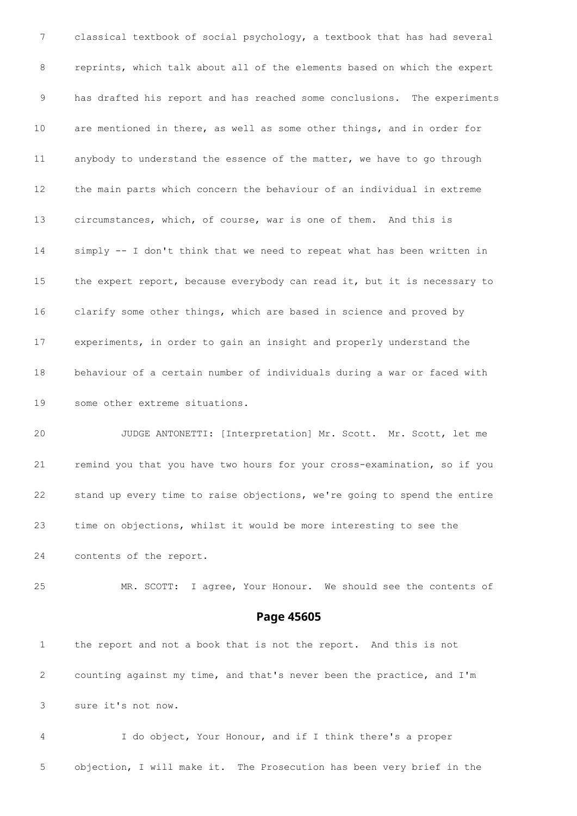classical textbook of social psychology, a textbook that has had several reprints, which talk about all of the elements based on which the expert has drafted his report and has reached some conclusions. The experiments are mentioned in there, as well as some other things, and in order for anybody to understand the essence of the matter, we have to go through the main parts which concern the behaviour of an individual in extreme circumstances, which, of course, war is one of them. And this is simply -- I don't think that we need to repeat what has been written in the expert report, because everybody can read it, but it is necessary to clarify some other things, which are based in science and proved by experiments, in order to gain an insight and properly understand the behaviour of a certain number of individuals during a war or faced with some other extreme situations.

 JUDGE ANTONETTI: [Interpretation] Mr. Scott. Mr. Scott, let me remind you that you have two hours for your cross-examination, so if you stand up every time to raise objections, we're going to spend the entire time on objections, whilst it would be more interesting to see the contents of the report.

MR. SCOTT: I agree, Your Honour. We should see the contents of

### **Page 45605**

 the report and not a book that is not the report. And this is not counting against my time, and that's never been the practice, and I'm sure it's not now.

 I do object, Your Honour, and if I think there's a proper objection, I will make it. The Prosecution has been very brief in the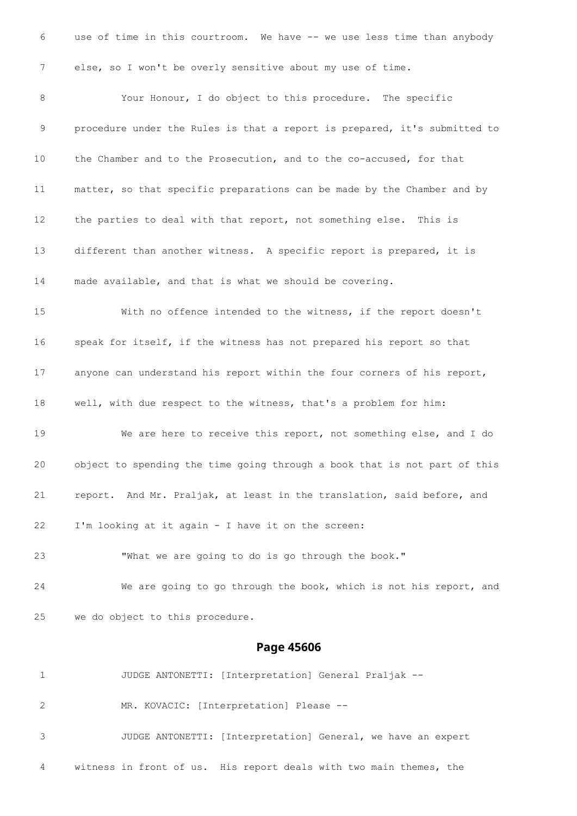use of time in this courtroom. We have -- we use less time than anybody else, so I won't be overly sensitive about my use of time. Your Honour, I do object to this procedure. The specific procedure under the Rules is that a report is prepared, it's submitted to the Chamber and to the Prosecution, and to the co-accused, for that matter, so that specific preparations can be made by the Chamber and by the parties to deal with that report, not something else. This is different than another witness. A specific report is prepared, it is made available, and that is what we should be covering. With no offence intended to the witness, if the report doesn't speak for itself, if the witness has not prepared his report so that anyone can understand his report within the four corners of his report, well, with due respect to the witness, that's a problem for him: We are here to receive this report, not something else, and I do object to spending the time going through a book that is not part of this report. And Mr. Praljak, at least in the translation, said before, and I'm looking at it again - I have it on the screen: "What we are going to do is go through the book." We are going to go through the book, which is not his report, and we do object to this procedure. **Page 45606** JUDGE ANTONETTI: [Interpretation] General Praljak -- MR. KOVACIC: [Interpretation] Please -- JUDGE ANTONETTI: [Interpretation] General, we have an expert

witness in front of us. His report deals with two main themes, the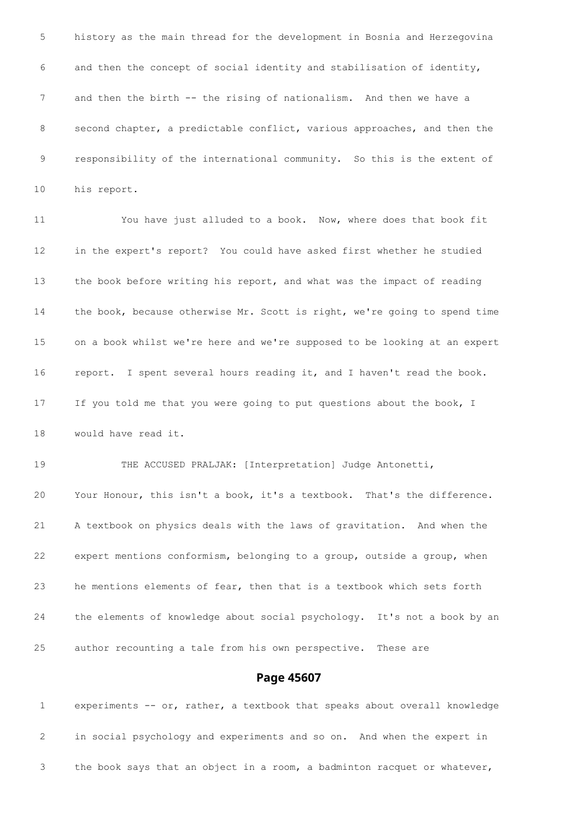history as the main thread for the development in Bosnia and Herzegovina and then the concept of social identity and stabilisation of identity, 7 and then the birth -- the rising of nationalism. And then we have a second chapter, a predictable conflict, various approaches, and then the responsibility of the international community. So this is the extent of his report. You have just alluded to a book. Now, where does that book fit in the expert's report? You could have asked first whether he studied the book before writing his report, and what was the impact of reading the book, because otherwise Mr. Scott is right, we're going to spend time on a book whilst we're here and we're supposed to be looking at an expert report. I spent several hours reading it, and I haven't read the book. If you told me that you were going to put questions about the book, I would have read it. 19 THE ACCUSED PRALJAK: [Interpretation] Judge Antonetti, Your Honour, this isn't a book, it's a textbook. That's the difference. A textbook on physics deals with the laws of gravitation. And when the expert mentions conformism, belonging to a group, outside a group, when he mentions elements of fear, then that is a textbook which sets forth the elements of knowledge about social psychology. It's not a book by an author recounting a tale from his own perspective. These are

# **Page 45607**

 experiments -- or, rather, a textbook that speaks about overall knowledge in social psychology and experiments and so on. And when the expert in the book says that an object in a room, a badminton racquet or whatever,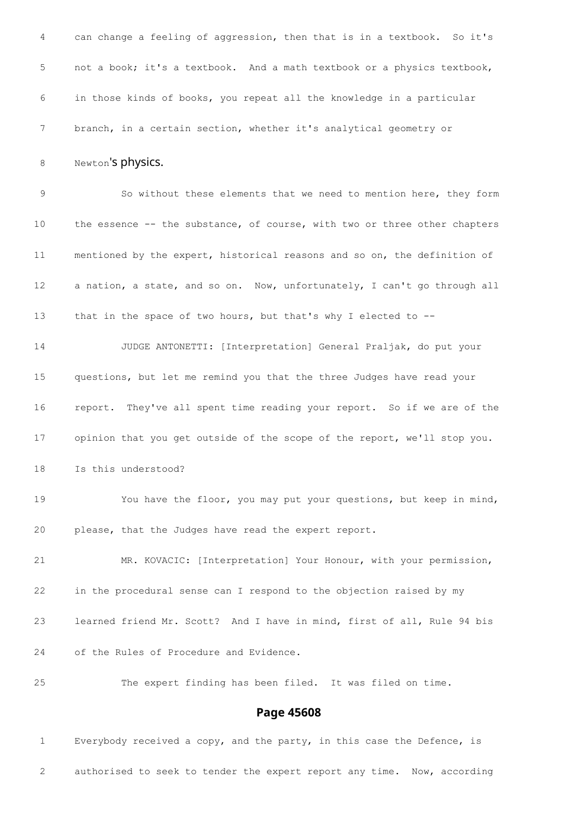|                 | Page 45608                                                                |
|-----------------|---------------------------------------------------------------------------|
| 25              | The expert finding has been filed. It was filed on time.                  |
| 24              | of the Rules of Procedure and Evidence.                                   |
| 23              | learned friend Mr. Scott? And I have in mind, first of all, Rule 94 bis   |
| 22              | in the procedural sense can I respond to the objection raised by my       |
| 21              | MR. KOVACIC: [Interpretation] Your Honour, with your permission,          |
| 20              | please, that the Judges have read the expert report.                      |
| 19              | You have the floor, you may put your questions, but keep in mind,         |
| 18              | Is this understood?                                                       |
| 17              | opinion that you get outside of the scope of the report, we'll stop you.  |
| 16              | report. They've all spent time reading your report. So if we are of the   |
| 15              | questions, but let me remind you that the three Judges have read your     |
| 14              | JUDGE ANTONETTI: [Interpretation] General Praljak, do put your            |
| 13              | that in the space of two hours, but that's why I elected to --            |
| 12              | a nation, a state, and so on. Now, unfortunately, I can't go through all  |
| 11              | mentioned by the expert, historical reasons and so on, the definition of  |
| 10 <sub>o</sub> | the essence -- the substance, of course, with two or three other chapters |
| 9               | So without these elements that we need to mention here, they form         |
| 8               | Newton's physics.                                                         |
| 7               | branch, in a certain section, whether it's analytical geometry or         |
| 6               | in those kinds of books, you repeat all the knowledge in a particular     |
| $\mathsf S$     | not a book; it's a textbook. And a math textbook or a physics textbook,   |
| $\overline{4}$  | can change a feeling of aggression, then that is in a textbook. So it's   |

# Everybody received a copy, and the party, in this case the Defence, is authorised to seek to tender the expert report any time. Now, according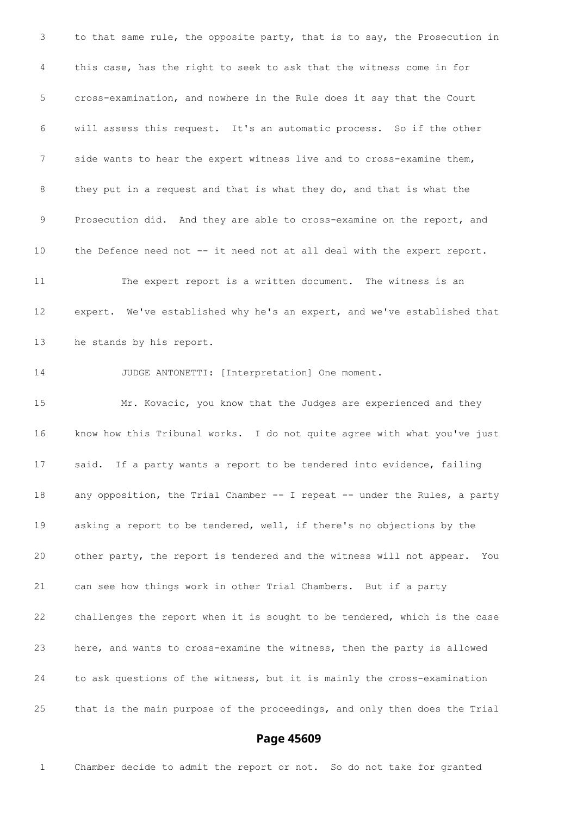to that same rule, the opposite party, that is to say, the Prosecution in this case, has the right to seek to ask that the witness come in for cross-examination, and nowhere in the Rule does it say that the Court will assess this request. It's an automatic process. So if the other side wants to hear the expert witness live and to cross-examine them, they put in a request and that is what they do, and that is what the Prosecution did. And they are able to cross-examine on the report, and the Defence need not -- it need not at all deal with the expert report. The expert report is a written document. The witness is an expert. We've established why he's an expert, and we've established that he stands by his report. JUDGE ANTONETTI: [Interpretation] One moment. Mr. Kovacic, you know that the Judges are experienced and they know how this Tribunal works. I do not quite agree with what you've just said. If a party wants a report to be tendered into evidence, failing any opposition, the Trial Chamber -- I repeat -- under the Rules, a party asking a report to be tendered, well, if there's no objections by the other party, the report is tendered and the witness will not appear. You can see how things work in other Trial Chambers. But if a party challenges the report when it is sought to be tendered, which is the case here, and wants to cross-examine the witness, then the party is allowed to ask questions of the witness, but it is mainly the cross-examination that is the main purpose of the proceedings, and only then does the Trial

# **Page 45609**

Chamber decide to admit the report or not. So do not take for granted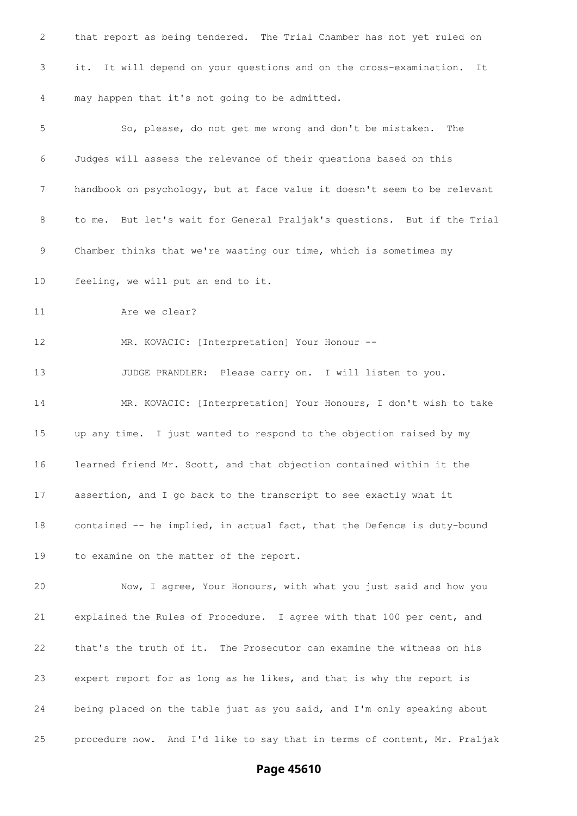| 2  | that report as being tendered. The Trial Chamber has not yet ruled on    |
|----|--------------------------------------------------------------------------|
| 3  | it. It will depend on your questions and on the cross-examination.<br>It |
| 4  | may happen that it's not going to be admitted.                           |
| 5  | So, please, do not get me wrong and don't be mistaken.<br>The            |
| 6  | Judges will assess the relevance of their questions based on this        |
| 7  | handbook on psychology, but at face value it doesn't seem to be relevant |
| 8  | to me. But let's wait for General Praljak's questions. But if the Trial  |
| 9  | Chamber thinks that we're wasting our time, which is sometimes my        |
| 10 | feeling, we will put an end to it.                                       |
| 11 | Are we clear?                                                            |
| 12 | MR. KOVACIC: [Interpretation] Your Honour --                             |
| 13 | JUDGE PRANDLER: Please carry on. I will listen to you.                   |
| 14 | MR. KOVACIC: [Interpretation] Your Honours, I don't wish to take         |
| 15 | up any time. I just wanted to respond to the objection raised by my      |
| 16 | learned friend Mr. Scott, and that objection contained within it the     |
| 17 | assertion, and I go back to the transcript to see exactly what it        |
| 18 | contained -- he implied, in actual fact, that the Defence is duty-bound  |
| 19 | to examine on the matter of the report.                                  |
| 20 | Now, I agree, Your Honours, with what you just said and how you          |
| 21 | explained the Rules of Procedure. I agree with that 100 per cent, and    |
| 22 | that's the truth of it. The Prosecutor can examine the witness on his    |
| 23 | expert report for as long as he likes, and that is why the report is     |
| 24 | being placed on the table just as you said, and I'm only speaking about  |
| 25 | procedure now. And I'd like to say that in terms of content, Mr. Praljak |

**Page 45610**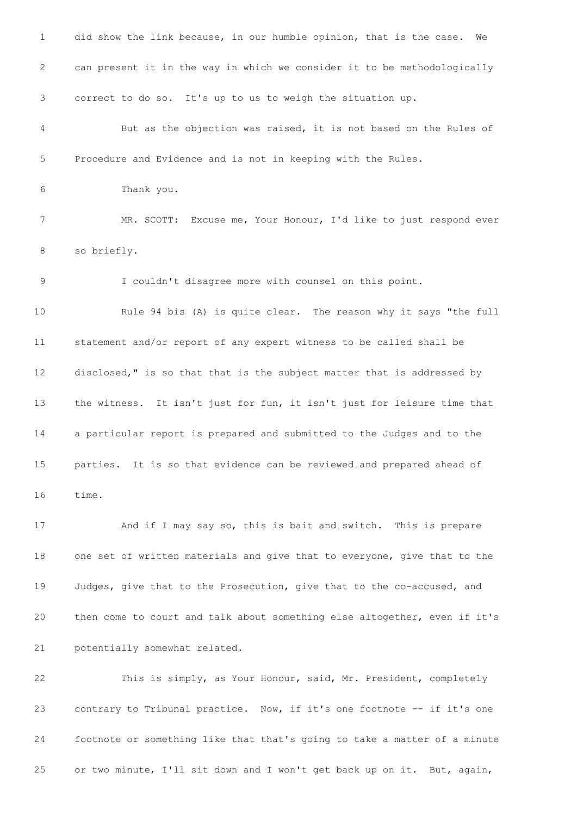did show the link because, in our humble opinion, that is the case. We can present it in the way in which we consider it to be methodologically correct to do so. It's up to us to weigh the situation up. But as the objection was raised, it is not based on the Rules of Procedure and Evidence and is not in keeping with the Rules. Thank you. MR. SCOTT: Excuse me, Your Honour, I'd like to just respond ever so briefly. I couldn't disagree more with counsel on this point. Rule 94 bis (A) is quite clear. The reason why it says "the full statement and/or report of any expert witness to be called shall be disclosed," is so that that is the subject matter that is addressed by the witness. It isn't just for fun, it isn't just for leisure time that a particular report is prepared and submitted to the Judges and to the parties. It is so that evidence can be reviewed and prepared ahead of time. And if I may say so, this is bait and switch. This is prepare one set of written materials and give that to everyone, give that to the Judges, give that to the Prosecution, give that to the co-accused, and then come to court and talk about something else altogether, even if it's potentially somewhat related. This is simply, as Your Honour, said, Mr. President, completely contrary to Tribunal practice. Now, if it's one footnote -- if it's one footnote or something like that that's going to take a matter of a minute or two minute, I'll sit down and I won't get back up on it. But, again,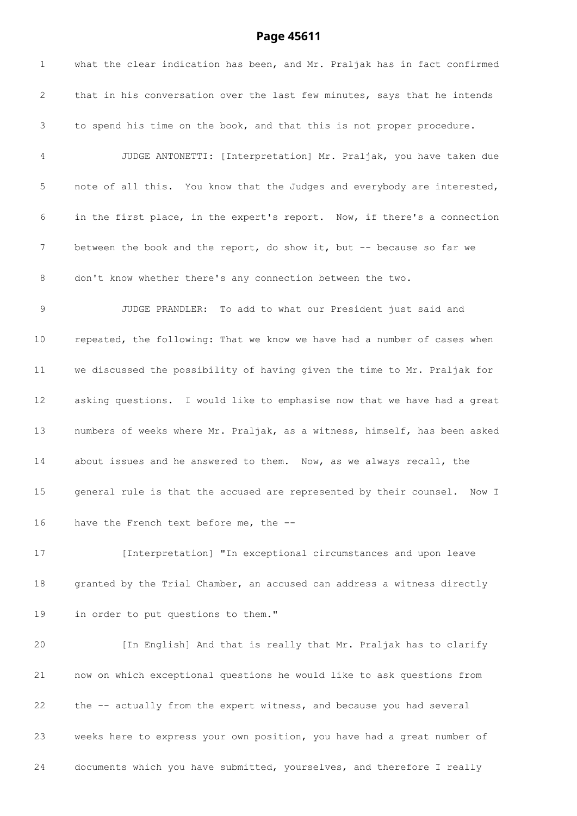# **Page 45611**

| $\mathbf{1}$    | what the clear indication has been, and Mr. Praljak has in fact confirmed |
|-----------------|---------------------------------------------------------------------------|
| 2               | that in his conversation over the last few minutes, says that he intends  |
| 3               | to spend his time on the book, and that this is not proper procedure.     |
| 4               | JUDGE ANTONETTI: [Interpretation] Mr. Praljak, you have taken due         |
| 5               | note of all this. You know that the Judges and everybody are interested,  |
| 6               | in the first place, in the expert's report. Now, if there's a connection  |
| 7               | between the book and the report, do show it, but -- because so far we     |
| 8               | don't know whether there's any connection between the two.                |
| 9               | JUDGE PRANDLER: To add to what our President just said and                |
| 10 <sub>o</sub> | repeated, the following: That we know we have had a number of cases when  |
| 11              | we discussed the possibility of having given the time to Mr. Praljak for  |
| 12              | asking questions. I would like to emphasise now that we have had a great  |
| 13              | numbers of weeks where Mr. Praljak, as a witness, himself, has been asked |
| 14              | about issues and he answered to them. Now, as we always recall, the       |
| 15              | general rule is that the accused are represented by their counsel. Now I  |
| 16              | have the French text before me, the --                                    |
| 17              | [Interpretation] "In exceptional circumstances and upon leave             |
| 18              | granted by the Trial Chamber, an accused can address a witness directly   |
| 19              | in order to put questions to them."                                       |
| 20              | [In English] And that is really that Mr. Praljak has to clarify           |
| 21              | now on which exceptional questions he would like to ask questions from    |
| 22              | the -- actually from the expert witness, and because you had several      |
| 23              | weeks here to express your own position, you have had a great number of   |

documents which you have submitted, yourselves, and therefore I really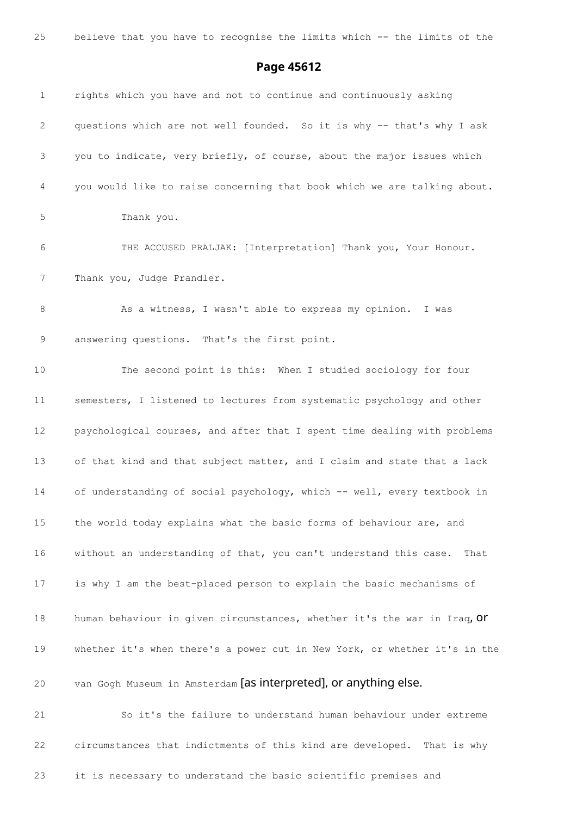believe that you have to recognise the limits which -- the limits of the

### **Page 45612**

 rights which you have and not to continue and continuously asking questions which are not well founded. So it is why -- that's why I ask you to indicate, very briefly, of course, about the major issues which you would like to raise concerning that book which we are talking about. Thank you. THE ACCUSED PRALJAK: [Interpretation] Thank you, Your Honour. 7 Thank you, Judge Prandler. 8 As a witness, I wasn't able to express my opinion. I was answering questions. That's the first point. The second point is this: When I studied sociology for four semesters, I listened to lectures from systematic psychology and other psychological courses, and after that I spent time dealing with problems of that kind and that subject matter, and I claim and state that a lack of understanding of social psychology, which -- well, every textbook in the world today explains what the basic forms of behaviour are, and without an understanding of that, you can't understand this case. That is why I am the best-placed person to explain the basic mechanisms of 18 human behaviour in given circumstances, whether it's the war in Iraq, Or whether it's when there's a power cut in New York, or whether it's in the van Gogh Museum in Amsterdam [as interpreted], or anything else. So it's the failure to understand human behaviour under extreme circumstances that indictments of this kind are developed. That is why it is necessary to understand the basic scientific premises and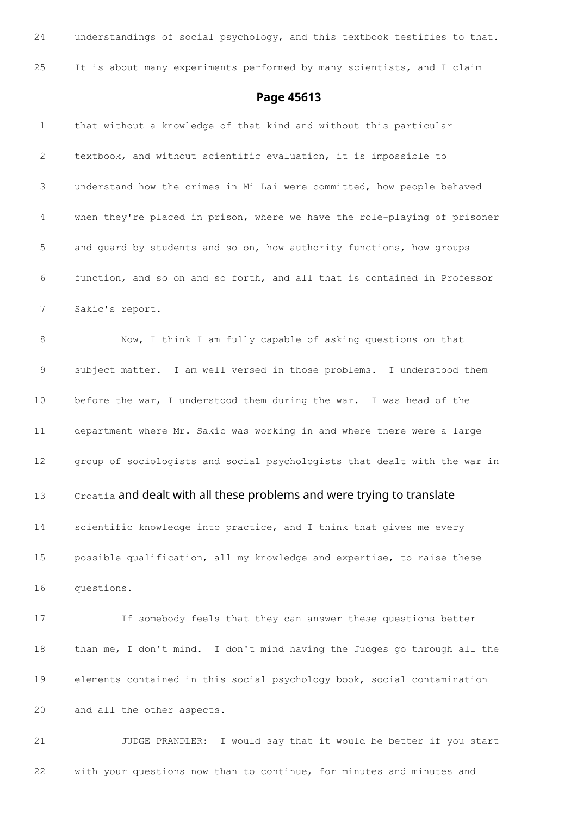| 24           | understandings of social psychology, and this textbook testifies to that. |
|--------------|---------------------------------------------------------------------------|
| 25           | It is about many experiments performed by many scientists, and I claim    |
|              | Page 45613                                                                |
| $\mathbf{1}$ | that without a knowledge of that kind and without this particular         |
| 2            | textbook, and without scientific evaluation, it is impossible to          |
| 3            | understand how the crimes in Mi Lai were committed, how people behaved    |
| 4            | when they're placed in prison, where we have the role-playing of prisoner |
| 5            | and guard by students and so on, how authority functions, how groups      |
| 6            | function, and so on and so forth, and all that is contained in Professor  |
| 7            | Sakic's report.                                                           |
| 8            | Now, I think I am fully capable of asking questions on that               |
| $\mathsf 9$  | subject matter. I am well versed in those problems. I understood them     |
| 10           | before the war, I understood them during the war. I was head of the       |
| 11           | department where Mr. Sakic was working in and where there were a large    |
| 12           | group of sociologists and social psychologists that dealt with the war in |
| 13           | Croatia and dealt with all these problems and were trying to translate    |
| 14           | scientific knowledge into practice, and I think that gives me every       |
| 15           | possible qualification, all my knowledge and expertise, to raise these    |
| 16           | questions.                                                                |
| 17           | If somebody feels that they can answer these questions better             |
| 18           | than me, I don't mind. I don't mind having the Judges go through all the  |
| 19           | elements contained in this social psychology book, social contamination   |
| 20           | and all the other aspects.                                                |
| 21           | I would say that it would be better if you start<br>JUDGE PRANDLER:       |

with your questions now than to continue, for minutes and minutes and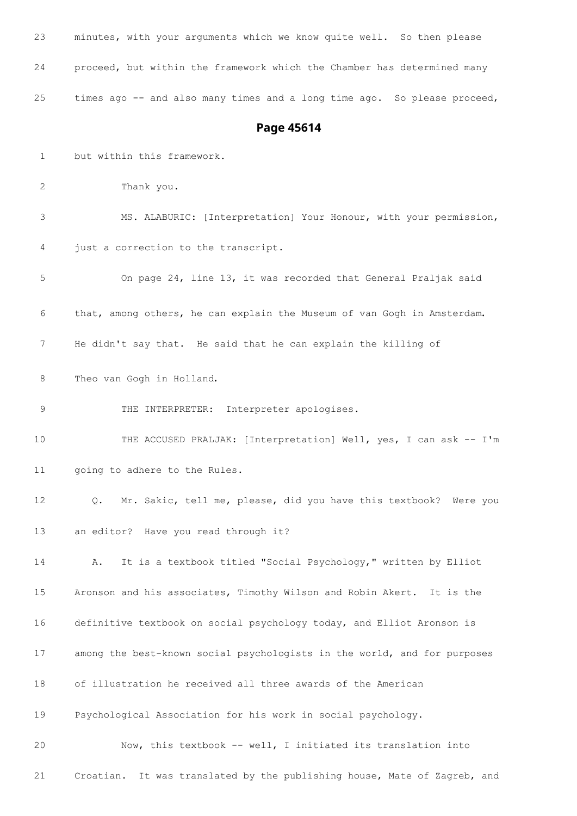| 23           | minutes, with your arguments which we know quite well. So then please             |
|--------------|-----------------------------------------------------------------------------------|
| 24           | proceed, but within the framework which the Chamber has determined many           |
| 25           | times ago -- and also many times and a long time ago. So please proceed,          |
|              | Page 45614                                                                        |
| $\mathbf{1}$ | but within this framework.                                                        |
| 2            | Thank you.                                                                        |
| 3            | MS. ALABURIC: [Interpretation] Your Honour, with your permission,                 |
| 4            | just a correction to the transcript.                                              |
| 5            | On page 24, line 13, it was recorded that General Praljak said                    |
| 6            | that, among others, he can explain the Museum of van Gogh in Amsterdam.           |
| 7            | He didn't say that. He said that he can explain the killing of                    |
| 8            | Theo van Gogh in Holland.                                                         |
| 9            | THE INTERPRETER: Interpreter apologises.                                          |
| 10           | THE ACCUSED PRALJAK: [Interpretation] Well, yes, I can ask -- I'm                 |
| 11           | going to adhere to the Rules.                                                     |
| 12           | Mr. Sakic, tell me, please, did you have this textbook? Were you<br>$Q_{\bullet}$ |
| 13           | an editor? Have you read through it?                                              |
| 14           | It is a textbook titled "Social Psychology," written by Elliot<br>Α.              |
| 15           | Aronson and his associates, Timothy Wilson and Robin Akert. It is the             |
| 16           | definitive textbook on social psychology today, and Elliot Aronson is             |
| 17           | among the best-known social psychologists in the world, and for purposes          |
| 18           | of illustration he received all three awards of the American                      |
| 19           | Psychological Association for his work in social psychology.                      |
| 20           | Now, this textbook -- well, I initiated its translation into                      |
| 21           | It was translated by the publishing house, Mate of Zagreb, and<br>Croatian.       |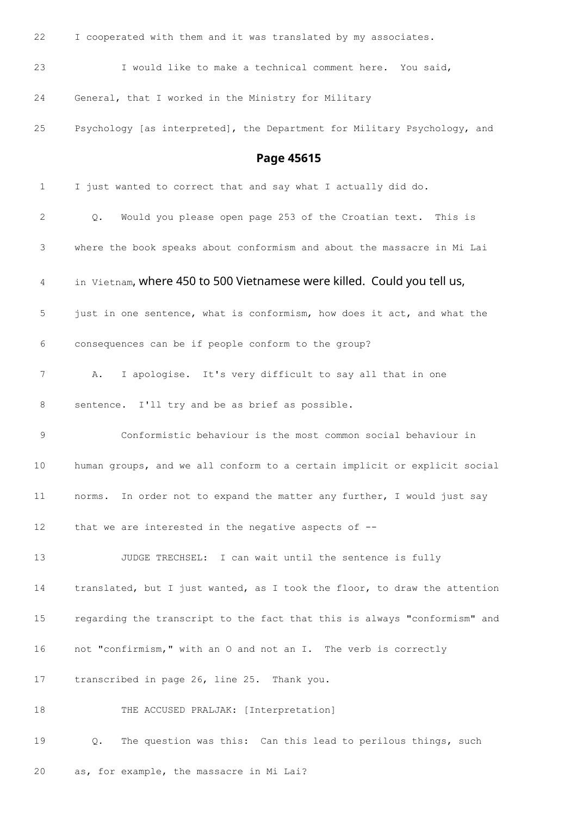| 22          | I cooperated with them and it was translated by my associates.            |
|-------------|---------------------------------------------------------------------------|
| 23          | I would like to make a technical comment here. You said,                  |
| 24          | General, that I worked in the Ministry for Military                       |
| 25          | Psychology [as interpreted], the Department for Military Psychology, and  |
|             | Page 45615                                                                |
| $\mathbf 1$ | I just wanted to correct that and say what I actually did do.             |
| 2           | Would you please open page 253 of the Croatian text. This is<br>Q.        |
| 3           | where the book speaks about conformism and about the massacre in Mi Lai   |
| 4           | in Vietnam, where 450 to 500 Vietnamese were killed. Could you tell us,   |
| 5           | just in one sentence, what is conformism, how does it act, and what the   |
| 6           | consequences can be if people conform to the group?                       |
| 7           | I apologise. It's very difficult to say all that in one<br>Α.             |
| 8           | sentence. I'll try and be as brief as possible.                           |
| 9           | Conformistic behaviour is the most common social behaviour in             |
| 10          | human groups, and we all conform to a certain implicit or explicit social |
| 11          | norms. In order not to expand the matter any further, I would just say    |
| 12          | that we are interested in the negative aspects of $-$ -                   |
| 13          | JUDGE TRECHSEL: I can wait until the sentence is fully                    |
| 14          | translated, but I just wanted, as I took the floor, to draw the attention |
| 15          | regarding the transcript to the fact that this is always "conformism" and |
| 16          | not "confirmism," with an O and not an I. The verb is correctly           |
| 17          | transcribed in page 26, line 25. Thank you.                               |
| 18          | THE ACCUSED PRALJAK: [Interpretation]                                     |
| 19          | The question was this: Can this lead to perilous things, such<br>Q.       |
| 20          | as, for example, the massacre in Mi Lai?                                  |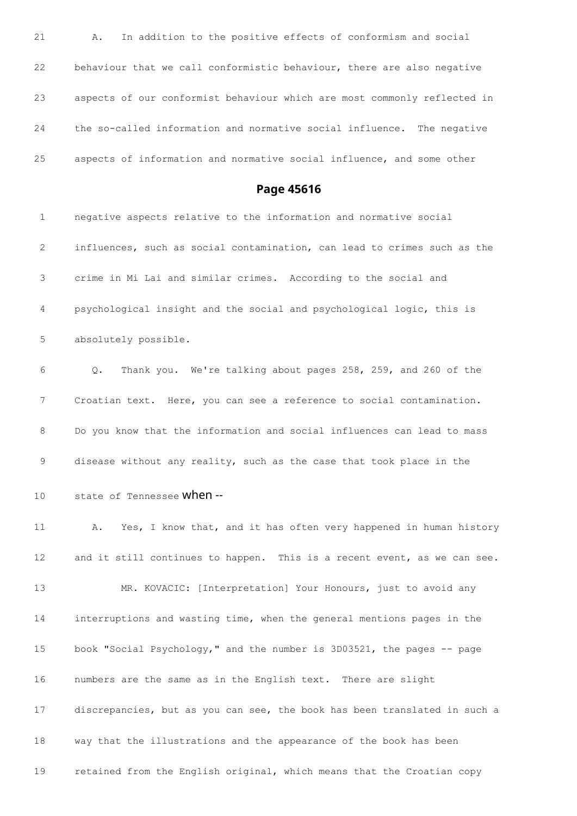| 21 | In addition to the positive effects of conformism and social<br>Α.       |
|----|--------------------------------------------------------------------------|
| 22 | behaviour that we call conformistic behaviour, there are also negative   |
| 23 | aspects of our conformist behaviour which are most commonly reflected in |
| 24 | the so-called information and normative social influence. The negative   |
| 25 | aspects of information and normative social influence, and some other    |

**Page 45616**

 negative aspects relative to the information and normative social influences, such as social contamination, can lead to crimes such as the crime in Mi Lai and similar crimes. According to the social and psychological insight and the social and psychological logic, this is absolutely possible.

 Q. Thank you. We're talking about pages 258, 259, and 260 of the Croatian text. Here, you can see a reference to social contamination. Do you know that the information and social influences can lead to mass disease without any reality, such as the case that took place in the

10 state of Tennessee **when** --

 A. Yes, I know that, and it has often very happened in human history 12 and it still continues to happen. This is a recent event, as we can see. 13 MR. KOVACIC: [Interpretation] Your Honours, just to avoid any interruptions and wasting time, when the general mentions pages in the book "Social Psychology," and the number is 3D03521, the pages -- page numbers are the same as in the English text. There are slight discrepancies, but as you can see, the book has been translated in such a way that the illustrations and the appearance of the book has been retained from the English original, which means that the Croatian copy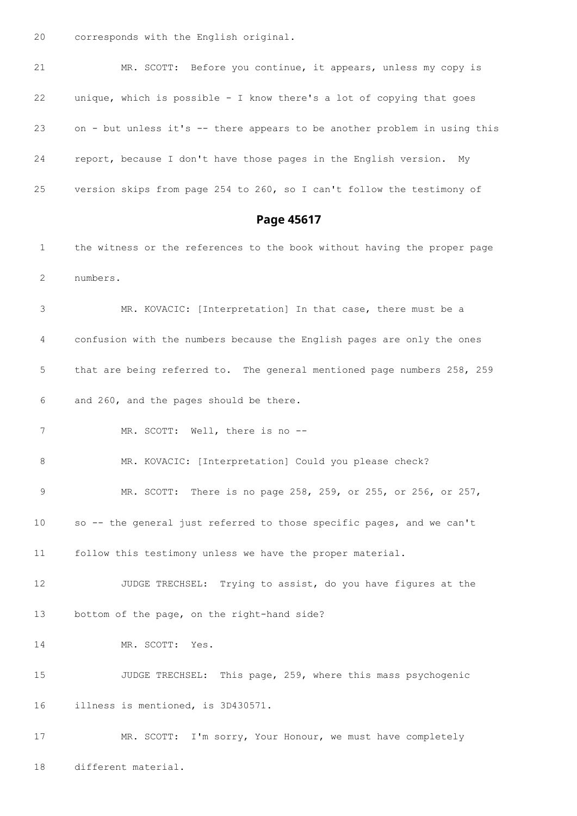corresponds with the English original.

 MR. SCOTT: Before you continue, it appears, unless my copy is unique, which is possible - I know there's a lot of copying that goes on - but unless it's -- there appears to be another problem in using this report, because I don't have those pages in the English version. My version skips from page 254 to 260, so I can't follow the testimony of

**Page 45617**

 the witness or the references to the book without having the proper page numbers.

 MR. KOVACIC: [Interpretation] In that case, there must be a confusion with the numbers because the English pages are only the ones that are being referred to. The general mentioned page numbers 258, 259 and 260, and the pages should be there.

7 MR. SCOTT: Well, there is no --

MR. KOVACIC: [Interpretation] Could you please check?

 MR. SCOTT: There is no page 258, 259, or 255, or 256, or 257, so -- the general just referred to those specific pages, and we can't

follow this testimony unless we have the proper material.

12 JUDGE TRECHSEL: Trying to assist, do you have figures at the bottom of the page, on the right-hand side?

MR. SCOTT: Yes.

 JUDGE TRECHSEL: This page, 259, where this mass psychogenic illness is mentioned, is 3D430571.

17 MR. SCOTT: I'm sorry, Your Honour, we must have completely different material.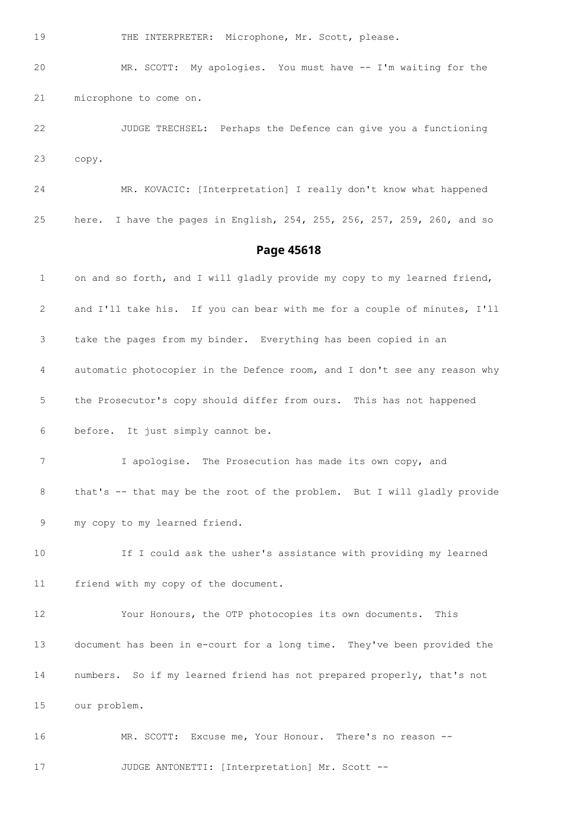19 THE INTERPRETER: Microphone, Mr. Scott, please.

 MR. SCOTT: My apologies. You must have -- I'm waiting for the microphone to come on.

 JUDGE TRECHSEL: Perhaps the Defence can give you a functioning copy.

 MR. KOVACIC: [Interpretation] I really don't know what happened here. I have the pages in English, 254, 255, 256, 257, 259, 260, and so

## **Page 45618**

1 on and so forth, and I will gladly provide my copy to my learned friend, and I'll take his. If you can bear with me for a couple of minutes, I'll take the pages from my binder. Everything has been copied in an automatic photocopier in the Defence room, and I don't see any reason why the Prosecutor's copy should differ from ours. This has not happened before. It just simply cannot be. I apologise. The Prosecution has made its own copy, and that's -- that may be the root of the problem. But I will gladly provide my copy to my learned friend. If I could ask the usher's assistance with providing my learned friend with my copy of the document. Your Honours, the OTP photocopies its own documents. This document has been in e-court for a long time. They've been provided the numbers. So if my learned friend has not prepared properly, that's not our problem. MR. SCOTT: Excuse me, Your Honour. There's no reason --

JUDGE ANTONETTI: [Interpretation] Mr. Scott --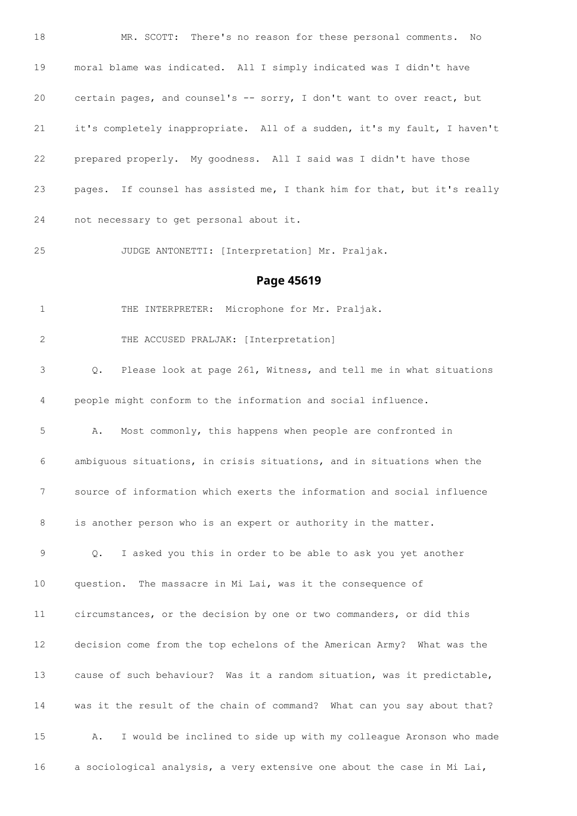MR. SCOTT: There's no reason for these personal comments. No moral blame was indicated. All I simply indicated was I didn't have certain pages, and counsel's -- sorry, I don't want to over react, but it's completely inappropriate. All of a sudden, it's my fault, I haven't prepared properly. My goodness. All I said was I didn't have those pages. If counsel has assisted me, I thank him for that, but it's really not necessary to get personal about it.

JUDGE ANTONETTI: [Interpretation] Mr. Praljak.

### **Page 45619**

THE INTERPRETER: Microphone for Mr. Praljak.

THE ACCUSED PRALJAK: [Interpretation]

 Q. Please look at page 261, Witness, and tell me in what situations people might conform to the information and social influence.

 A. Most commonly, this happens when people are confronted in ambiguous situations, in crisis situations, and in situations when the source of information which exerts the information and social influence 8 is another person who is an expert or authority in the matter.

 Q. I asked you this in order to be able to ask you yet another question. The massacre in Mi Lai, was it the consequence of

 circumstances, or the decision by one or two commanders, or did this decision come from the top echelons of the American Army? What was the cause of such behaviour? Was it a random situation, was it predictable, was it the result of the chain of command? What can you say about that? A. I would be inclined to side up with my colleague Aronson who made a sociological analysis, a very extensive one about the case in Mi Lai,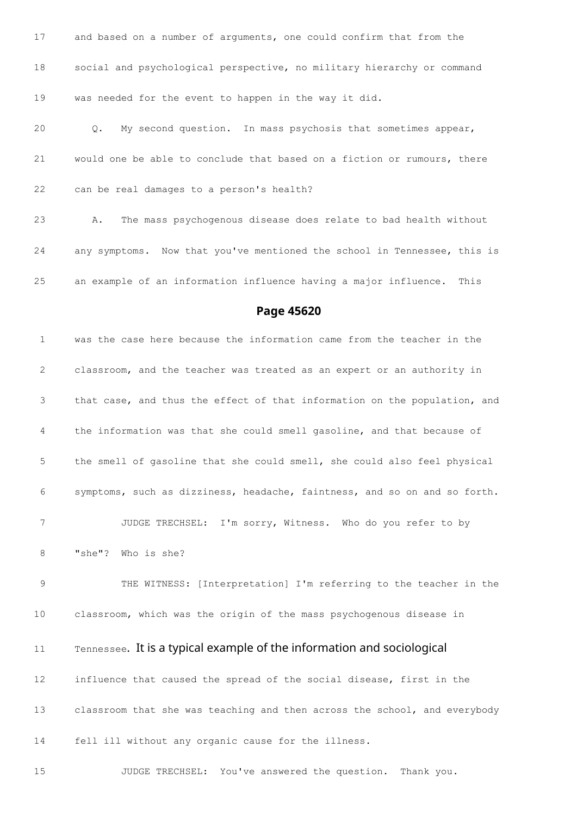and based on a number of arguments, one could confirm that from the social and psychological perspective, no military hierarchy or command was needed for the event to happen in the way it did. Q. My second question. In mass psychosis that sometimes appear,

would one be able to conclude that based on a fiction or rumours, there

can be real damages to a person's health?

 A. The mass psychogenous disease does relate to bad health without any symptoms. Now that you've mentioned the school in Tennessee, this is an example of an information influence having a major influence. This

### **Page 45620**

 was the case here because the information came from the teacher in the classroom, and the teacher was treated as an expert or an authority in that case, and thus the effect of that information on the population, and the information was that she could smell gasoline, and that because of the smell of gasoline that she could smell, she could also feel physical symptoms, such as dizziness, headache, faintness, and so on and so forth. JUDGE TRECHSEL: I'm sorry, Witness. Who do you refer to by "she"? Who is she?

 THE WITNESS: [Interpretation] I'm referring to the teacher in the classroom, which was the origin of the mass psychogenous disease in

11 Tennessee. It is a typical example of the information and sociological

 influence that caused the spread of the social disease, first in the classroom that she was teaching and then across the school, and everybody fell ill without any organic cause for the illness.

JUDGE TRECHSEL: You've answered the question. Thank you.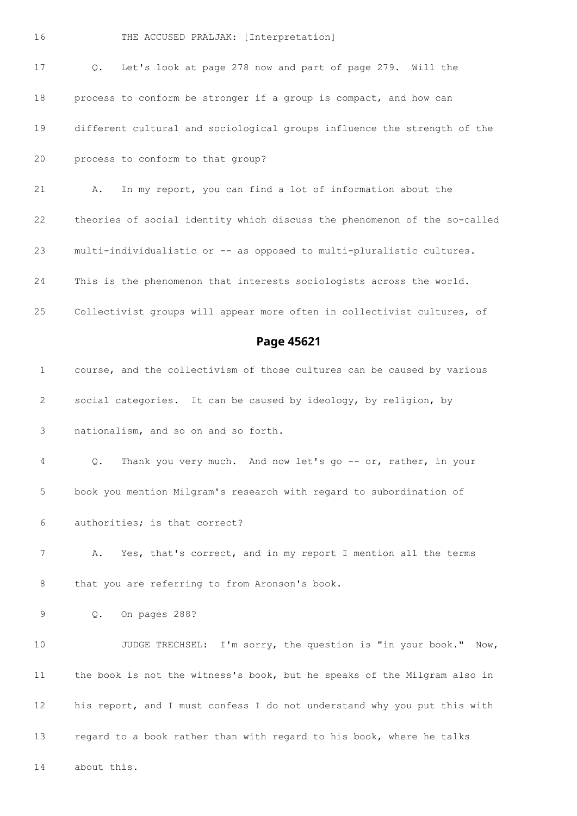Q. Let's look at page 278 now and part of page 279. Will the process to conform be stronger if a group is compact, and how can different cultural and sociological groups influence the strength of the process to conform to that group? A. In my report, you can find a lot of information about the theories of social identity which discuss the phenomenon of the so-called multi-individualistic or -- as opposed to multi-pluralistic cultures. This is the phenomenon that interests sociologists across the world. Collectivist groups will appear more often in collectivist cultures, of **Page 45621** course, and the collectivism of those cultures can be caused by various social categories. It can be caused by ideology, by religion, by nationalism, and so on and so forth. 4 Q. Thank you very much. And now let's go -- or, rather, in your book you mention Milgram's research with regard to subordination of authorities; is that correct? A. Yes, that's correct, and in my report I mention all the terms 8 that you are referring to from Aronson's book. Q. On pages 288? JUDGE TRECHSEL: I'm sorry, the question is "in your book." Now, the book is not the witness's book, but he speaks of the Milgram also in his report, and I must confess I do not understand why you put this with regard to a book rather than with regard to his book, where he talks about this.

THE ACCUSED PRALJAK: [Interpretation]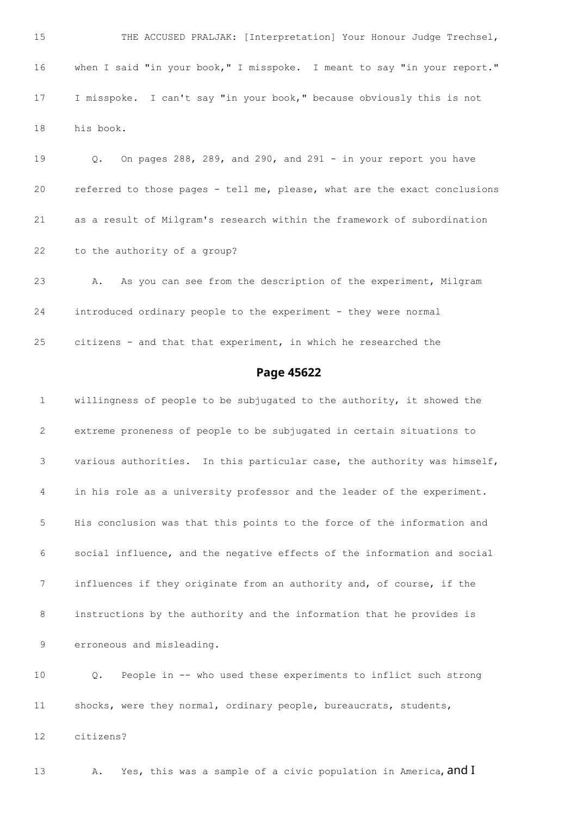15 THE ACCUSED PRALJAK: [Interpretation] Your Honour Judge Trechsel, when I said "in your book," I misspoke. I meant to say "in your report." I misspoke. I can't say "in your book," because obviously this is not his book.

 Q. On pages 288, 289, and 290, and 291 - in your report you have referred to those pages - tell me, please, what are the exact conclusions as a result of Milgram's research within the framework of subordination to the authority of a group?

 A. As you can see from the description of the experiment, Milgram introduced ordinary people to the experiment - they were normal citizens - and that that experiment, in which he researched the

### **Page 45622**

 willingness of people to be subjugated to the authority, it showed the extreme proneness of people to be subjugated in certain situations to various authorities. In this particular case, the authority was himself, in his role as a university professor and the leader of the experiment. His conclusion was that this points to the force of the information and social influence, and the negative effects of the information and social influences if they originate from an authority and, of course, if the instructions by the authority and the information that he provides is erroneous and misleading.

 Q. People in -- who used these experiments to inflict such strong shocks, were they normal, ordinary people, bureaucrats, students,

citizens?

13 A. Yes, this was a sample of a civic population in America, and  $I$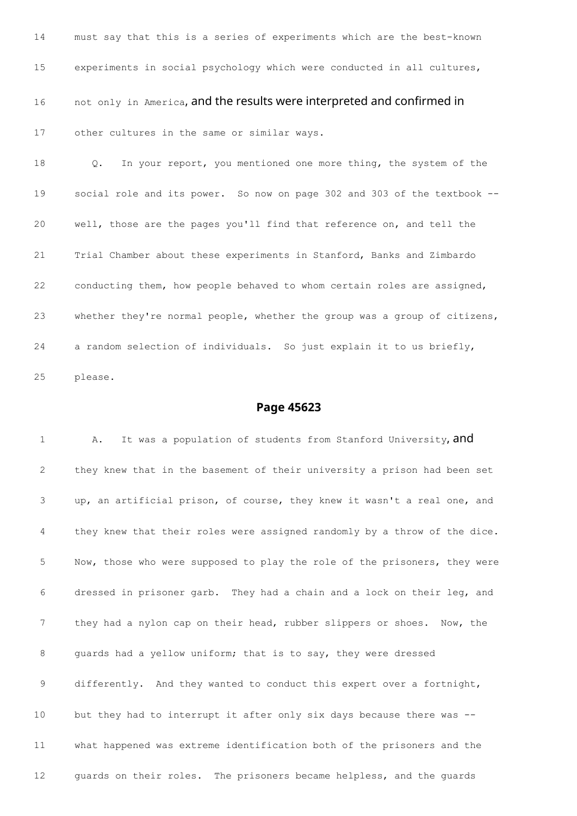must say that this is a series of experiments which are the best-known experiments in social psychology which were conducted in all cultures, 16 not only in America, and the results were interpreted and confirmed in other cultures in the same or similar ways.

18 Q. In your report, you mentioned one more thing, the system of the social role and its power. So now on page 302 and 303 of the textbook -- well, those are the pages you'll find that reference on, and tell the Trial Chamber about these experiments in Stanford, Banks and Zimbardo conducting them, how people behaved to whom certain roles are assigned, whether they're normal people, whether the group was a group of citizens, a random selection of individuals. So just explain it to us briefly, please.

### **Page 45623**

1 A. It was a population of students from Stanford University, and they knew that in the basement of their university a prison had been set up, an artificial prison, of course, they knew it wasn't a real one, and they knew that their roles were assigned randomly by a throw of the dice. Now, those who were supposed to play the role of the prisoners, they were dressed in prisoner garb. They had a chain and a lock on their leg, and they had a nylon cap on their head, rubber slippers or shoes. Now, the 8 guards had a yellow uniform; that is to say, they were dressed differently. And they wanted to conduct this expert over a fortnight, but they had to interrupt it after only six days because there was -- what happened was extreme identification both of the prisoners and the guards on their roles. The prisoners became helpless, and the guards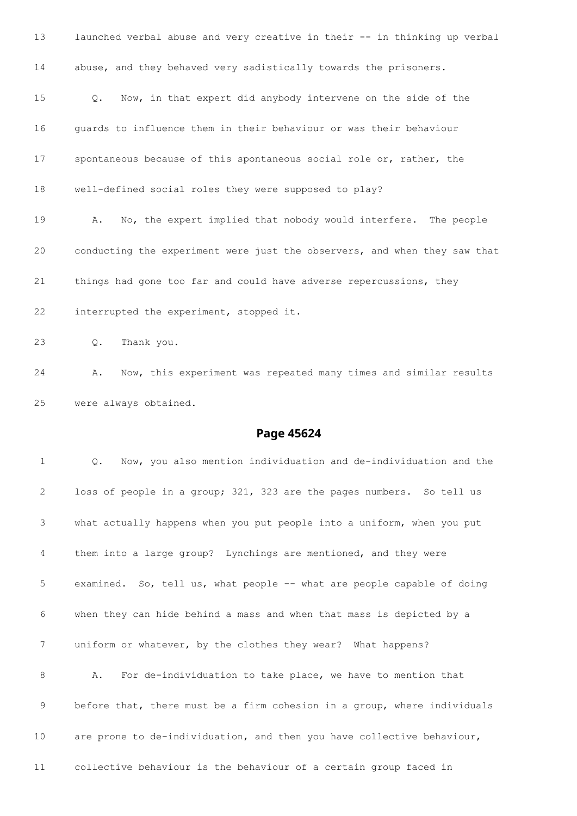launched verbal abuse and very creative in their -- in thinking up verbal abuse, and they behaved very sadistically towards the prisoners. Q. Now, in that expert did anybody intervene on the side of the guards to influence them in their behaviour or was their behaviour spontaneous because of this spontaneous social role or, rather, the well-defined social roles they were supposed to play? A. No, the expert implied that nobody would interfere. The people conducting the experiment were just the observers, and when they saw that things had gone too far and could have adverse repercussions, they interrupted the experiment, stopped it. Q. Thank you. A. Now, this experiment was repeated many times and similar results

were always obtained.

## **Page 45624**

 Q. Now, you also mention individuation and de-individuation and the loss of people in a group; 321, 323 are the pages numbers. So tell us what actually happens when you put people into a uniform, when you put them into a large group? Lynchings are mentioned, and they were examined. So, tell us, what people -- what are people capable of doing when they can hide behind a mass and when that mass is depicted by a uniform or whatever, by the clothes they wear? What happens? A. For de-individuation to take place, we have to mention that before that, there must be a firm cohesion in a group, where individuals are prone to de-individuation, and then you have collective behaviour, collective behaviour is the behaviour of a certain group faced in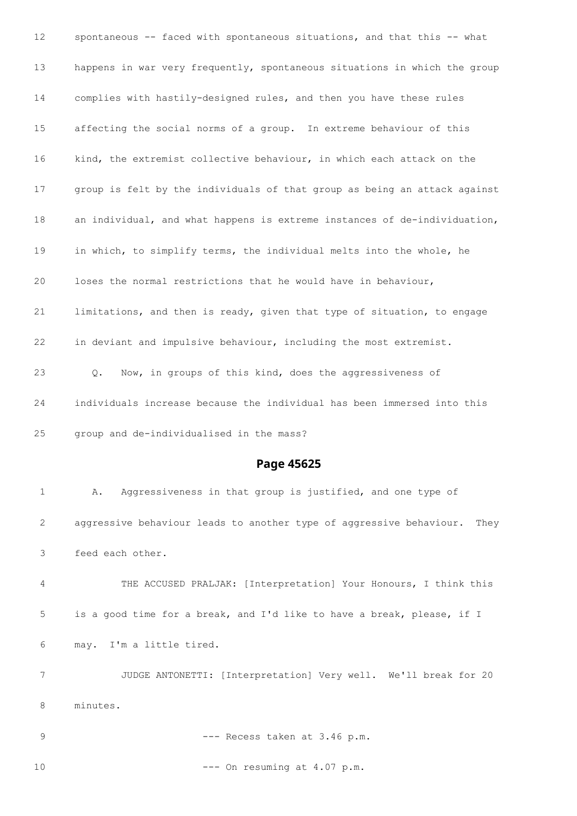|              | spontaneous -- faced with spontaneous situations, and that this -- what     |
|--------------|-----------------------------------------------------------------------------|
| 13           | happens in war very frequently, spontaneous situations in which the group   |
| 14           | complies with hastily-designed rules, and then you have these rules         |
| 15           | affecting the social norms of a group. In extreme behaviour of this         |
| 16           | kind, the extremist collective behaviour, in which each attack on the       |
| 17           | group is felt by the individuals of that group as being an attack against   |
| 18           | an individual, and what happens is extreme instances of de-individuation,   |
| 19           | in which, to simplify terms, the individual melts into the whole, he        |
| 20           | loses the normal restrictions that he would have in behaviour,              |
| 21           | limitations, and then is ready, given that type of situation, to engage     |
| 22           | in deviant and impulsive behaviour, including the most extremist.           |
| 23           | Now, in groups of this kind, does the aggressiveness of<br>$Q_{\bullet}$    |
| 24           | individuals increase because the individual has been immersed into this     |
| 25           | group and de-individualised in the mass?                                    |
|              |                                                                             |
|              | Page 45625                                                                  |
| $\mathbf{1}$ | Aggressiveness in that group is justified, and one type of<br>Α.            |
| 2            | aggressive behaviour leads to another type of aggressive behaviour.<br>They |
| 3            | feed each other.                                                            |
| 4            | THE ACCUSED PRALJAK: [Interpretation] Your Honours, I think this            |
| 5            | is a good time for a break, and I'd like to have a break, please, if I      |
| 6            | may. I'm a little tired.                                                    |
| 7            | JUDGE ANTONETTI: [Interpretation] Very well. We'll break for 20             |
| 8            | minutes.                                                                    |

10 --- On resuming at 4.07 p.m.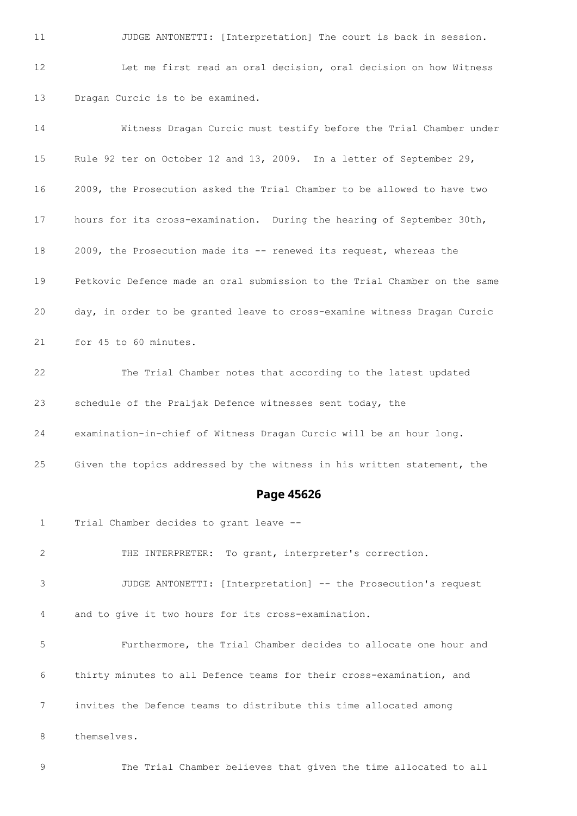11 JUDGE ANTONETTI: [Interpretation] The court is back in session. Let me first read an oral decision, oral decision on how Witness Dragan Curcic is to be examined.

 Witness Dragan Curcic must testify before the Trial Chamber under Rule 92 ter on October 12 and 13, 2009. In a letter of September 29, 2009, the Prosecution asked the Trial Chamber to be allowed to have two hours for its cross-examination. During the hearing of September 30th, 2009, the Prosecution made its -- renewed its request, whereas the Petkovic Defence made an oral submission to the Trial Chamber on the same day, in order to be granted leave to cross-examine witness Dragan Curcic for 45 to 60 minutes. The Trial Chamber notes that according to the latest updated

schedule of the Praljak Defence witnesses sent today, the

examination-in-chief of Witness Dragan Curcic will be an hour long.

Given the topics addressed by the witness in his written statement, the

#### **Page 45626**

Trial Chamber decides to grant leave --

 THE INTERPRETER: To grant, interpreter's correction. JUDGE ANTONETTI: [Interpretation] -- the Prosecution's request and to give it two hours for its cross-examination. Furthermore, the Trial Chamber decides to allocate one hour and thirty minutes to all Defence teams for their cross-examination, and invites the Defence teams to distribute this time allocated among themselves.

The Trial Chamber believes that given the time allocated to all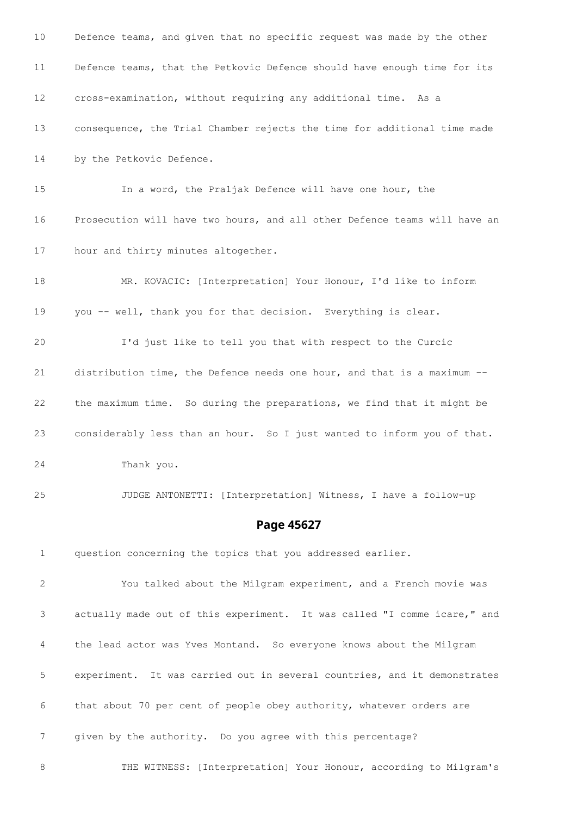| 10             | Defence teams, and given that no specific request was made by the other   |
|----------------|---------------------------------------------------------------------------|
| 11             | Defence teams, that the Petkovic Defence should have enough time for its  |
| 12             | cross-examination, without requiring any additional time. As a            |
| 13             | consequence, the Trial Chamber rejects the time for additional time made  |
| 14             | by the Petkovic Defence.                                                  |
| 15             | In a word, the Praljak Defence will have one hour, the                    |
| 16             | Prosecution will have two hours, and all other Defence teams will have an |
| 17             | hour and thirty minutes altogether.                                       |
| 18             | MR. KOVACIC: [Interpretation] Your Honour, I'd like to inform             |
| 19             | you -- well, thank you for that decision. Everything is clear.            |
| 20             | I'd just like to tell you that with respect to the Curcic                 |
| 21             | distribution time, the Defence needs one hour, and that is a maximum --   |
| 22             | the maximum time. So during the preparations, we find that it might be    |
| 23             | considerably less than an hour. So I just wanted to inform you of that.   |
| 24             | Thank you.                                                                |
| 25             | JUDGE ANTONETTI: [Interpretation] Witness, I have a follow-up             |
|                | Page 45627                                                                |
| $\mathbf 1$    | question concerning the topics that you addressed earlier.                |
| 2              | You talked about the Milgram experiment, and a French movie was           |
| 3              | actually made out of this experiment. It was called "I comme icare," and  |
| 4              | the lead actor was Yves Montand. So everyone knows about the Milgram      |
| 5              | experiment. It was carried out in several countries, and it demonstrates  |
| 6              | that about 70 per cent of people obey authority, whatever orders are      |
| $\overline{7}$ | given by the authority. Do you agree with this percentage?                |
| 8              | THE WITNESS: [Interpretation] Your Honour, according to Milgram's         |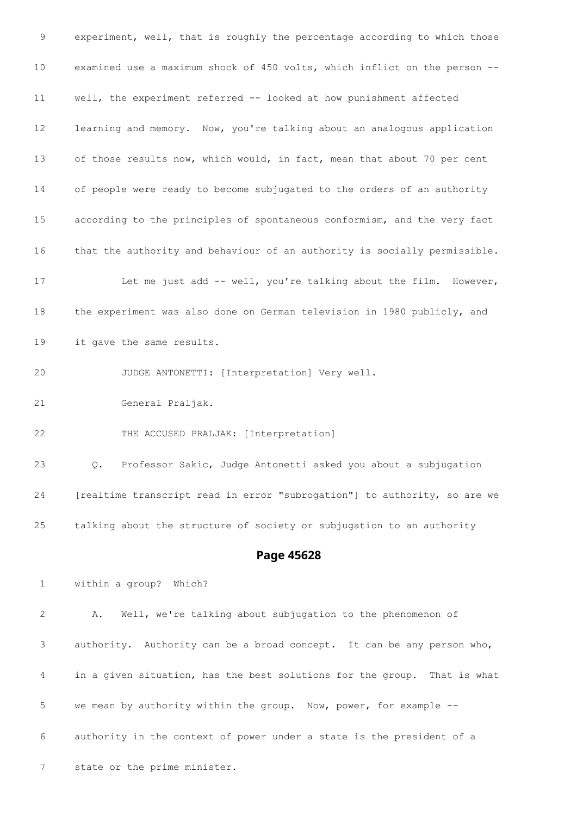experiment, well, that is roughly the percentage according to which those examined use a maximum shock of 450 volts, which inflict on the person -- well, the experiment referred -- looked at how punishment affected learning and memory. Now, you're talking about an analogous application of those results now, which would, in fact, mean that about 70 per cent of people were ready to become subjugated to the orders of an authority according to the principles of spontaneous conformism, and the very fact that the authority and behaviour of an authority is socially permissible. 17 Let me just add -- well, you're talking about the film. However, the experiment was also done on German television in 1980 publicly, and it gave the same results. JUDGE ANTONETTI: [Interpretation] Very well. General Praljak. THE ACCUSED PRALJAK: [Interpretation] Q. Professor Sakic, Judge Antonetti asked you about a subjugation [realtime transcript read in error "subrogation"] to authority, so are we talking about the structure of society or subjugation to an authority **Page 45628** within a group? Which? A. Well, we're talking about subjugation to the phenomenon of authority. Authority can be a broad concept. It can be any person who, in a given situation, has the best solutions for the group. That is what we mean by authority within the group. Now, power, for example -- authority in the context of power under a state is the president of a state or the prime minister.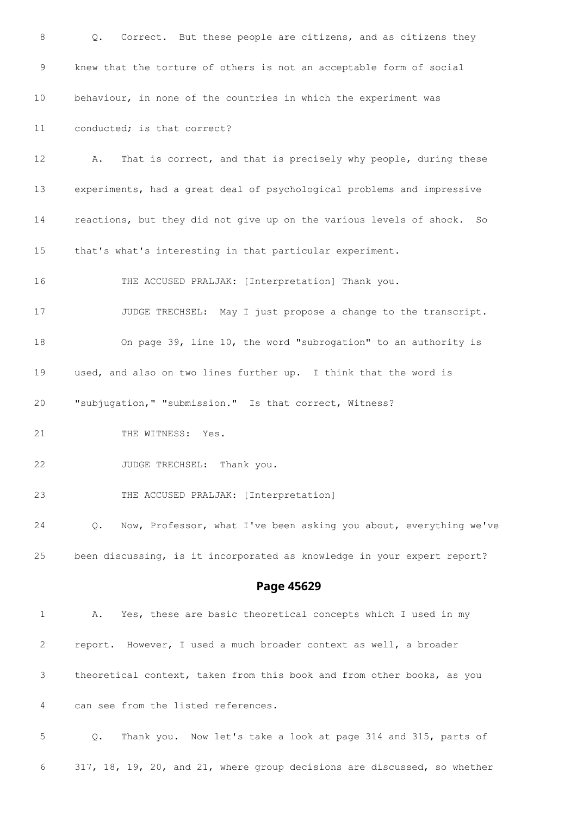| 8  | Correct. But these people are citizens, and as citizens they<br>Q.        |
|----|---------------------------------------------------------------------------|
| 9  | knew that the torture of others is not an acceptable form of social       |
| 10 | behaviour, in none of the countries in which the experiment was           |
| 11 | conducted; is that correct?                                               |
| 12 | That is correct, and that is precisely why people, during these<br>Α.     |
| 13 | experiments, had a great deal of psychological problems and impressive    |
| 14 | reactions, but they did not give up on the various levels of shock.<br>So |
| 15 | that's what's interesting in that particular experiment.                  |
| 16 | THE ACCUSED PRALJAK: [Interpretation] Thank you.                          |
| 17 | JUDGE TRECHSEL: May I just propose a change to the transcript.            |
| 18 | On page 39, line 10, the word "subrogation" to an authority is            |
| 19 | used, and also on two lines further up. I think that the word is          |
| 20 | "subjugation," "submission." Is that correct, Witness?                    |
| 21 | THE WITNESS: Yes.                                                         |
| 22 | JUDGE TRECHSEL: Thank you.                                                |
| 23 | THE ACCUSED PRALJAK: [Interpretation]                                     |
| 24 | Now, Professor, what I've been asking you about, everything we've<br>Q.   |
| 25 | been discussing, is it incorporated as knowledge in your expert report?   |
|    | Page 45629                                                                |
| 1  | Yes, these are basic theoretical concepts which I used in my<br>Α.        |
| 2  | report. However, I used a much broader context as well, a broader         |
| 3  | theoretical context, taken from this book and from other books, as you    |
| 4  | can see from the listed references.                                       |
| 5  | Q.<br>Thank you. Now let's take a look at page 314 and 315, parts of      |
| 6  | 317, 18, 19, 20, and 21, where group decisions are discussed, so whether  |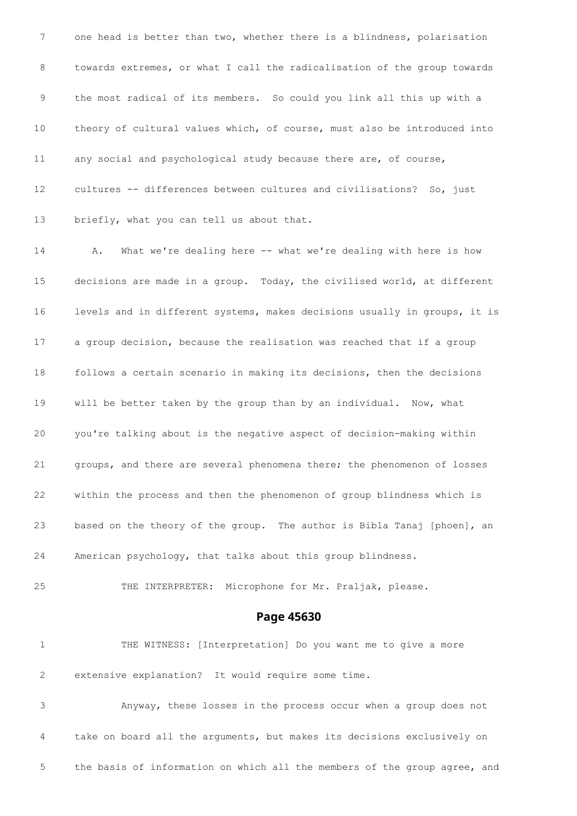one head is better than two, whether there is a blindness, polarisation towards extremes, or what I call the radicalisation of the group towards the most radical of its members. So could you link all this up with a theory of cultural values which, of course, must also be introduced into any social and psychological study because there are, of course, cultures -- differences between cultures and civilisations? So, just 13 briefly, what you can tell us about that.

 A. What we're dealing here -- what we're dealing with here is how decisions are made in a group. Today, the civilised world, at different levels and in different systems, makes decisions usually in groups, it is a group decision, because the realisation was reached that if a group follows a certain scenario in making its decisions, then the decisions will be better taken by the group than by an individual. Now, what you're talking about is the negative aspect of decision-making within groups, and there are several phenomena there; the phenomenon of losses within the process and then the phenomenon of group blindness which is based on the theory of the group. The author is Bibla Tanaj [phoen], an American psychology, that talks about this group blindness.

THE INTERPRETER: Microphone for Mr. Praljak, please.

#### **Page 45630**

 THE WITNESS: [Interpretation] Do you want me to give a more extensive explanation? It would require some time.

 Anyway, these losses in the process occur when a group does not take on board all the arguments, but makes its decisions exclusively on the basis of information on which all the members of the group agree, and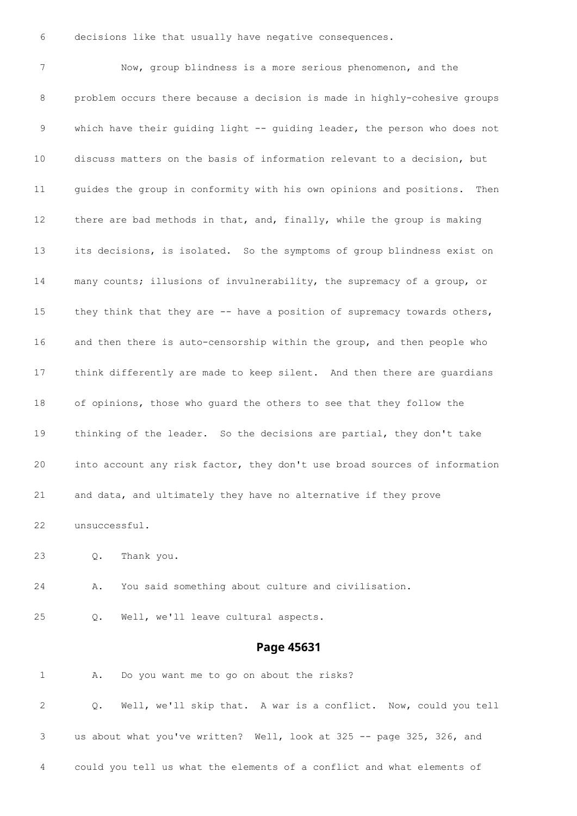decisions like that usually have negative consequences.

 Now, group blindness is a more serious phenomenon, and the problem occurs there because a decision is made in highly-cohesive groups which have their guiding light -- guiding leader, the person who does not discuss matters on the basis of information relevant to a decision, but guides the group in conformity with his own opinions and positions. Then there are bad methods in that, and, finally, while the group is making its decisions, is isolated. So the symptoms of group blindness exist on many counts; illusions of invulnerability, the supremacy of a group, or 15 they think that they are -- have a position of supremacy towards others, and then there is auto-censorship within the group, and then people who think differently are made to keep silent. And then there are guardians of opinions, those who guard the others to see that they follow the thinking of the leader. So the decisions are partial, they don't take into account any risk factor, they don't use broad sources of information and data, and ultimately they have no alternative if they prove unsuccessful.

- Q. Thank you.
- A. You said something about culture and civilisation.
- Q. Well, we'll leave cultural aspects.

#### **Page 45631**

A. Do you want me to go on about the risks?

 Q. Well, we'll skip that. A war is a conflict. Now, could you tell us about what you've written? Well, look at 325 -- page 325, 326, and could you tell us what the elements of a conflict and what elements of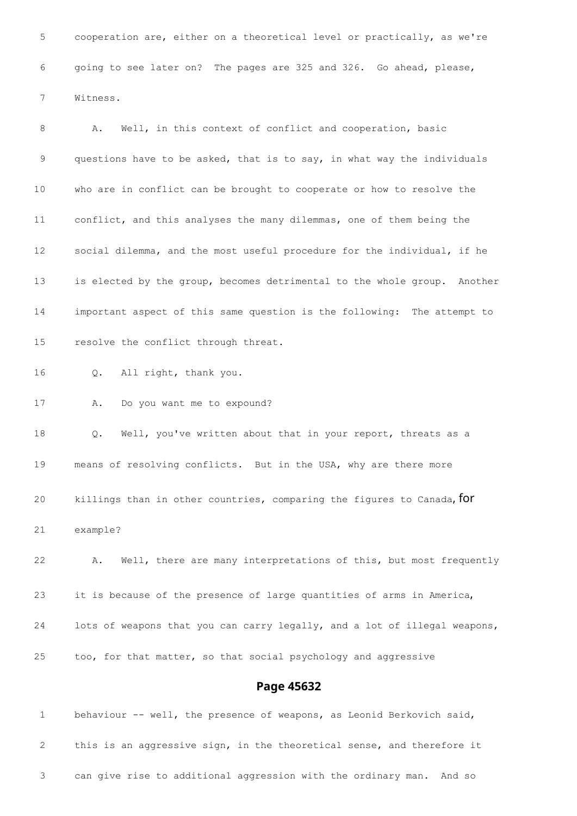cooperation are, either on a theoretical level or practically, as we're going to see later on? The pages are 325 and 326. Go ahead, please, Witness.

8 A. Well, in this context of conflict and cooperation, basic questions have to be asked, that is to say, in what way the individuals who are in conflict can be brought to cooperate or how to resolve the conflict, and this analyses the many dilemmas, one of them being the social dilemma, and the most useful procedure for the individual, if he is elected by the group, becomes detrimental to the whole group. Another important aspect of this same question is the following: The attempt to resolve the conflict through threat. Q. All right, thank you.

A. Do you want me to expound?

 Q. Well, you've written about that in your report, threats as a means of resolving conflicts. But in the USA, why are there more

20 killings than in other countries, comparing the figures to Canada, for example?

 A. Well, there are many interpretations of this, but most frequently it is because of the presence of large quantities of arms in America, lots of weapons that you can carry legally, and a lot of illegal weapons, too, for that matter, so that social psychology and aggressive

#### **Page 45632**

1 behaviour -- well, the presence of weapons, as Leonid Berkovich said, this is an aggressive sign, in the theoretical sense, and therefore it can give rise to additional aggression with the ordinary man. And so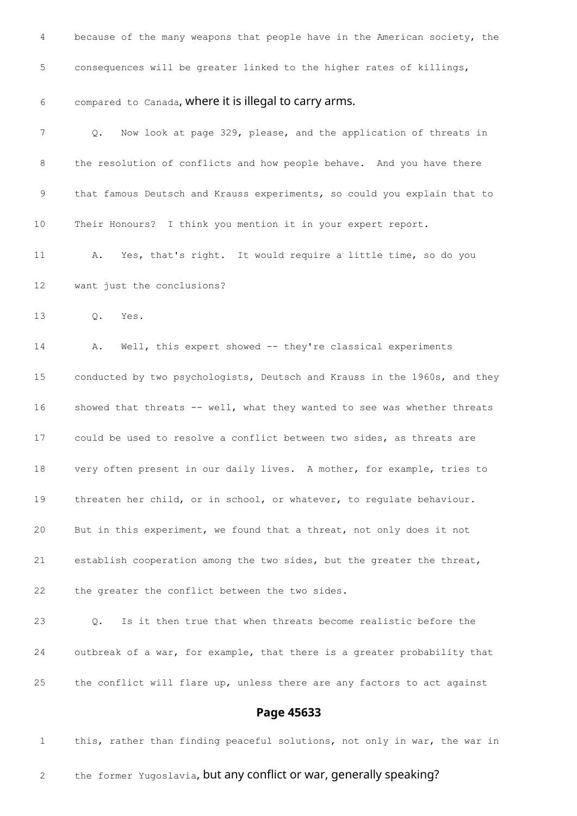| 4               | because of the many weapons that people have in the American society, the |
|-----------------|---------------------------------------------------------------------------|
| 5               | consequences will be greater linked to the higher rates of killings,      |
| 6               | compared to Canada, where it is illegal to carry arms.                    |
| 7               | Now look at page 329, please, and the application of threats in<br>Q.     |
| 8               | the resolution of conflicts and how people behave. And you have there     |
| 9               | that famous Deutsch and Krauss experiments, so could you explain that to  |
| 10              | Their Honours? I think you mention it in your expert report.              |
| 11              | Yes, that's right. It would require a little time, so do you<br>Α.        |
| 12 <sup>°</sup> | want just the conclusions?                                                |
| 13              | Yes.<br>$Q_{\bullet}$                                                     |
| 14              | Well, this expert showed -- they're classical experiments<br>Α.           |
| 15              | conducted by two psychologists, Deutsch and Krauss in the 1960s, and they |
| 16              | showed that threats -- well, what they wanted to see was whether threats  |
| 17              | could be used to resolve a conflict between two sides, as threats are     |
| 18              | very often present in our daily lives. A mother, for example, tries to    |
| 19              | threaten her child, or in school, or whatever, to regulate behaviour.     |
| 20              | But in this experiment, we found that a threat, not only does it not      |
| 21              | establish cooperation among the two sides, but the greater the threat,    |
| 22              | the greater the conflict between the two sides.                           |
| 23              | Is it then true that when threats become realistic before the<br>Q.       |
| 24              | outbreak of a war, for example, that there is a greater probability that  |
| 25              | the conflict will flare up, unless there are any factors to act against   |
|                 | Page 45633                                                                |
| $\mathbf 1$     | this, rather than finding peaceful solutions, not only in war, the war in |

2 the former Yugoslavia, but any conflict or war, generally speaking?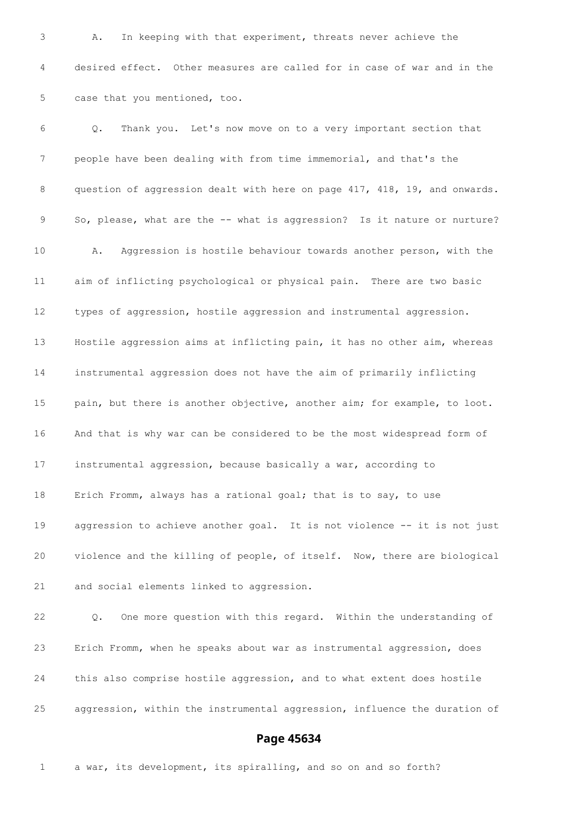A. In keeping with that experiment, threats never achieve the desired effect. Other measures are called for in case of war and in the case that you mentioned, too. Q. Thank you. Let's now move on to a very important section that people have been dealing with from time immemorial, and that's the question of aggression dealt with here on page 417, 418, 19, and onwards. So, please, what are the -- what is aggression? Is it nature or nurture? A. Aggression is hostile behaviour towards another person, with the aim of inflicting psychological or physical pain. There are two basic types of aggression, hostile aggression and instrumental aggression. Hostile aggression aims at inflicting pain, it has no other aim, whereas instrumental aggression does not have the aim of primarily inflicting pain, but there is another objective, another aim; for example, to loot. And that is why war can be considered to be the most widespread form of instrumental aggression, because basically a war, according to Erich Fromm, always has a rational goal; that is to say, to use aggression to achieve another goal. It is not violence -- it is not just violence and the killing of people, of itself. Now, there are biological and social elements linked to aggression. Q. One more question with this regard. Within the understanding of Erich Fromm, when he speaks about war as instrumental aggression, does

aggression, within the instrumental aggression, influence the duration of

#### **Page 45634**

a war, its development, its spiralling, and so on and so forth?

this also comprise hostile aggression, and to what extent does hostile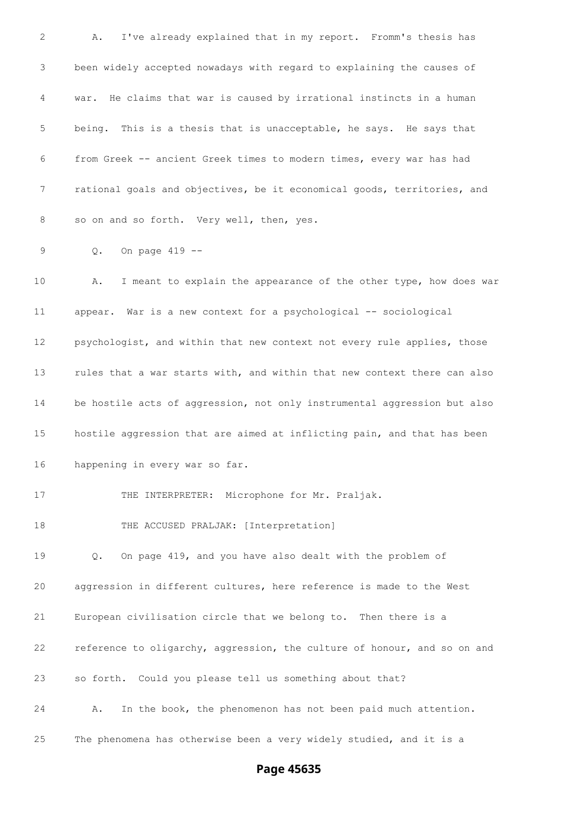A. I've already explained that in my report. Fromm's thesis has been widely accepted nowadays with regard to explaining the causes of war. He claims that war is caused by irrational instincts in a human being. This is a thesis that is unacceptable, he says. He says that from Greek -- ancient Greek times to modern times, every war has had rational goals and objectives, be it economical goods, territories, and 8 so on and so forth. Very well, then, yes. 9 0. On page 419 -- A. I meant to explain the appearance of the other type, how does war appear. War is a new context for a psychological -- sociological 12 psychologist, and within that new context not every rule applies, those rules that a war starts with, and within that new context there can also be hostile acts of aggression, not only instrumental aggression but also hostile aggression that are aimed at inflicting pain, and that has been happening in every war so far. 17 THE INTERPRETER: Microphone for Mr. Praljak. 18 THE ACCUSED PRALJAK: [Interpretation] Q. On page 419, and you have also dealt with the problem of aggression in different cultures, here reference is made to the West European civilisation circle that we belong to. Then there is a reference to oligarchy, aggression, the culture of honour, and so on and so forth. Could you please tell us something about that? A. In the book, the phenomenon has not been paid much attention. The phenomena has otherwise been a very widely studied, and it is a

## **Page 45635**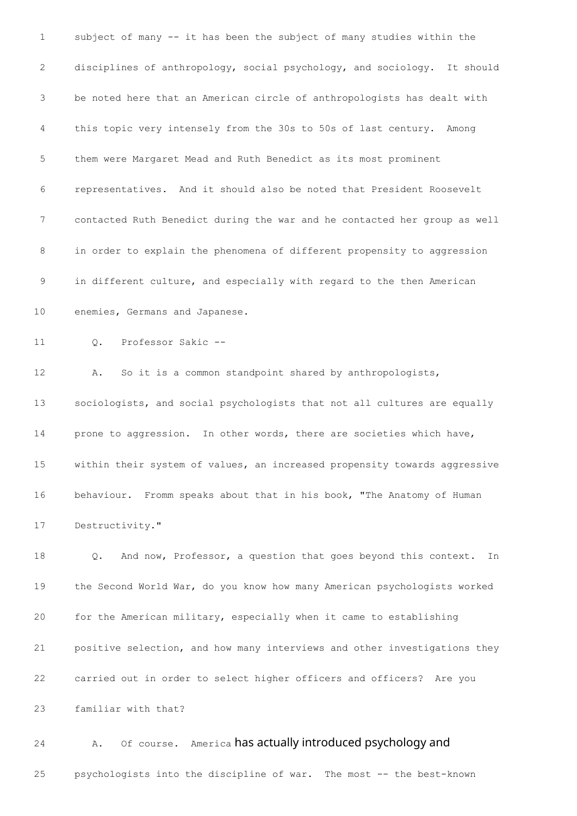subject of many -- it has been the subject of many studies within the disciplines of anthropology, social psychology, and sociology. It should be noted here that an American circle of anthropologists has dealt with this topic very intensely from the 30s to 50s of last century. Among them were Margaret Mead and Ruth Benedict as its most prominent representatives. And it should also be noted that President Roosevelt contacted Ruth Benedict during the war and he contacted her group as well in order to explain the phenomena of different propensity to aggression in different culture, and especially with regard to the then American enemies, Germans and Japanese. Q. Professor Sakic -- A. So it is a common standpoint shared by anthropologists, sociologists, and social psychologists that not all cultures are equally prone to aggression. In other words, there are societies which have, within their system of values, an increased propensity towards aggressive behaviour. Fromm speaks about that in his book, "The Anatomy of Human Destructivity." Q. And now, Professor, a question that goes beyond this context. In the Second World War, do you know how many American psychologists worked for the American military, especially when it came to establishing positive selection, and how many interviews and other investigations they carried out in order to select higher officers and officers? Are you familiar with that?

24 A. Of course. America has actually introduced psychology and

psychologists into the discipline of war. The most -- the best-known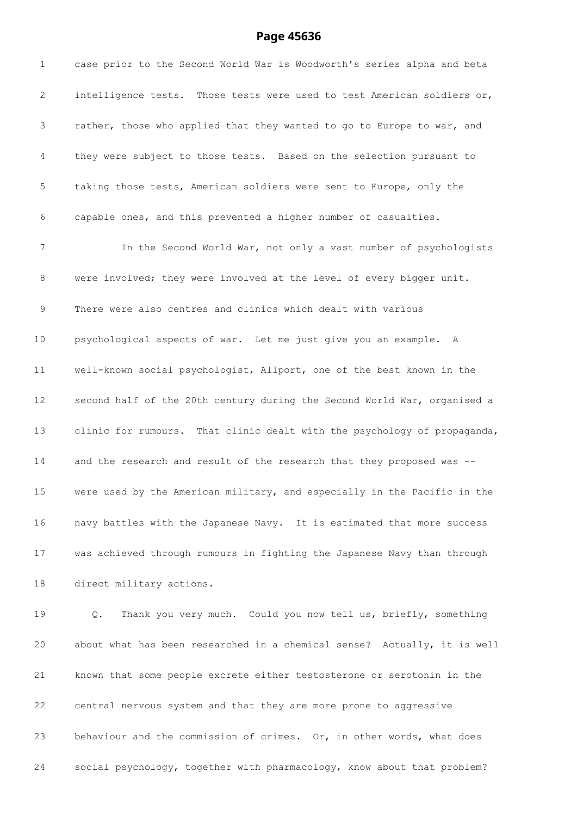# **Page 45636**

| $\mathbf 1$ | case prior to the Second World War is Woodworth's series alpha and beta  |
|-------------|--------------------------------------------------------------------------|
| 2           | intelligence tests. Those tests were used to test American soldiers or,  |
| 3           | rather, those who applied that they wanted to go to Europe to war, and   |
| 4           | they were subject to those tests. Based on the selection pursuant to     |
| 5           | taking those tests, American soldiers were sent to Europe, only the      |
| 6           | capable ones, and this prevented a higher number of casualties.          |
| 7           | In the Second World War, not only a vast number of psychologists         |
| 8           | were involved; they were involved at the level of every bigger unit.     |
| 9           | There were also centres and clinics which dealt with various             |
| $10 \,$     | psychological aspects of war. Let me just give you an example. A         |
| 11          | well-known social psychologist, Allport, one of the best known in the    |
| 12          | second half of the 20th century during the Second World War, organised a |
| 13          | clinic for rumours. That clinic dealt with the psychology of propaganda, |
| 14          | and the research and result of the research that they proposed was --    |
| 15          | were used by the American military, and especially in the Pacific in the |
| 16          | navy battles with the Japanese Navy. It is estimated that more success   |
| 17          | was achieved through rumours in fighting the Japanese Navy than through  |
| 18          | direct military actions.                                                 |
| 19          | Thank you very much. Could you now tell us, briefly, something<br>Q.     |
| 20          | about what has been researched in a chemical sense? Actually, it is well |
| 21          | known that some people excrete either testosterone or serotonin in the   |
| 22          | central nervous system and that they are more prone to aggressive        |
| 23          | behaviour and the commission of crimes. Or, in other words, what does    |
| 24          | social psychology, together with pharmacology, know about that problem?  |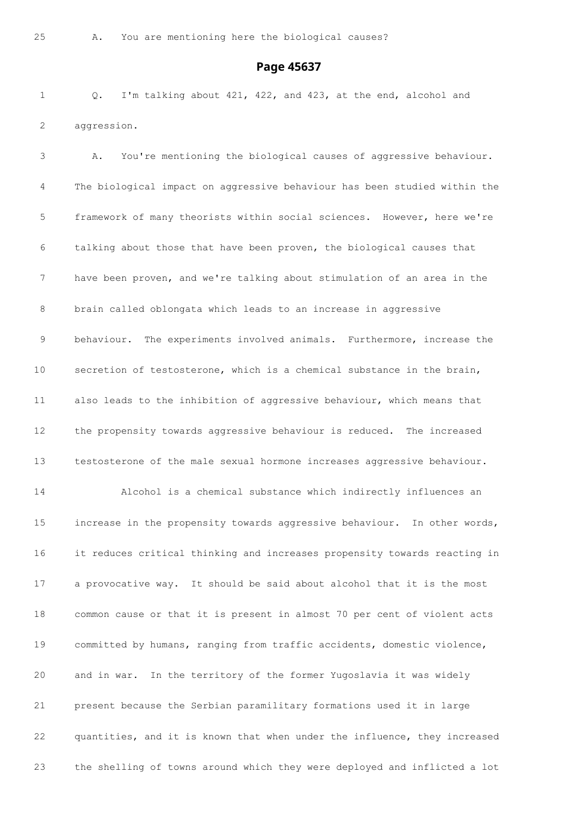#### **Page 45637**

 Q. I'm talking about 421, 422, and 423, at the end, alcohol and aggression.

 A. You're mentioning the biological causes of aggressive behaviour. The biological impact on aggressive behaviour has been studied within the framework of many theorists within social sciences. However, here we're talking about those that have been proven, the biological causes that have been proven, and we're talking about stimulation of an area in the brain called oblongata which leads to an increase in aggressive behaviour. The experiments involved animals. Furthermore, increase the secretion of testosterone, which is a chemical substance in the brain, also leads to the inhibition of aggressive behaviour, which means that the propensity towards aggressive behaviour is reduced. The increased testosterone of the male sexual hormone increases aggressive behaviour. Alcohol is a chemical substance which indirectly influences an increase in the propensity towards aggressive behaviour. In other words, it reduces critical thinking and increases propensity towards reacting in a provocative way. It should be said about alcohol that it is the most common cause or that it is present in almost 70 per cent of violent acts committed by humans, ranging from traffic accidents, domestic violence, and in war. In the territory of the former Yugoslavia it was widely present because the Serbian paramilitary formations used it in large quantities, and it is known that when under the influence, they increased the shelling of towns around which they were deployed and inflicted a lot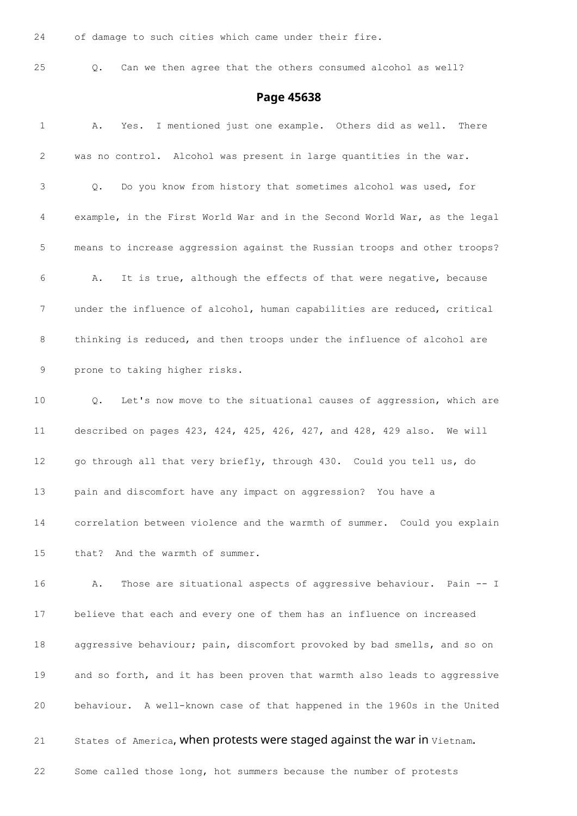of damage to such cities which came under their fire.

Q. Can we then agree that the others consumed alcohol as well?

## **Page 45638**

| 1               | Yes. I mentioned just one example. Others did as well.<br>There<br>Α.     |
|-----------------|---------------------------------------------------------------------------|
| $\mathbf{2}$    | was no control. Alcohol was present in large quantities in the war.       |
| 3               | Do you know from history that sometimes alcohol was used, for<br>$Q$ .    |
| 4               | example, in the First World War and in the Second World War, as the legal |
| 5               | means to increase aggression against the Russian troops and other troops? |
| 6               | It is true, although the effects of that were negative, because<br>Α.     |
| 7               | under the influence of alcohol, human capabilities are reduced, critical  |
| 8               | thinking is reduced, and then troops under the influence of alcohol are   |
| 9               | prone to taking higher risks.                                             |
| 10              | Let's now move to the situational causes of aggression, which are<br>Q.   |
| 11              | described on pages 423, 424, 425, 426, 427, and 428, 429 also. We will    |
| 12              | go through all that very briefly, through 430. Could you tell us, do      |
| 13              | pain and discomfort have any impact on aggression? You have a             |
| 14              | correlation between violence and the warmth of summer. Could you explain  |
| 15 <sub>1</sub> | that? And the warmth of summer.                                           |
| 16              | Those are situational aspects of aggressive behaviour. Pain -- I<br>Α.    |
| 17              | believe that each and every one of them has an influence on increased     |
| 18              | aggressive behaviour; pain, discomfort provoked by bad smells, and so on  |
| 19              | and so forth, and it has been proven that warmth also leads to aggressive |
| 20              | behaviour. A well-known case of that happened in the 1960s in the United  |
|                 |                                                                           |

21 States of America, when protests were staged against the war in Vietnam.

Some called those long, hot summers because the number of protests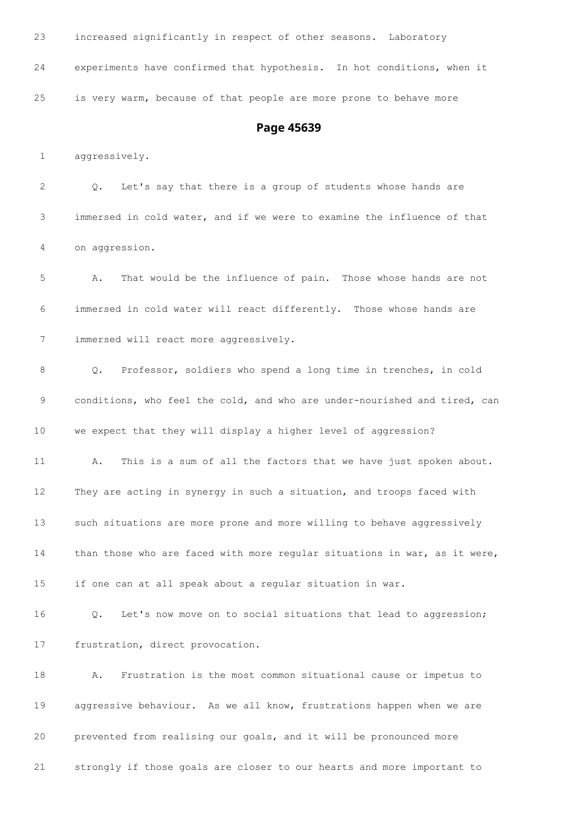| 23          | increased significantly in respect of other seasons. Laboratory                 |
|-------------|---------------------------------------------------------------------------------|
| 24          | experiments have confirmed that hypothesis. In hot conditions, when it          |
| 25          | is very warm, because of that people are more prone to behave more              |
|             | Page 45639                                                                      |
| $\mathbf 1$ | aggressively.                                                                   |
| 2           | Let's say that there is a group of students whose hands are<br>$\circ$ .        |
| 3           | immersed in cold water, and if we were to examine the influence of that         |
| 4           | on aggression.                                                                  |
| 5           | That would be the influence of pain. Those whose hands are not<br>Α.            |
| 6           | immersed in cold water will react differently. Those whose hands are            |
| 7           | immersed will react more aggressively.                                          |
| 8           | Professor, soldiers who spend a long time in trenches, in cold<br>$Q_{\bullet}$ |
| 9           | conditions, who feel the cold, and who are under-nourished and tired, can       |

we expect that they will display a higher level of aggression?

 A. This is a sum of all the factors that we have just spoken about. They are acting in synergy in such a situation, and troops faced with such situations are more prone and more willing to behave aggressively 14 than those who are faced with more regular situations in war, as it were, if one can at all speak about a regular situation in war.

 Q. Let's now move on to social situations that lead to aggression; frustration, direct provocation.

 A. Frustration is the most common situational cause or impetus to aggressive behaviour. As we all know, frustrations happen when we are prevented from realising our goals, and it will be pronounced more strongly if those goals are closer to our hearts and more important to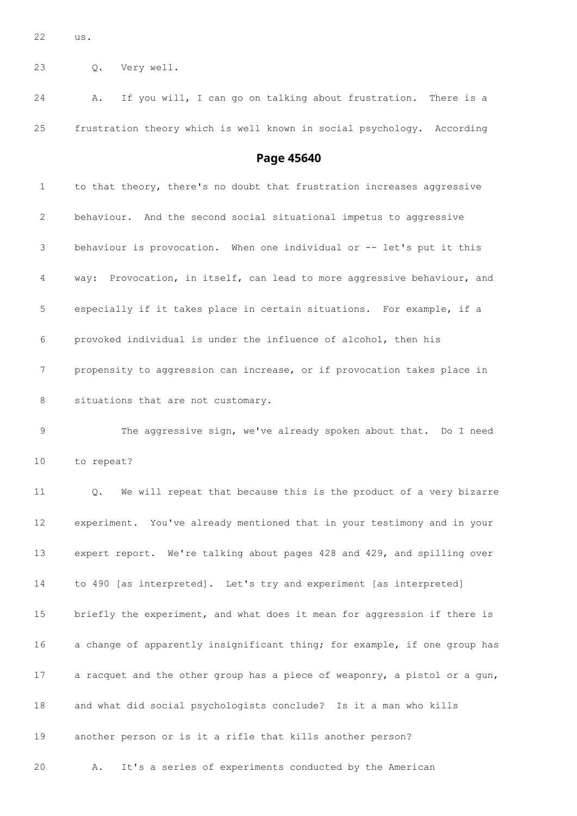us.

Q. Very well.

 A. If you will, I can go on talking about frustration. There is a frustration theory which is well known in social psychology. According

#### **Page 45640**

 to that theory, there's no doubt that frustration increases aggressive behaviour. And the second social situational impetus to aggressive behaviour is provocation. When one individual or -- let's put it this way: Provocation, in itself, can lead to more aggressive behaviour, and especially if it takes place in certain situations. For example, if a provoked individual is under the influence of alcohol, then his propensity to aggression can increase, or if provocation takes place in 8 situations that are not customary. The aggressive sign, we've already spoken about that. Do I need to repeat? Q. We will repeat that because this is the product of a very bizarre experiment. You've already mentioned that in your testimony and in your expert report. We're talking about pages 428 and 429, and spilling over to 490 [as interpreted]. Let's try and experiment [as interpreted] 15 briefly the experiment, and what does it mean for aggression if there is a change of apparently insignificant thing; for example, if one group has a racquet and the other group has a piece of weaponry, a pistol or a gun, and what did social psychologists conclude? Is it a man who kills another person or is it a rifle that kills another person? A. It's a series of experiments conducted by the American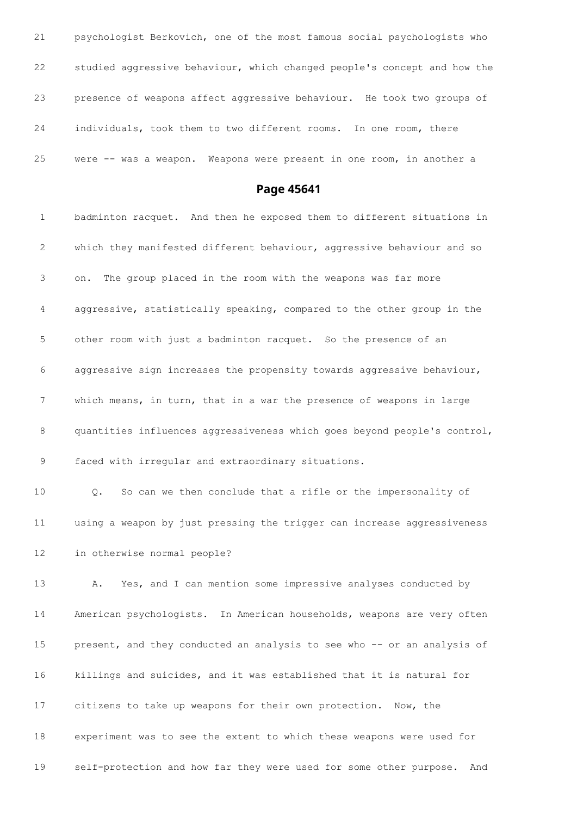psychologist Berkovich, one of the most famous social psychologists who studied aggressive behaviour, which changed people's concept and how the presence of weapons affect aggressive behaviour. He took two groups of individuals, took them to two different rooms. In one room, there were -- was a weapon. Weapons were present in one room, in another a

**Page 45641**

 badminton racquet. And then he exposed them to different situations in which they manifested different behaviour, aggressive behaviour and so on. The group placed in the room with the weapons was far more aggressive, statistically speaking, compared to the other group in the other room with just a badminton racquet. So the presence of an aggressive sign increases the propensity towards aggressive behaviour, which means, in turn, that in a war the presence of weapons in large quantities influences aggressiveness which goes beyond people's control, faced with irregular and extraordinary situations. Q. So can we then conclude that a rifle or the impersonality of using a weapon by just pressing the trigger can increase aggressiveness in otherwise normal people? A. Yes, and I can mention some impressive analyses conducted by American psychologists. In American households, weapons are very often present, and they conducted an analysis to see who -- or an analysis of killings and suicides, and it was established that it is natural for citizens to take up weapons for their own protection. Now, the experiment was to see the extent to which these weapons were used for self-protection and how far they were used for some other purpose. And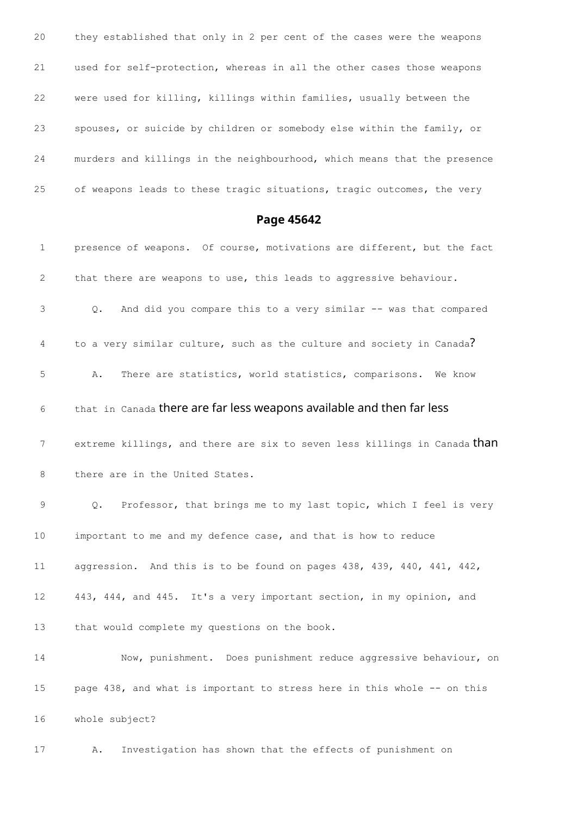they established that only in 2 per cent of the cases were the weapons used for self-protection, whereas in all the other cases those weapons were used for killing, killings within families, usually between the spouses, or suicide by children or somebody else within the family, or murders and killings in the neighbourhood, which means that the presence of weapons leads to these tragic situations, tragic outcomes, the very

#### **Page 45642**

 presence of weapons. Of course, motivations are different, but the fact that there are weapons to use, this leads to aggressive behaviour. Q. And did you compare this to a very similar -- was that compared 4 to a very similar culture, such as the culture and society in Canada? A. There are statistics, world statistics, comparisons. We know that in Canada there are far less weapons available and then far less 7 extreme killings, and there are six to seven less killings in Canada than 8 there are in the United States. Q. Professor, that brings me to my last topic, which I feel is very important to me and my defence case, and that is how to reduce aggression. And this is to be found on pages 438, 439, 440, 441, 442, 443, 444, and 445. It's a very important section, in my opinion, and that would complete my questions on the book. Now, punishment. Does punishment reduce aggressive behaviour, on page 438, and what is important to stress here in this whole -- on this whole subject? A. Investigation has shown that the effects of punishment on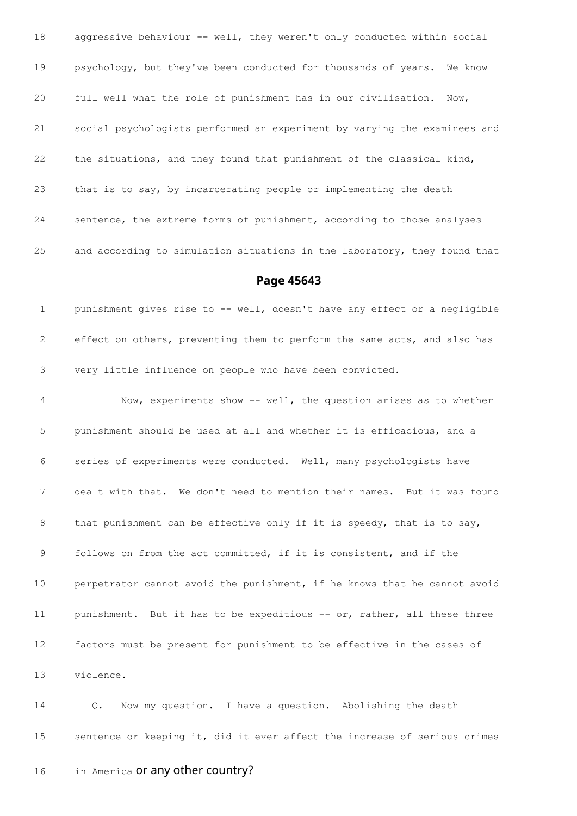18 aggressive behaviour -- well, they weren't only conducted within social psychology, but they've been conducted for thousands of years. We know full well what the role of punishment has in our civilisation. Now, social psychologists performed an experiment by varying the examinees and the situations, and they found that punishment of the classical kind, that is to say, by incarcerating people or implementing the death sentence, the extreme forms of punishment, according to those analyses and according to simulation situations in the laboratory, they found that

#### **Page 45643**

 punishment gives rise to -- well, doesn't have any effect or a negligible effect on others, preventing them to perform the same acts, and also has very little influence on people who have been convicted.

 Now, experiments show -- well, the question arises as to whether punishment should be used at all and whether it is efficacious, and a series of experiments were conducted. Well, many psychologists have dealt with that. We don't need to mention their names. But it was found 8 that punishment can be effective only if it is speedy, that is to say, follows on from the act committed, if it is consistent, and if the perpetrator cannot avoid the punishment, if he knows that he cannot avoid 11 punishment. But it has to be expeditious -- or, rather, all these three factors must be present for punishment to be effective in the cases of violence.

 Q. Now my question. I have a question. Abolishing the death sentence or keeping it, did it ever affect the increase of serious crimes

16 in America or any other country?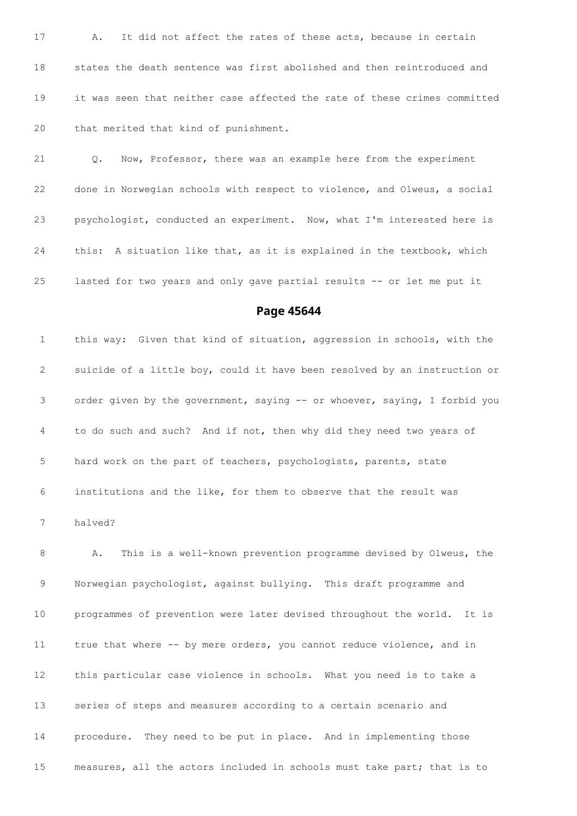A. It did not affect the rates of these acts, because in certain states the death sentence was first abolished and then reintroduced and it was seen that neither case affected the rate of these crimes committed that merited that kind of punishment.

 Q. Now, Professor, there was an example here from the experiment done in Norwegian schools with respect to violence, and Olweus, a social psychologist, conducted an experiment. Now, what I'm interested here is this: A situation like that, as it is explained in the textbook, which lasted for two years and only gave partial results -- or let me put it

#### **Page 45644**

 this way: Given that kind of situation, aggression in schools, with the suicide of a little boy, could it have been resolved by an instruction or order given by the government, saying -- or whoever, saying, I forbid you to do such and such? And if not, then why did they need two years of hard work on the part of teachers, psychologists, parents, state institutions and the like, for them to observe that the result was halved?

 A. This is a well-known prevention programme devised by Olweus, the Norwegian psychologist, against bullying. This draft programme and programmes of prevention were later devised throughout the world. It is true that where -- by mere orders, you cannot reduce violence, and in this particular case violence in schools. What you need is to take a series of steps and measures according to a certain scenario and procedure. They need to be put in place. And in implementing those measures, all the actors included in schools must take part; that is to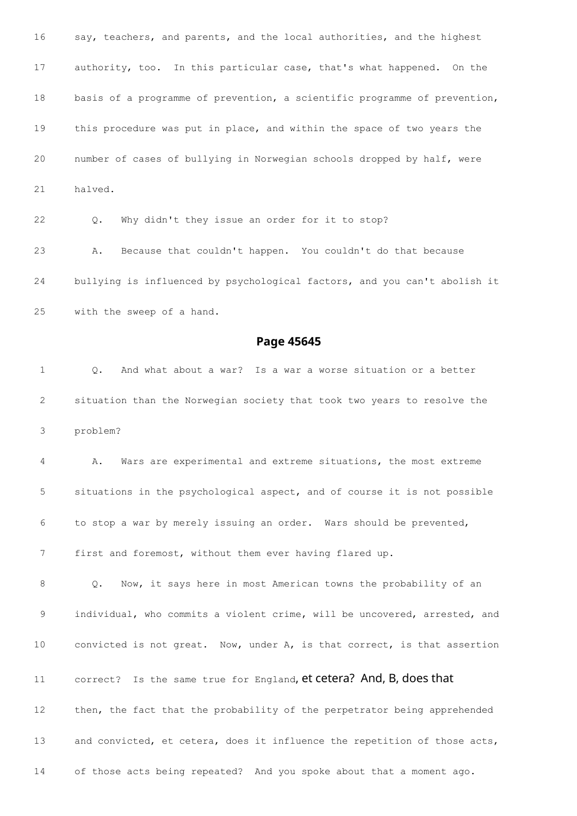say, teachers, and parents, and the local authorities, and the highest authority, too. In this particular case, that's what happened. On the basis of a programme of prevention, a scientific programme of prevention, this procedure was put in place, and within the space of two years the number of cases of bullying in Norwegian schools dropped by half, were halved. Q. Why didn't they issue an order for it to stop? A. Because that couldn't happen. You couldn't do that because bullying is influenced by psychological factors, and you can't abolish it with the sweep of a hand.

**Page 45645**

 Q. And what about a war? Is a war a worse situation or a better situation than the Norwegian society that took two years to resolve the problem?

 A. Wars are experimental and extreme situations, the most extreme situations in the psychological aspect, and of course it is not possible to stop a war by merely issuing an order. Wars should be prevented, first and foremost, without them ever having flared up.

 Q. Now, it says here in most American towns the probability of an 9 individual, who commits a violent crime, will be uncovered, arrested, and convicted is not great. Now, under A, is that correct, is that assertion 11 correct? Is the same true for England, et cetera? And, B, does that

13 and convicted, et cetera, does it influence the repetition of those acts,

then, the fact that the probability of the perpetrator being apprehended

of those acts being repeated? And you spoke about that a moment ago.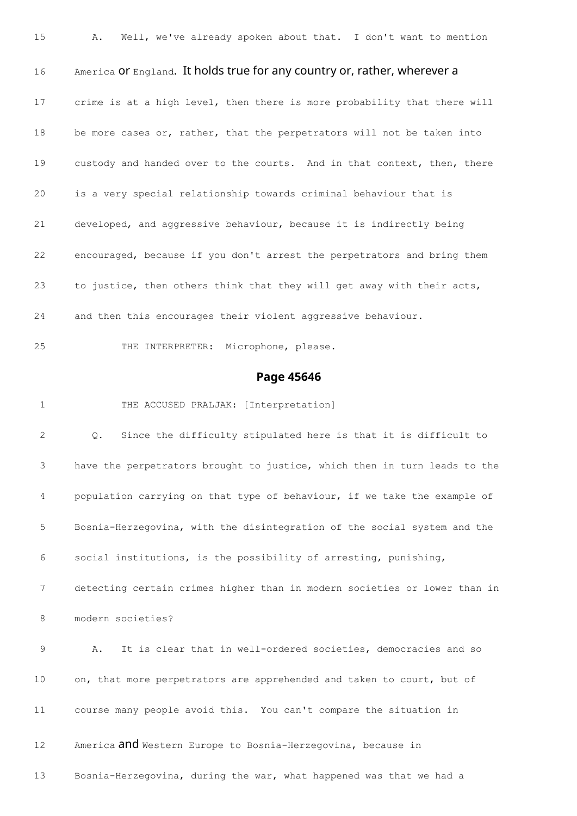A. Well, we've already spoken about that. I don't want to mention 16 America or England. It holds true for any country or, rather, wherever a crime is at a high level, then there is more probability that there will 18 be more cases or, rather, that the perpetrators will not be taken into custody and handed over to the courts. And in that context, then, there is a very special relationship towards criminal behaviour that is developed, and aggressive behaviour, because it is indirectly being encouraged, because if you don't arrest the perpetrators and bring them to justice, then others think that they will get away with their acts, and then this encourages their violent aggressive behaviour. THE INTERPRETER: Microphone, please.

### **Page 45646**

1 THE ACCUSED PRALJAK: [Interpretation]

 Q. Since the difficulty stipulated here is that it is difficult to have the perpetrators brought to justice, which then in turn leads to the population carrying on that type of behaviour, if we take the example of Bosnia-Herzegovina, with the disintegration of the social system and the social institutions, is the possibility of arresting, punishing, detecting certain crimes higher than in modern societies or lower than in modern societies? A. It is clear that in well-ordered societies, democracies and so 10 on, that more perpetrators are apprehended and taken to court, but of course many people avoid this. You can't compare the situation in America and Western Europe to Bosnia-Herzegovina, because in Bosnia-Herzegovina, during the war, what happened was that we had a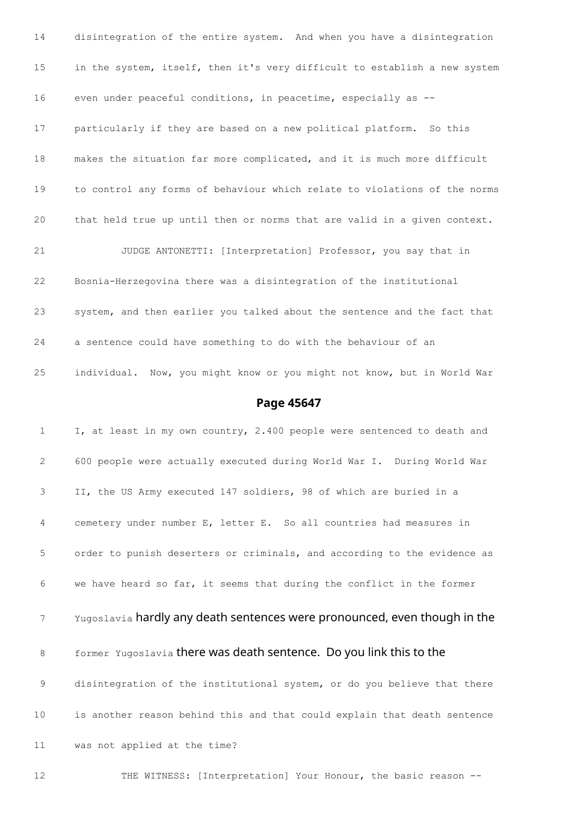disintegration of the entire system. And when you have a disintegration in the system, itself, then it's very difficult to establish a new system even under peaceful conditions, in peacetime, especially as -- particularly if they are based on a new political platform. So this makes the situation far more complicated, and it is much more difficult to control any forms of behaviour which relate to violations of the norms that held true up until then or norms that are valid in a given context. JUDGE ANTONETTI: [Interpretation] Professor, you say that in Bosnia-Herzegovina there was a disintegration of the institutional system, and then earlier you talked about the sentence and the fact that a sentence could have something to do with the behaviour of an individual. Now, you might know or you might not know, but in World War

#### **Page 45647**

 I, at least in my own country, 2.400 people were sentenced to death and 600 people were actually executed during World War I. During World War II, the US Army executed 147 soldiers, 98 of which are buried in a cemetery under number E, letter E. So all countries had measures in order to punish deserters or criminals, and according to the evidence as we have heard so far, it seems that during the conflict in the former Yugoslavia hardly any death sentences were pronounced, even though in the 8 former Yugoslavia there was death sentence. Do you link this to the disintegration of the institutional system, or do you believe that there is another reason behind this and that could explain that death sentence was not applied at the time?

THE WITNESS: [Interpretation] Your Honour, the basic reason --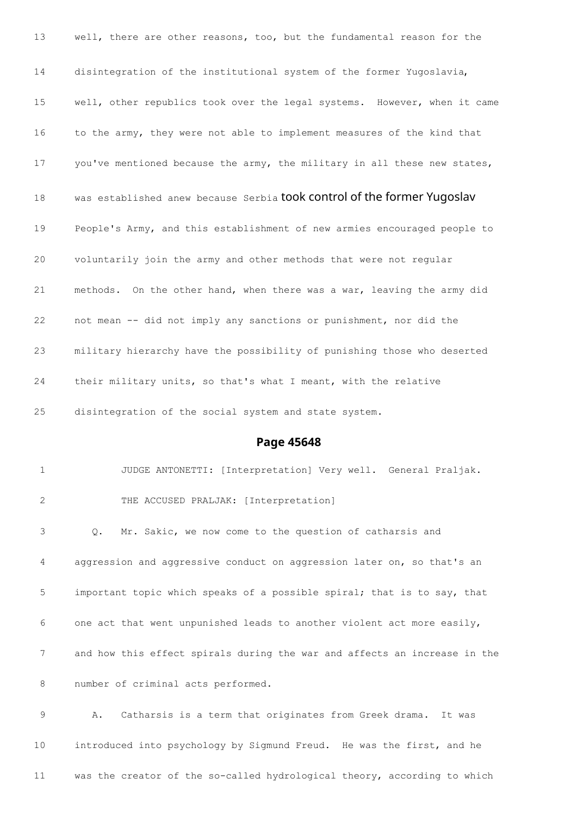well, there are other reasons, too, but the fundamental reason for the disintegration of the institutional system of the former Yugoslavia, well, other republics took over the legal systems. However, when it came to the army, they were not able to implement measures of the kind that 17 you've mentioned because the army, the military in all these new states, 18 was established anew because Serbia took control of the former Yugoslav People's Army, and this establishment of new armies encouraged people to voluntarily join the army and other methods that were not regular methods. On the other hand, when there was a war, leaving the army did not mean -- did not imply any sanctions or punishment, nor did the military hierarchy have the possibility of punishing those who deserted their military units, so that's what I meant, with the relative disintegration of the social system and state system.

#### **Page 45648**

 JUDGE ANTONETTI: [Interpretation] Very well. General Praljak. THE ACCUSED PRALJAK: [Interpretation] Q. Mr. Sakic, we now come to the question of catharsis and aggression and aggressive conduct on aggression later on, so that's an important topic which speaks of a possible spiral; that is to say, that one act that went unpunished leads to another violent act more easily, and how this effect spirals during the war and affects an increase in the number of criminal acts performed.

 A. Catharsis is a term that originates from Greek drama. It was introduced into psychology by Sigmund Freud. He was the first, and he was the creator of the so-called hydrological theory, according to which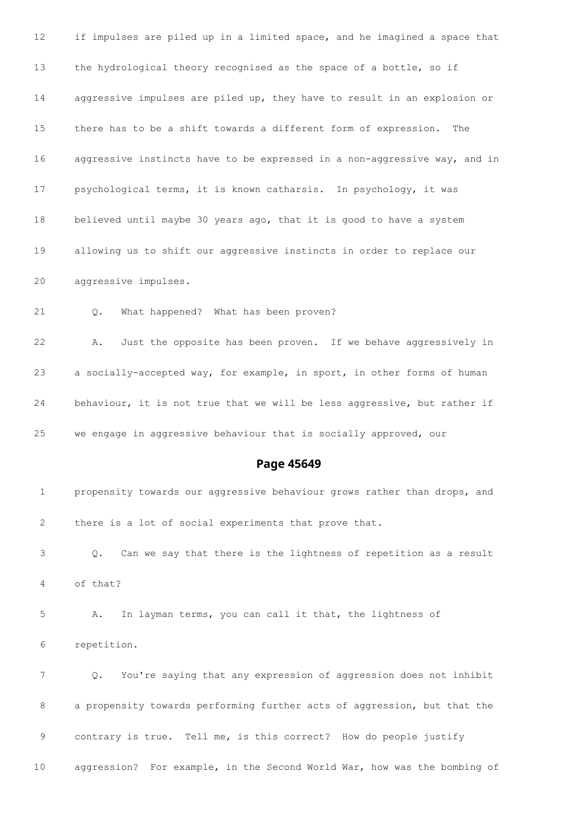if impulses are piled up in a limited space, and he imagined a space that the hydrological theory recognised as the space of a bottle, so if aggressive impulses are piled up, they have to result in an explosion or there has to be a shift towards a different form of expression. The aggressive instincts have to be expressed in a non-aggressive way, and in psychological terms, it is known catharsis. In psychology, it was believed until maybe 30 years ago, that it is good to have a system allowing us to shift our aggressive instincts in order to replace our aggressive impulses. Q. What happened? What has been proven? A. Just the opposite has been proven. If we behave aggressively in a socially-accepted way, for example, in sport, in other forms of human behaviour, it is not true that we will be less aggressive, but rather if we engage in aggressive behaviour that is socially approved, our **Page 45649** propensity towards our aggressive behaviour grows rather than drops, and there is a lot of social experiments that prove that. Q. Can we say that there is the lightness of repetition as a result of that? A. In layman terms, you can call it that, the lightness of repetition. Q. You're saying that any expression of aggression does not inhibit a propensity towards performing further acts of aggression, but that the

contrary is true. Tell me, is this correct? How do people justify

aggression? For example, in the Second World War, how was the bombing of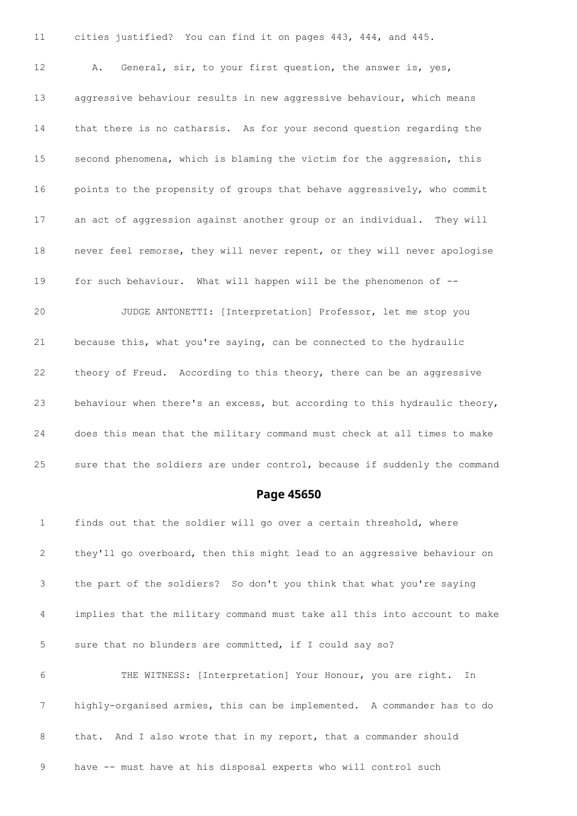cities justified? You can find it on pages 443, 444, and 445. A. General, sir, to your first question, the answer is, yes, aggressive behaviour results in new aggressive behaviour, which means that there is no catharsis. As for your second question regarding the second phenomena, which is blaming the victim for the aggression, this points to the propensity of groups that behave aggressively, who commit an act of aggression against another group or an individual. They will never feel remorse, they will never repent, or they will never apologise for such behaviour. What will happen will be the phenomenon of -- JUDGE ANTONETTI: [Interpretation] Professor, let me stop you because this, what you're saying, can be connected to the hydraulic theory of Freud. According to this theory, there can be an aggressive behaviour when there's an excess, but according to this hydraulic theory, does this mean that the military command must check at all times to make 25 sure that the soldiers are under control, because if suddenly the command

#### **Page 45650**

 finds out that the soldier will go over a certain threshold, where they'll go overboard, then this might lead to an aggressive behaviour on the part of the soldiers? So don't you think that what you're saying implies that the military command must take all this into account to make sure that no blunders are committed, if I could say so? THE WITNESS: [Interpretation] Your Honour, you are right. In highly-organised armies, this can be implemented. A commander has to do 8 that. And I also wrote that in my report, that a commander should

have -- must have at his disposal experts who will control such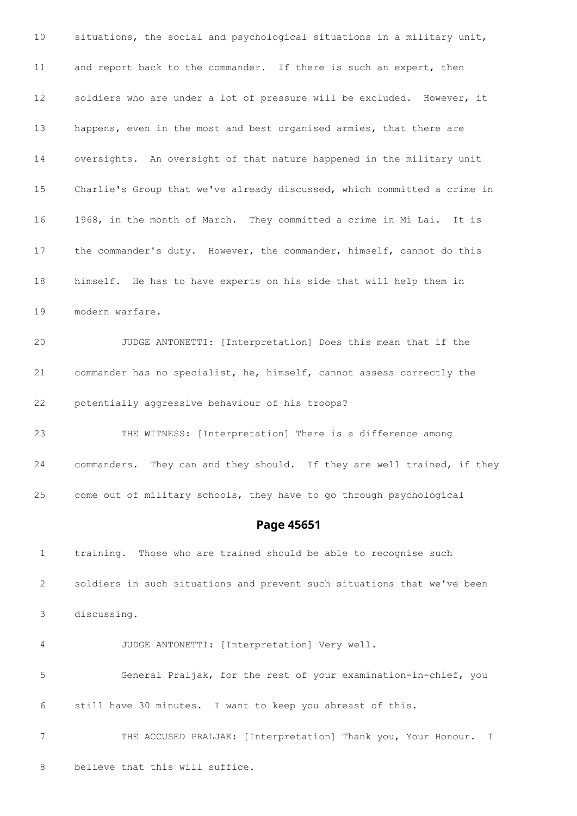situations, the social and psychological situations in a military unit, and report back to the commander. If there is such an expert, then soldiers who are under a lot of pressure will be excluded. However, it happens, even in the most and best organised armies, that there are oversights. An oversight of that nature happened in the military unit Charlie's Group that we've already discussed, which committed a crime in 1968, in the month of March. They committed a crime in Mi Lai. It is the commander's duty. However, the commander, himself, cannot do this himself. He has to have experts on his side that will help them in modern warfare. JUDGE ANTONETTI: [Interpretation] Does this mean that if the commander has no specialist, he, himself, cannot assess correctly the potentially aggressive behaviour of his troops? THE WITNESS: [Interpretation] There is a difference among commanders. They can and they should. If they are well trained, if they come out of military schools, they have to go through psychological **Page 45651** training. Those who are trained should be able to recognise such soldiers in such situations and prevent such situations that we've been discussing. JUDGE ANTONETTI: [Interpretation] Very well. General Praljak, for the rest of your examination-in-chief, you

still have 30 minutes. I want to keep you abreast of this.

 THE ACCUSED PRALJAK: [Interpretation] Thank you, Your Honour. I believe that this will suffice.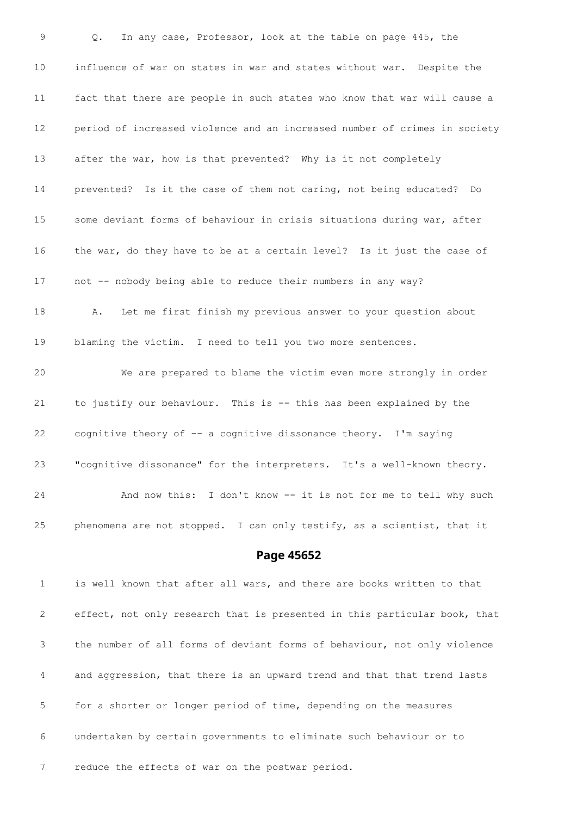Q. In any case, Professor, look at the table on page 445, the influence of war on states in war and states without war. Despite the fact that there are people in such states who know that war will cause a period of increased violence and an increased number of crimes in society after the war, how is that prevented? Why is it not completely prevented? Is it the case of them not caring, not being educated? Do some deviant forms of behaviour in crisis situations during war, after the war, do they have to be at a certain level? Is it just the case of not -- nobody being able to reduce their numbers in any way? A. Let me first finish my previous answer to your question about blaming the victim. I need to tell you two more sentences. We are prepared to blame the victim even more strongly in order to justify our behaviour. This is -- this has been explained by the cognitive theory of -- a cognitive dissonance theory. I'm saying "cognitive dissonance" for the interpreters. It's a well-known theory. And now this: I don't know -- it is not for me to tell why such phenomena are not stopped. I can only testify, as a scientist, that it

#### **Page 45652**

 is well known that after all wars, and there are books written to that effect, not only research that is presented in this particular book, that the number of all forms of deviant forms of behaviour, not only violence and aggression, that there is an upward trend and that that trend lasts for a shorter or longer period of time, depending on the measures undertaken by certain governments to eliminate such behaviour or to reduce the effects of war on the postwar period.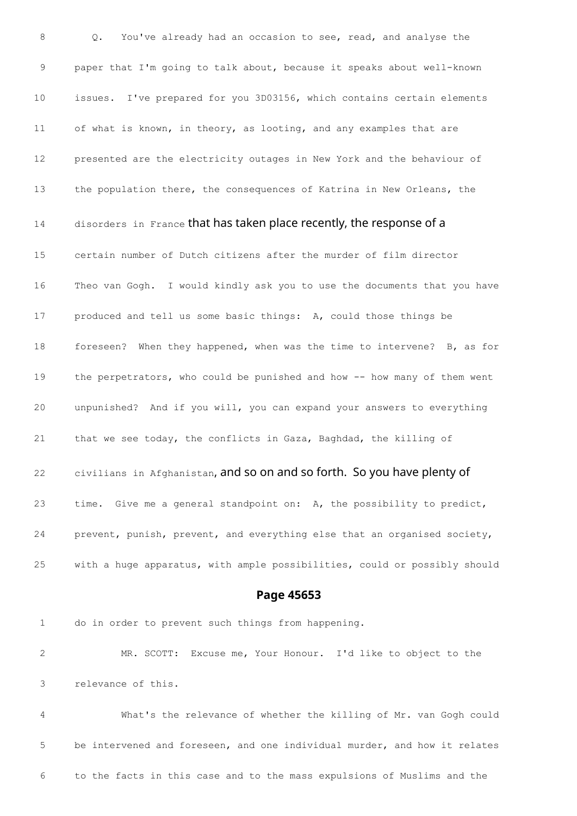Q. You've already had an occasion to see, read, and analyse the paper that I'm going to talk about, because it speaks about well-known issues. I've prepared for you 3D03156, which contains certain elements of what is known, in theory, as looting, and any examples that are presented are the electricity outages in New York and the behaviour of the population there, the consequences of Katrina in New Orleans, the 14 disorders in France that has taken place recently, the response of a certain number of Dutch citizens after the murder of film director Theo van Gogh. I would kindly ask you to use the documents that you have produced and tell us some basic things: A, could those things be foreseen? When they happened, when was the time to intervene? B, as for 19 the perpetrators, who could be punished and how -- how many of them went unpunished? And if you will, you can expand your answers to everything that we see today, the conflicts in Gaza, Baghdad, the killing of 22 civilians in Afghanistan, and so on and so forth. So you have plenty of time. Give me a general standpoint on: A, the possibility to predict, prevent, punish, prevent, and everything else that an organised society, with a huge apparatus, with ample possibilities, could or possibly should

**Page 45653**

do in order to prevent such things from happening.

 MR. SCOTT: Excuse me, Your Honour. I'd like to object to the relevance of this.

 What's the relevance of whether the killing of Mr. van Gogh could be intervened and foreseen, and one individual murder, and how it relates to the facts in this case and to the mass expulsions of Muslims and the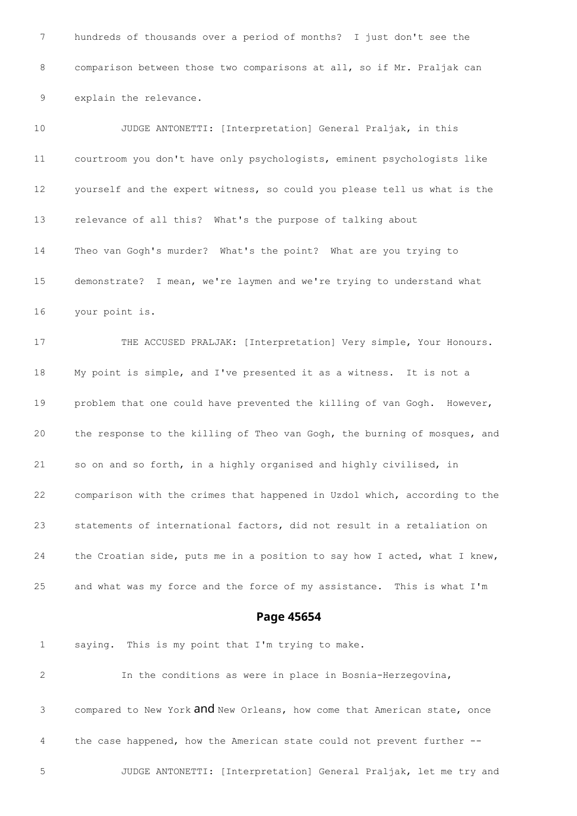hundreds of thousands over a period of months? I just don't see the comparison between those two comparisons at all, so if Mr. Praljak can explain the relevance.

 JUDGE ANTONETTI: [Interpretation] General Praljak, in this courtroom you don't have only psychologists, eminent psychologists like yourself and the expert witness, so could you please tell us what is the relevance of all this? What's the purpose of talking about Theo van Gogh's murder? What's the point? What are you trying to demonstrate? I mean, we're laymen and we're trying to understand what your point is. THE ACCUSED PRALJAK: [Interpretation] Very simple, Your Honours. My point is simple, and I've presented it as a witness. It is not a problem that one could have prevented the killing of van Gogh. However, the response to the killing of Theo van Gogh, the burning of mosques, and so on and so forth, in a highly organised and highly civilised, in comparison with the crimes that happened in Uzdol which, according to the statements of international factors, did not result in a retaliation on the Croatian side, puts me in a position to say how I acted, what I knew, and what was my force and the force of my assistance. This is what I'm

**Page 45654**

 saying. This is my point that I'm trying to make. In the conditions as were in place in Bosnia-Herzegovina, 3 compared to New York and New Orleans, how come that American state, once the case happened, how the American state could not prevent further -- JUDGE ANTONETTI: [Interpretation] General Praljak, let me try and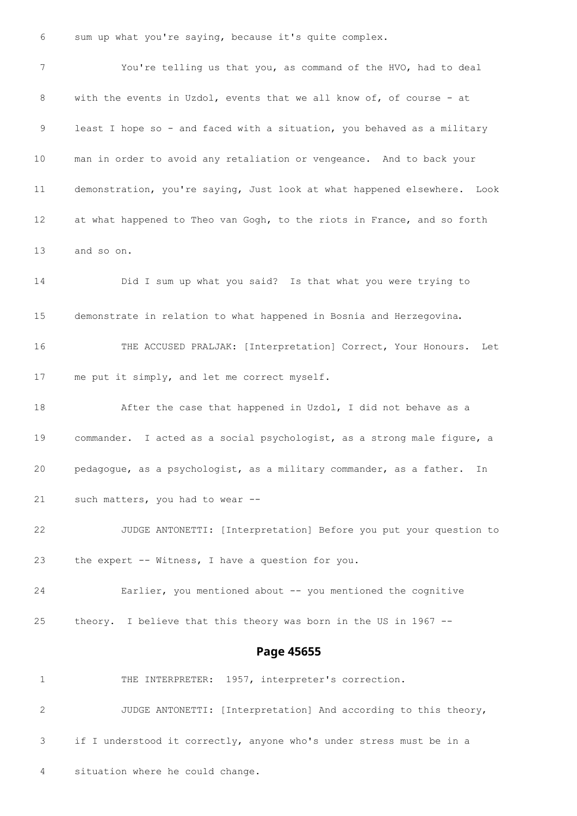sum up what you're saying, because it's quite complex.

 You're telling us that you, as command of the HVO, had to deal with the events in Uzdol, events that we all know of, of course - at least I hope so - and faced with a situation, you behaved as a military man in order to avoid any retaliation or vengeance. And to back your demonstration, you're saying, Just look at what happened elsewhere. Look at what happened to Theo van Gogh, to the riots in France, and so forth and so on. Did I sum up what you said? Is that what you were trying to demonstrate in relation to what happened in Bosnia and Herzegovina. THE ACCUSED PRALJAK: [Interpretation] Correct, Your Honours. Let me put it simply, and let me correct myself. After the case that happened in Uzdol, I did not behave as a commander. I acted as a social psychologist, as a strong male figure, a pedagogue, as a psychologist, as a military commander, as a father. In such matters, you had to wear -- JUDGE ANTONETTI: [Interpretation] Before you put your question to the expert -- Witness, I have a question for you. Earlier, you mentioned about -- you mentioned the cognitive theory. I believe that this theory was born in the US in 1967 -- **Page 45655** 1 THE INTERPRETER: 1957, interpreter's correction. JUDGE ANTONETTI: [Interpretation] And according to this theory, if I understood it correctly, anyone who's under stress must be in a situation where he could change.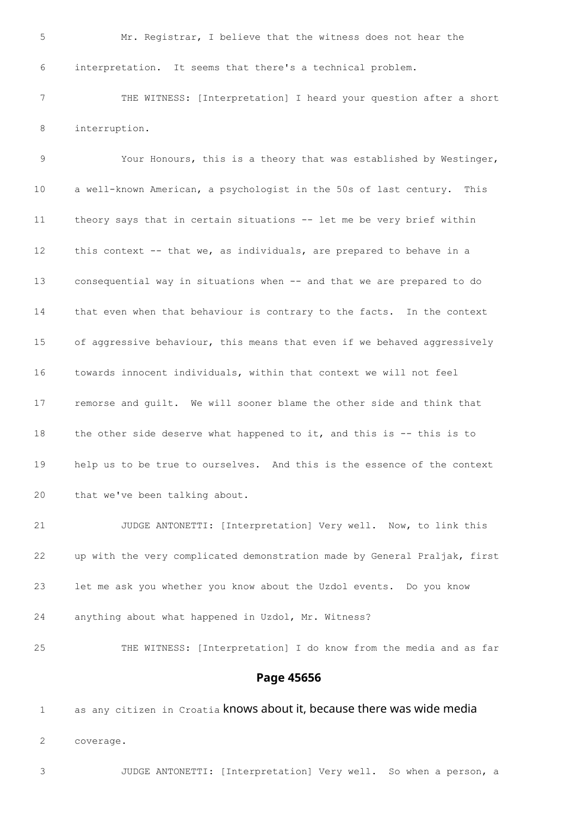Mr. Registrar, I believe that the witness does not hear the interpretation. It seems that there's a technical problem.

 THE WITNESS: [Interpretation] I heard your question after a short interruption.

 Your Honours, this is a theory that was established by Westinger, a well-known American, a psychologist in the 50s of last century. This theory says that in certain situations -- let me be very brief within this context -- that we, as individuals, are prepared to behave in a consequential way in situations when -- and that we are prepared to do that even when that behaviour is contrary to the facts. In the context of aggressive behaviour, this means that even if we behaved aggressively towards innocent individuals, within that context we will not feel remorse and guilt. We will sooner blame the other side and think that 18 the other side deserve what happened to it, and this is -- this is to help us to be true to ourselves. And this is the essence of the context that we've been talking about.

 JUDGE ANTONETTI: [Interpretation] Very well. Now, to link this up with the very complicated demonstration made by General Praljak, first let me ask you whether you know about the Uzdol events. Do you know anything about what happened in Uzdol, Mr. Witness?

THE WITNESS: [Interpretation] I do know from the media and as far

#### **Page 45656**

1 as any citizen in Croatia knows about it, because there was wide media coverage.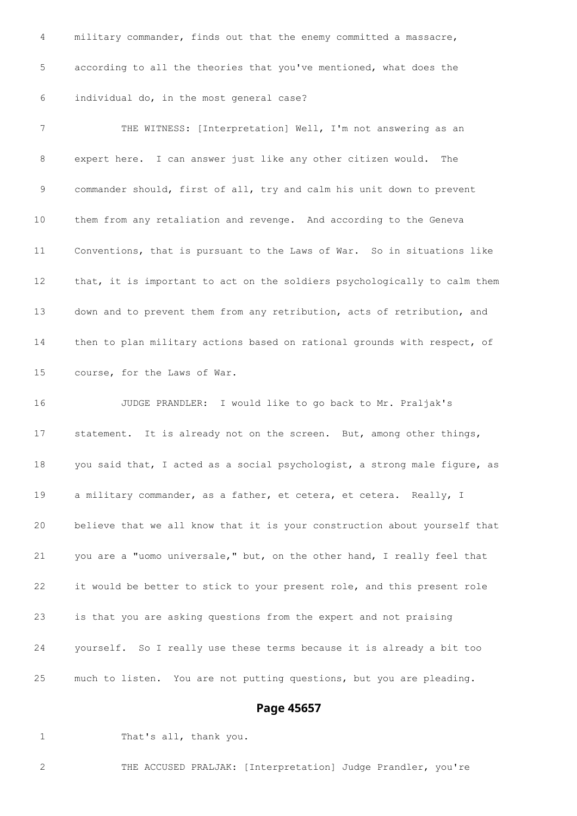military commander, finds out that the enemy committed a massacre, according to all the theories that you've mentioned, what does the individual do, in the most general case? THE WITNESS: [Interpretation] Well, I'm not answering as an expert here. I can answer just like any other citizen would. The commander should, first of all, try and calm his unit down to prevent them from any retaliation and revenge. And according to the Geneva Conventions, that is pursuant to the Laws of War. So in situations like that, it is important to act on the soldiers psychologically to calm them down and to prevent them from any retribution, acts of retribution, and then to plan military actions based on rational grounds with respect, of course, for the Laws of War. JUDGE PRANDLER: I would like to go back to Mr. Praljak's statement. It is already not on the screen. But, among other things, 18 you said that, I acted as a social psychologist, a strong male figure, as a military commander, as a father, et cetera, et cetera. Really, I believe that we all know that it is your construction about yourself that you are a "uomo universale," but, on the other hand, I really feel that

 it would be better to stick to your present role, and this present role is that you are asking questions from the expert and not praising

 yourself. So I really use these terms because it is already a bit too much to listen. You are not putting questions, but you are pleading.

#### **Page 45657**

1 That's all, thank you.

THE ACCUSED PRALJAK: [Interpretation] Judge Prandler, you're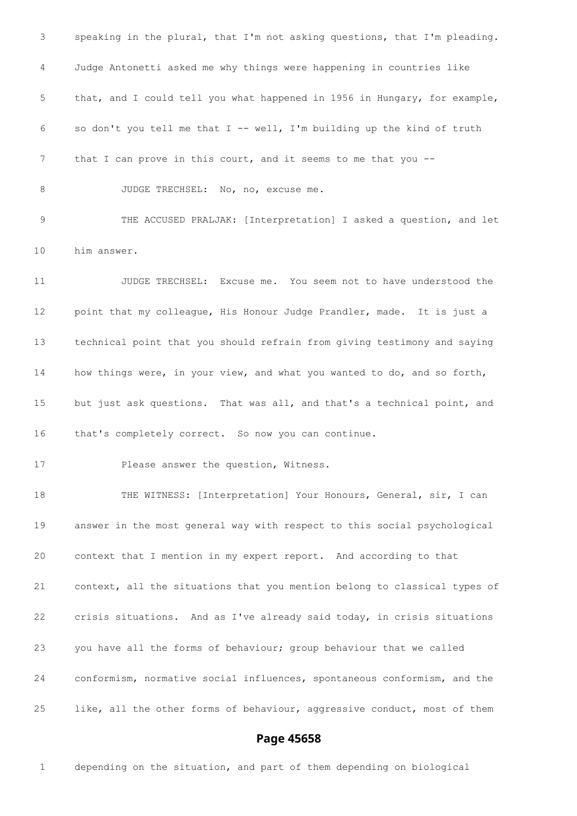speaking in the plural, that I'm not asking questions, that I'm pleading. Judge Antonetti asked me why things were happening in countries like that, and I could tell you what happened in 1956 in Hungary, for example, so don't you tell me that I -- well, I'm building up the kind of truth 7 that I can prove in this court, and it seems to me that you --8 JUDGE TRECHSEL: No, no, excuse me. THE ACCUSED PRALJAK: [Interpretation] I asked a question, and let him answer. JUDGE TRECHSEL: Excuse me. You seem not to have understood the point that my colleague, His Honour Judge Prandler, made. It is just a technical point that you should refrain from giving testimony and saying how things were, in your view, and what you wanted to do, and so forth, but just ask questions. That was all, and that's a technical point, and that's completely correct. So now you can continue. Please answer the question, Witness. THE WITNESS: [Interpretation] Your Honours, General, sir, I can answer in the most general way with respect to this social psychological context that I mention in my expert report. And according to that context, all the situations that you mention belong to classical types of crisis situations. And as I've already said today, in crisis situations you have all the forms of behaviour; group behaviour that we called conformism, normative social influences, spontaneous conformism, and the like, all the other forms of behaviour, aggressive conduct, most of them

## **Page 45658**

depending on the situation, and part of them depending on biological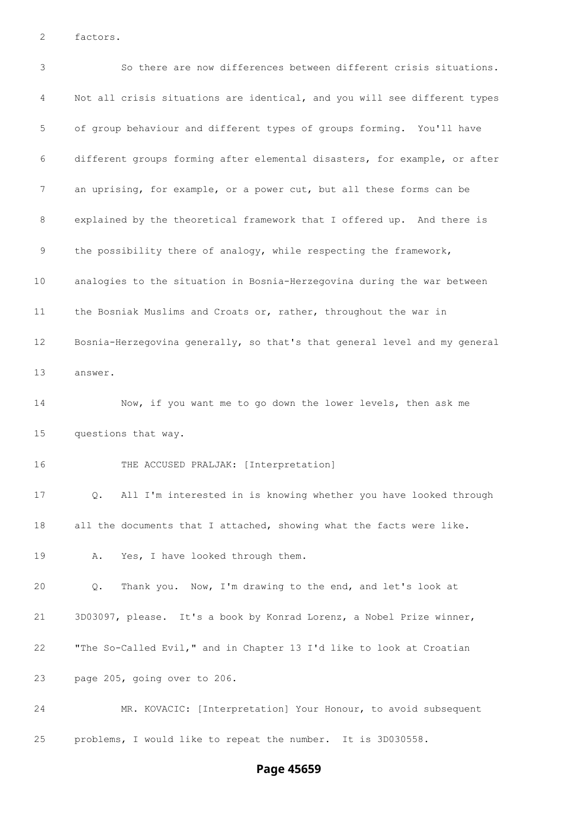factors.

 So there are now differences between different crisis situations. Not all crisis situations are identical, and you will see different types of group behaviour and different types of groups forming. You'll have different groups forming after elemental disasters, for example, or after an uprising, for example, or a power cut, but all these forms can be explained by the theoretical framework that I offered up. And there is 9 the possibility there of analogy, while respecting the framework, analogies to the situation in Bosnia-Herzegovina during the war between the Bosniak Muslims and Croats or, rather, throughout the war in Bosnia-Herzegovina generally, so that's that general level and my general answer. Now, if you want me to go down the lower levels, then ask me questions that way. THE ACCUSED PRALJAK: [Interpretation] Q. All I'm interested in is knowing whether you have looked through all the documents that I attached, showing what the facts were like. A. Yes, I have looked through them. Q. Thank you. Now, I'm drawing to the end, and let's look at 3D03097, please. It's a book by Konrad Lorenz, a Nobel Prize winner, "The So-Called Evil," and in Chapter 13 I'd like to look at Croatian page 205, going over to 206. MR. KOVACIC: [Interpretation] Your Honour, to avoid subsequent problems, I would like to repeat the number. It is 3D030558.

### **Page 45659**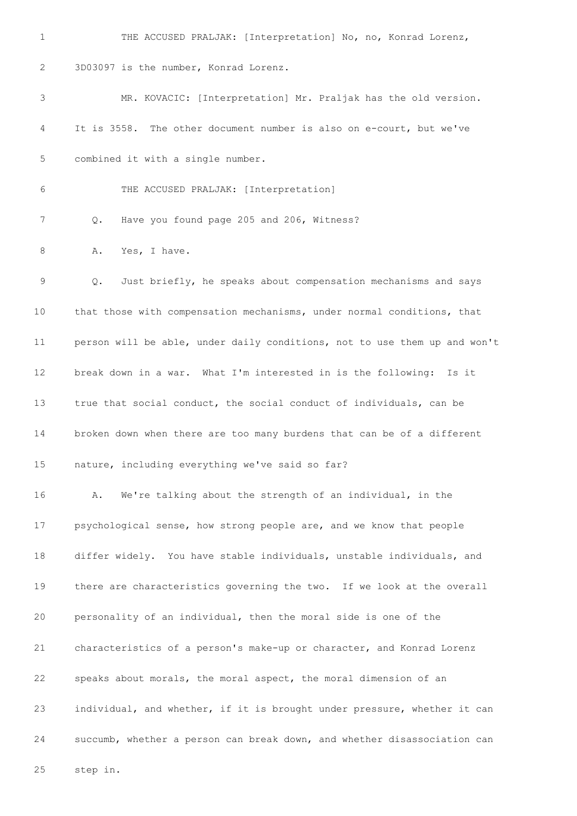THE ACCUSED PRALJAK: [Interpretation] No, no, Konrad Lorenz, 3D03097 is the number, Konrad Lorenz. MR. KOVACIC: [Interpretation] Mr. Praljak has the old version. It is 3558. The other document number is also on e-court, but we've combined it with a single number. THE ACCUSED PRALJAK: [Interpretation] Q. Have you found page 205 and 206, Witness? 8 A. Yes, I have. Q. Just briefly, he speaks about compensation mechanisms and says that those with compensation mechanisms, under normal conditions, that person will be able, under daily conditions, not to use them up and won't break down in a war. What I'm interested in is the following: Is it true that social conduct, the social conduct of individuals, can be broken down when there are too many burdens that can be of a different nature, including everything we've said so far? A. We're talking about the strength of an individual, in the psychological sense, how strong people are, and we know that people differ widely. You have stable individuals, unstable individuals, and there are characteristics governing the two. If we look at the overall personality of an individual, then the moral side is one of the characteristics of a person's make-up or character, and Konrad Lorenz speaks about morals, the moral aspect, the moral dimension of an individual, and whether, if it is brought under pressure, whether it can succumb, whether a person can break down, and whether disassociation can step in.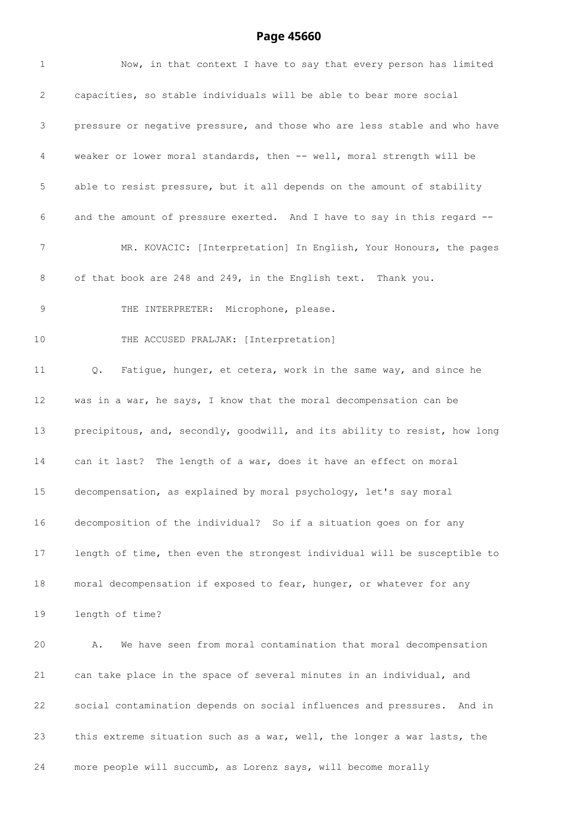# **Page 45660**

| $\mathbf{1}$ | Now, in that context I have to say that every person has limited          |
|--------------|---------------------------------------------------------------------------|
| 2            | capacities, so stable individuals will be able to bear more social        |
| 3            | pressure or negative pressure, and those who are less stable and who have |
| 4            | weaker or lower moral standards, then -- well, moral strength will be     |
| 5            | able to resist pressure, but it all depends on the amount of stability    |
| 6            | and the amount of pressure exerted. And I have to say in this regard --   |
| 7            | MR. KOVACIC: [Interpretation] In English, Your Honours, the pages         |
| $8\,$        | of that book are 248 and 249, in the English text. Thank you.             |
| 9            | THE INTERPRETER: Microphone, please.                                      |
| 10           | THE ACCUSED PRALJAK: [Interpretation]                                     |
| 11           | Fatigue, hunger, et cetera, work in the same way, and since he<br>Q.      |
| 12           | was in a war, he says, I know that the moral decompensation can be        |
| 13           | precipitous, and, secondly, goodwill, and its ability to resist, how long |
| 14           | can it last? The length of a war, does it have an effect on moral         |
| 15           | decompensation, as explained by moral psychology, let's say moral         |
| 16           | decomposition of the individual? So if a situation goes on for any        |
| 17           | length of time, then even the strongest individual will be susceptible to |
| 18           | moral decompensation if exposed to fear, hunger, or whatever for any      |
| 19           | length of time?                                                           |
| 20           | We have seen from moral contamination that moral decompensation<br>Α.     |
| 21           | can take place in the space of several minutes in an individual, and      |
| 22           | social contamination depends on social influences and pressures. And in   |
| 23           | this extreme situation such as a war, well, the longer a war lasts, the   |
| 24           | more people will succumb, as Lorenz says, will become morally             |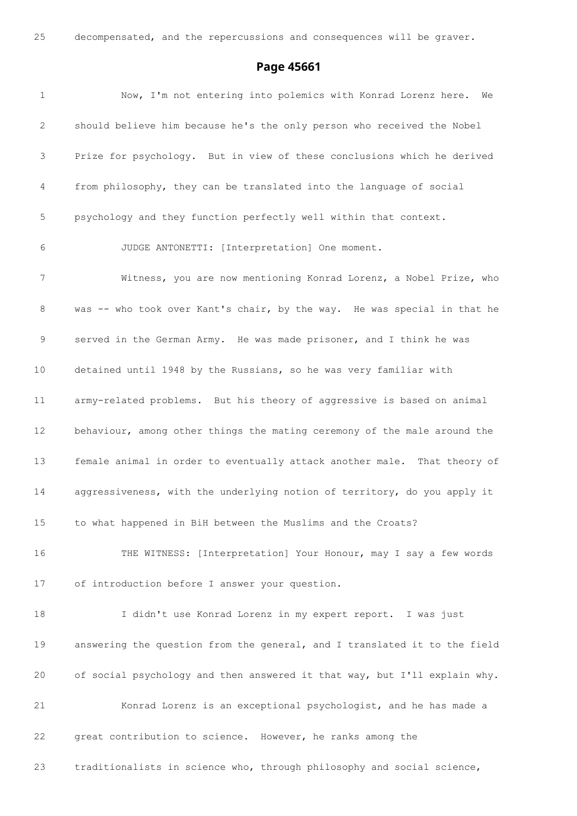decompensated, and the repercussions and consequences will be graver.

### **Page 45661**

 Now, I'm not entering into polemics with Konrad Lorenz here. We should believe him because he's the only person who received the Nobel Prize for psychology. But in view of these conclusions which he derived from philosophy, they can be translated into the language of social psychology and they function perfectly well within that context. JUDGE ANTONETTI: [Interpretation] One moment. Witness, you are now mentioning Konrad Lorenz, a Nobel Prize, who 8 was -- who took over Kant's chair, by the way. He was special in that he served in the German Army. He was made prisoner, and I think he was detained until 1948 by the Russians, so he was very familiar with army-related problems. But his theory of aggressive is based on animal behaviour, among other things the mating ceremony of the male around the female animal in order to eventually attack another male. That theory of aggressiveness, with the underlying notion of territory, do you apply it to what happened in BiH between the Muslims and the Croats? THE WITNESS: [Interpretation] Your Honour, may I say a few words of introduction before I answer your question. I didn't use Konrad Lorenz in my expert report. I was just answering the question from the general, and I translated it to the field of social psychology and then answered it that way, but I'll explain why. Konrad Lorenz is an exceptional psychologist, and he has made a great contribution to science. However, he ranks among the traditionalists in science who, through philosophy and social science,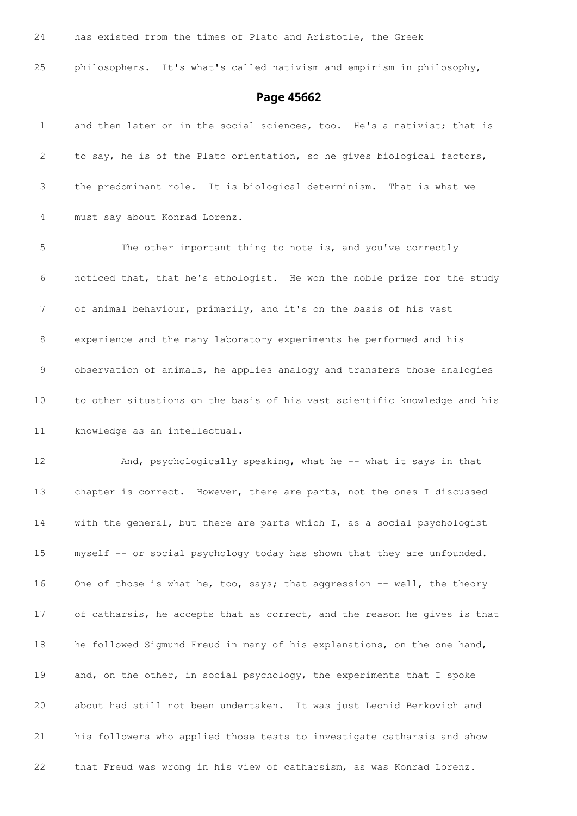has existed from the times of Plato and Aristotle, the Greek

philosophers. It's what's called nativism and empirism in philosophy,

# **Page 45662**

| $\mathbf{1}$ | and then later on in the social sciences, too. He's a nativist; that is   |
|--------------|---------------------------------------------------------------------------|
| 2            | to say, he is of the Plato orientation, so he gives biological factors,   |
| 3            | the predominant role. It is biological determinism. That is what we       |
| 4            | must say about Konrad Lorenz.                                             |
| 5            | The other important thing to note is, and you've correctly                |
| 6            | noticed that, that he's ethologist. He won the noble prize for the study  |
| 7            | of animal behaviour, primarily, and it's on the basis of his vast         |
| 8            | experience and the many laboratory experiments he performed and his       |
| 9            | observation of animals, he applies analogy and transfers those analogies  |
| 10           | to other situations on the basis of his vast scientific knowledge and his |
| 11           | knowledge as an intellectual.                                             |
| 12           | And, psychologically speaking, what he -- what it says in that            |
| 13           | chapter is correct. However, there are parts, not the ones I discussed    |
| 14           | with the general, but there are parts which I, as a social psychologist   |
| 15           | myself -- or social psychology today has shown that they are unfounded.   |
| 16           | One of those is what he, too, says; that aggression -- well, the theory   |
| 17           | of catharsis, he accepts that as correct, and the reason he gives is that |
| 18           | he followed Sigmund Freud in many of his explanations, on the one hand,   |
| 19           | and, on the other, in social psychology, the experiments that I spoke     |
| 20           | about had still not been undertaken. It was just Leonid Berkovich and     |
| 21           | his followers who applied those tests to investigate catharsis and show   |
| 22           | that Freud was wrong in his view of catharsism, as was Konrad Lorenz.     |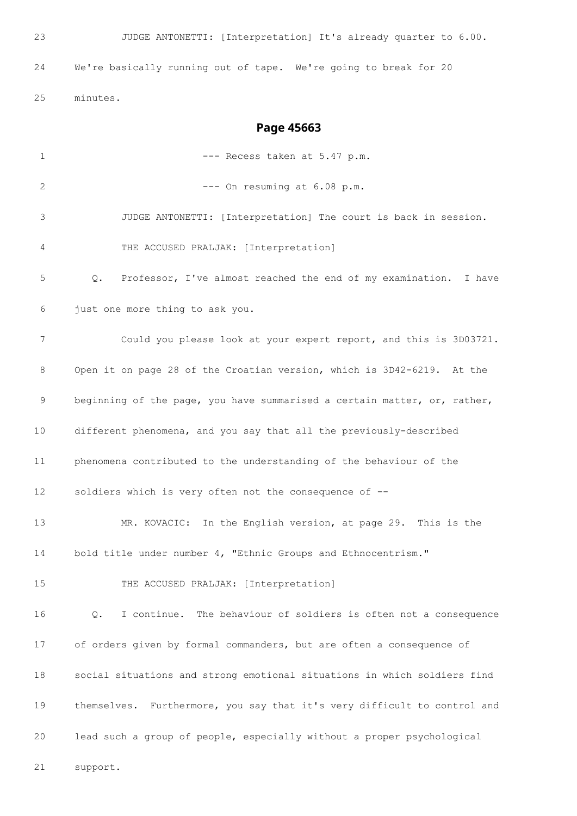**Page 45663**

| $\mathbf 1$       | --- Recess taken at 5.47 p.m.                                            |
|-------------------|--------------------------------------------------------------------------|
| 2                 | --- On resuming at 6.08 p.m.                                             |
| 3                 | JUDGE ANTONETTI: [Interpretation] The court is back in session.          |
| 4                 | THE ACCUSED PRALJAK: [Interpretation]                                    |
| 5                 | Professor, I've almost reached the end of my examination. I have<br>Q.   |
| 6                 | just one more thing to ask you.                                          |
| 7                 | Could you please look at your expert report, and this is 3D03721.        |
| 8                 | Open it on page 28 of the Croatian version, which is 3D42-6219. At the   |
| 9                 | beginning of the page, you have summarised a certain matter, or, rather, |
| 10                | different phenomena, and you say that all the previously-described       |
| 11                | phenomena contributed to the understanding of the behaviour of the       |
| $12 \overline{ }$ | soldiers which is very often not the consequence of --                   |
| 13                | MR. KOVACIC: In the English version, at page 29. This is the             |
| 14                | bold title under number 4, "Ethnic Groups and Ethnocentrism."            |
| 15                | THE ACCUSED PRALJAK: [Interpretation]                                    |
| 16                | I continue. The behaviour of soldiers is often not a consequence<br>Q.   |
| 17                | of orders given by formal commanders, but are often a consequence of     |
| 18                | social situations and strong emotional situations in which soldiers find |
| 19                | themselves. Furthermore, you say that it's very difficult to control and |
| 20                | lead such a group of people, especially without a proper psychological   |
| 21                | support.                                                                 |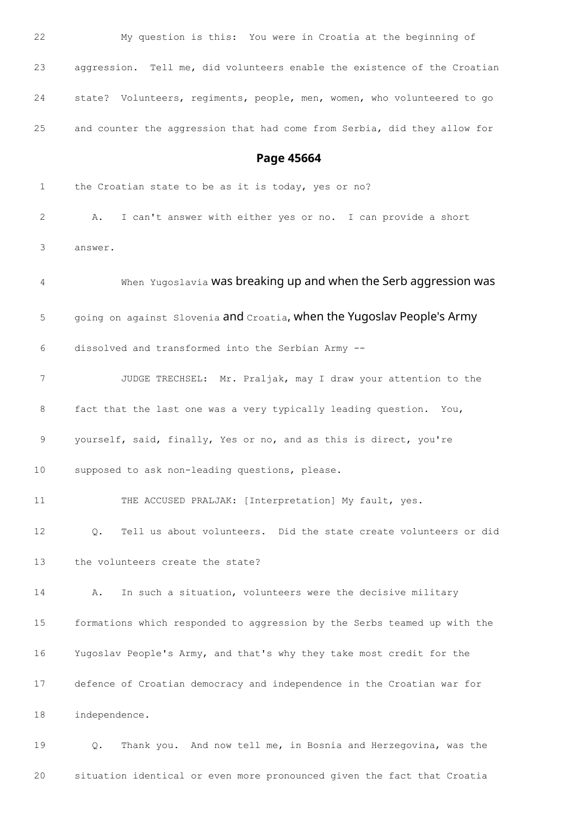| 22           | My question is this: You were in Croatia at the beginning of              |
|--------------|---------------------------------------------------------------------------|
| 23           | aggression. Tell me, did volunteers enable the existence of the Croatian  |
| 24           | state? Volunteers, regiments, people, men, women, who volunteered to go   |
| 25           | and counter the aggression that had come from Serbia, did they allow for  |
|              | Page 45664                                                                |
| $\mathbf{1}$ | the Croatian state to be as it is today, yes or no?                       |
| 2            | I can't answer with either yes or no. I can provide a short<br>Α.         |
| 3            | answer.                                                                   |
| 4            | When Yugoslavia was breaking up and when the Serb aggression was          |
| 5            | going on against Slovenia and Croatia, when the Yugoslav People's Army    |
| 6            | dissolved and transformed into the Serbian Army --                        |
| 7            | JUDGE TRECHSEL: Mr. Praljak, may I draw your attention to the             |
| 8            | fact that the last one was a very typically leading question. You,        |
| 9            | yourself, said, finally, Yes or no, and as this is direct, you're         |
| 10           | supposed to ask non-leading questions, please.                            |
| 11           | THE ACCUSED PRALJAK: [Interpretation] My fault, yes.                      |
| 12           | Tell us about volunteers. Did the state create volunteers or did<br>$Q$ . |
| 13           | the volunteers create the state?                                          |
| 14           | In such a situation, volunteers were the decisive military<br>Α.          |
| 15           | formations which responded to aggression by the Serbs teamed up with the  |
| 16           | Yugoslav People's Army, and that's why they take most credit for the      |
| 17           | defence of Croatian democracy and independence in the Croatian war for    |
| 18           | independence.                                                             |
| 19           | Thank you. And now tell me, in Bosnia and Herzegovina, was the<br>Q.      |

situation identical or even more pronounced given the fact that Croatia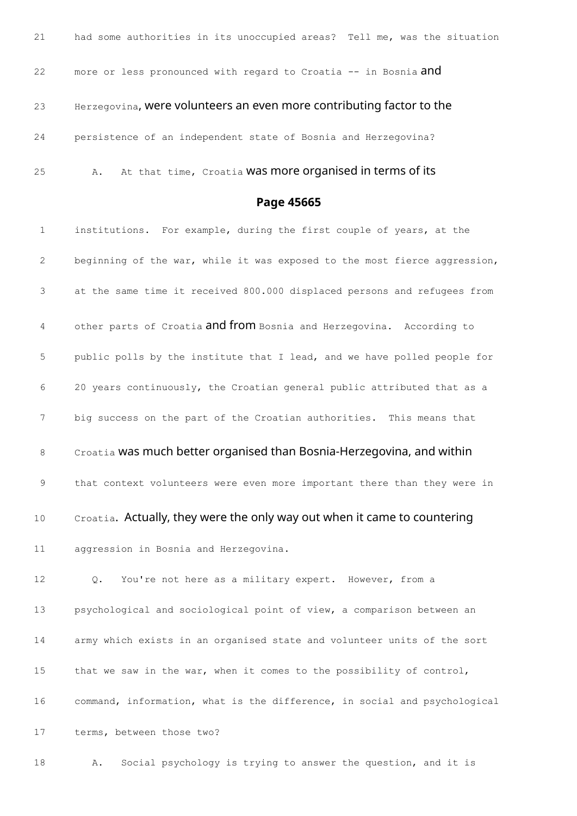| 21 | had some authorities in its unoccupied areas? Tell me, was the situation |
|----|--------------------------------------------------------------------------|
| 22 | more or less pronounced with regard to Croatia -- in Bosnia and          |
| 23 | Herzegovina, were volunteers an even more contributing factor to the     |
| 24 | persistence of an independent state of Bosnia and Herzegovina?           |
| 25 | At that time, Croatia Was more organised in terms of its<br>Α.           |

## **Page 45665**

 institutions. For example, during the first couple of years, at the beginning of the war, while it was exposed to the most fierce aggression, at the same time it received 800.000 displaced persons and refugees from 4 other parts of Croatia **and from** Bosnia and Herzegovina. According to public polls by the institute that I lead, and we have polled people for 20 years continuously, the Croatian general public attributed that as a big success on the part of the Croatian authorities. This means that 8 Croatia was much better organised than Bosnia-Herzegovina, and within that context volunteers were even more important there than they were in 10 Croatia. Actually, they were the only way out when it came to countering aggression in Bosnia and Herzegovina. Q. You're not here as a military expert. However, from a psychological and sociological point of view, a comparison between an army which exists in an organised state and volunteer units of the sort that we saw in the war, when it comes to the possibility of control, command, information, what is the difference, in social and psychological terms, between those two?

A. Social psychology is trying to answer the question, and it is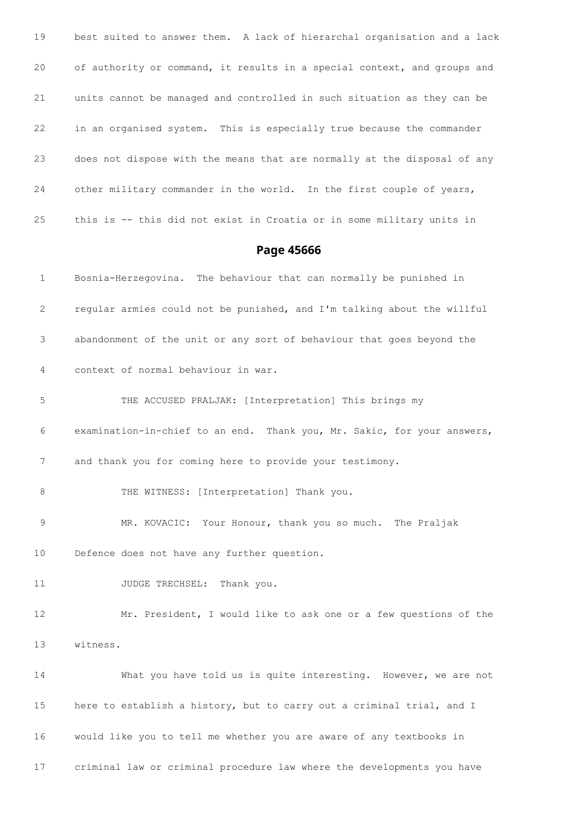best suited to answer them. A lack of hierarchal organisation and a lack of authority or command, it results in a special context, and groups and units cannot be managed and controlled in such situation as they can be in an organised system. This is especially true because the commander does not dispose with the means that are normally at the disposal of any other military commander in the world. In the first couple of years, this is -- this did not exist in Croatia or in some military units in

### **Page 45666**

 Bosnia-Herzegovina. The behaviour that can normally be punished in regular armies could not be punished, and I'm talking about the willful abandonment of the unit or any sort of behaviour that goes beyond the context of normal behaviour in war. THE ACCUSED PRALJAK: [Interpretation] This brings my examination-in-chief to an end. Thank you, Mr. Sakic, for your answers, and thank you for coming here to provide your testimony. 8 THE WITNESS: [Interpretation] Thank you. MR. KOVACIC: Your Honour, thank you so much. The Praljak Defence does not have any further question. 11 JUDGE TRECHSEL: Thank you. Mr. President, I would like to ask one or a few questions of the witness. What you have told us is quite interesting. However, we are not 15 here to establish a history, but to carry out a criminal trial, and I would like you to tell me whether you are aware of any textbooks in criminal law or criminal procedure law where the developments you have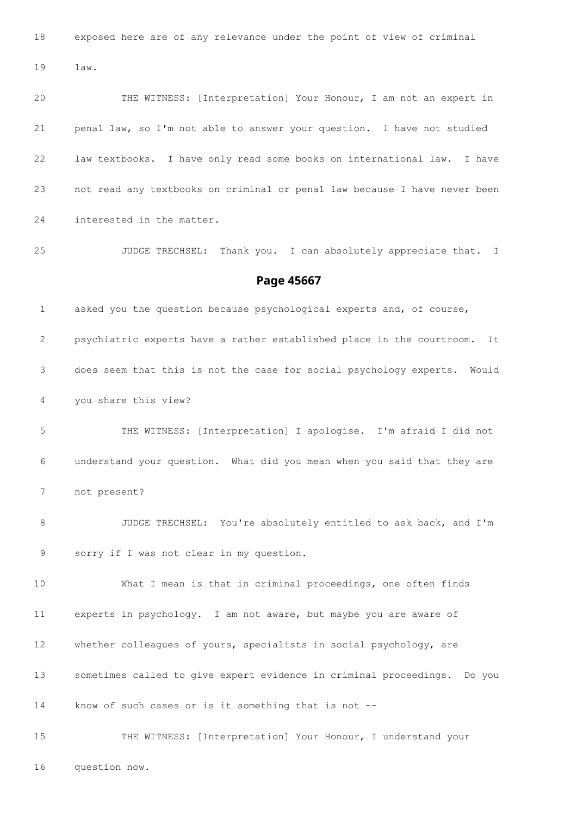exposed here are of any relevance under the point of view of criminal

law.

 THE WITNESS: [Interpretation] Your Honour, I am not an expert in penal law, so I'm not able to answer your question. I have not studied law textbooks. I have only read some books on international law. I have not read any textbooks on criminal or penal law because I have never been interested in the matter.

JUDGE TRECHSEL: Thank you. I can absolutely appreciate that. I

### **Page 45667**

 asked you the question because psychological experts and, of course, psychiatric experts have a rather established place in the courtroom. It does seem that this is not the case for social psychology experts. Would you share this view?

 THE WITNESS: [Interpretation] I apologise. I'm afraid I did not understand your question. What did you mean when you said that they are not present?

 JUDGE TRECHSEL: You're absolutely entitled to ask back, and I'm sorry if I was not clear in my question.

 What I mean is that in criminal proceedings, one often finds experts in psychology. I am not aware, but maybe you are aware of 12 whether colleagues of yours, specialists in social psychology, are sometimes called to give expert evidence in criminal proceedings. Do you know of such cases or is it something that is not --

 THE WITNESS: [Interpretation] Your Honour, I understand your question now.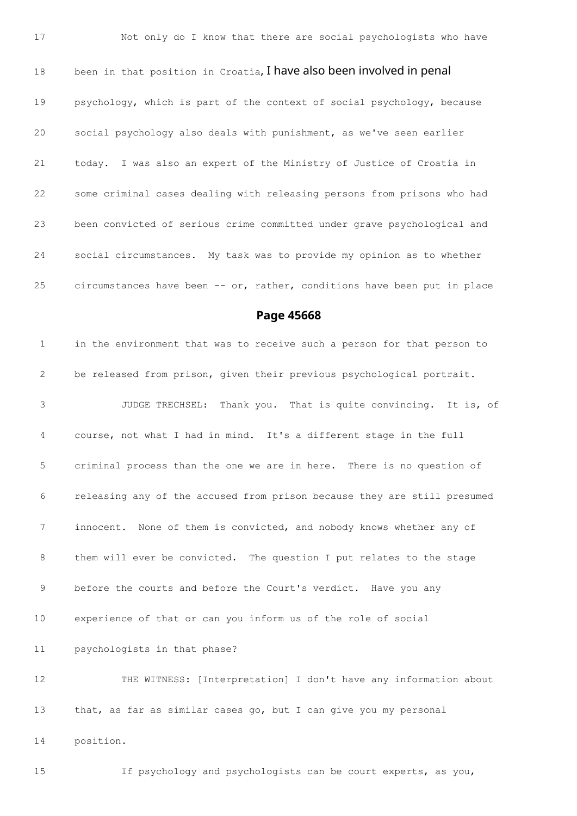18 been in that position in Croatia, I have also been involved in penal psychology, which is part of the context of social psychology, because social psychology also deals with punishment, as we've seen earlier today. I was also an expert of the Ministry of Justice of Croatia in some criminal cases dealing with releasing persons from prisons who had been convicted of serious crime committed under grave psychological and social circumstances. My task was to provide my opinion as to whether circumstances have been -- or, rather, conditions have been put in place

**Page 45668**

 in the environment that was to receive such a person for that person to be released from prison, given their previous psychological portrait. JUDGE TRECHSEL: Thank you. That is quite convincing. It is, of course, not what I had in mind. It's a different stage in the full criminal process than the one we are in here. There is no question of releasing any of the accused from prison because they are still presumed innocent. None of them is convicted, and nobody knows whether any of them will ever be convicted. The question I put relates to the stage before the courts and before the Court's verdict. Have you any experience of that or can you inform us of the role of social psychologists in that phase? THE WITNESS: [Interpretation] I don't have any information about that, as far as similar cases go, but I can give you my personal position.

If psychology and psychologists can be court experts, as you,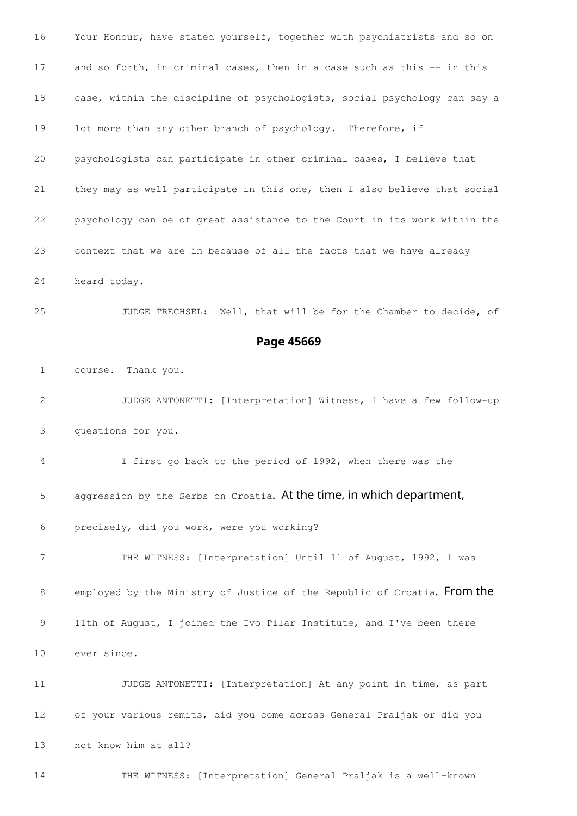Your Honour, have stated yourself, together with psychiatrists and so on and so forth, in criminal cases, then in a case such as this -- in this case, within the discipline of psychologists, social psychology can say a 19 lot more than any other branch of psychology. Therefore, if psychologists can participate in other criminal cases, I believe that they may as well participate in this one, then I also believe that social psychology can be of great assistance to the Court in its work within the context that we are in because of all the facts that we have already heard today. JUDGE TRECHSEL: Well, that will be for the Chamber to decide, of **Page 45669** course. Thank you. JUDGE ANTONETTI: [Interpretation] Witness, I have a few follow-up questions for you. I first go back to the period of 1992, when there was the 5 aggression by the Serbs on Croatia. At the time, in which department, precisely, did you work, were you working? THE WITNESS: [Interpretation] Until 11 of August, 1992, I was 8 employed by the Ministry of Justice of the Republic of Croatia. From the 11th of August, I joined the Ivo Pilar Institute, and I've been there ever since. JUDGE ANTONETTI: [Interpretation] At any point in time, as part of your various remits, did you come across General Praljak or did you not know him at all? THE WITNESS: [Interpretation] General Praljak is a well-known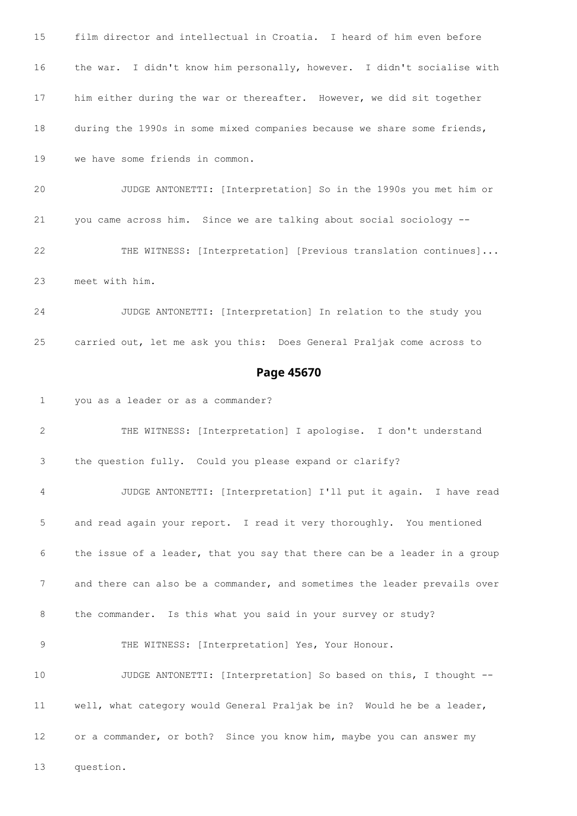film director and intellectual in Croatia. I heard of him even before the war. I didn't know him personally, however. I didn't socialise with him either during the war or thereafter. However, we did sit together during the 1990s in some mixed companies because we share some friends, we have some friends in common. JUDGE ANTONETTI: [Interpretation] So in the 1990s you met him or you came across him. Since we are talking about social sociology -- THE WITNESS: [Interpretation] [Previous translation continues]... meet with him. JUDGE ANTONETTI: [Interpretation] In relation to the study you carried out, let me ask you this: Does General Praljak come across to **Page 45670** you as a leader or as a commander? THE WITNESS: [Interpretation] I apologise. I don't understand the question fully. Could you please expand or clarify? JUDGE ANTONETTI: [Interpretation] I'll put it again. I have read and read again your report. I read it very thoroughly. You mentioned the issue of a leader, that you say that there can be a leader in a group and there can also be a commander, and sometimes the leader prevails over the commander. Is this what you said in your survey or study? THE WITNESS: [Interpretation] Yes, Your Honour. JUDGE ANTONETTI: [Interpretation] So based on this, I thought -- well, what category would General Praljak be in? Would he be a leader, or a commander, or both? Since you know him, maybe you can answer my question.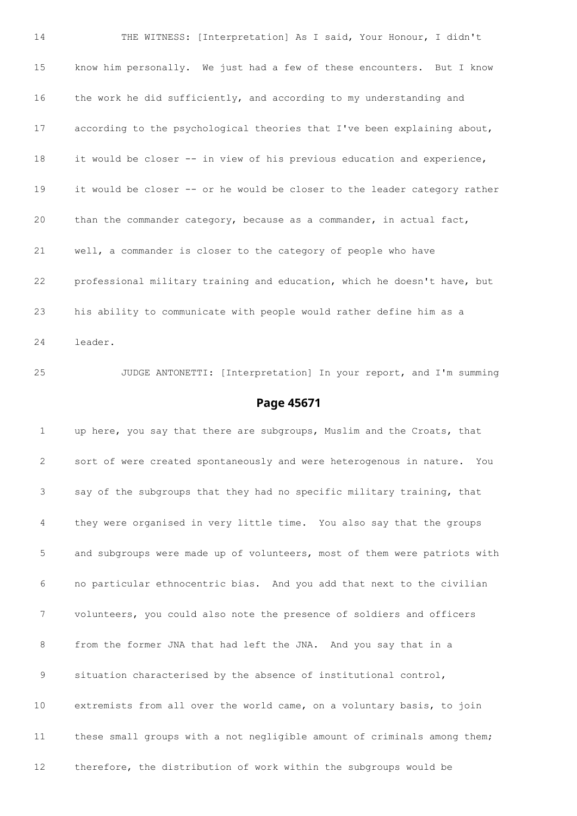THE WITNESS: [Interpretation] As I said, Your Honour, I didn't know him personally. We just had a few of these encounters. But I know the work he did sufficiently, and according to my understanding and according to the psychological theories that I've been explaining about, it would be closer -- in view of his previous education and experience, it would be closer -- or he would be closer to the leader category rather than the commander category, because as a commander, in actual fact, well, a commander is closer to the category of people who have professional military training and education, which he doesn't have, but his ability to communicate with people would rather define him as a leader.

# JUDGE ANTONETTI: [Interpretation] In your report, and I'm summing

#### **Page 45671**

1 up here, you say that there are subgroups, Muslim and the Croats, that sort of were created spontaneously and were heterogenous in nature. You say of the subgroups that they had no specific military training, that they were organised in very little time. You also say that the groups and subgroups were made up of volunteers, most of them were patriots with no particular ethnocentric bias. And you add that next to the civilian volunteers, you could also note the presence of soldiers and officers from the former JNA that had left the JNA. And you say that in a situation characterised by the absence of institutional control, extremists from all over the world came, on a voluntary basis, to join these small groups with a not negligible amount of criminals among them; therefore, the distribution of work within the subgroups would be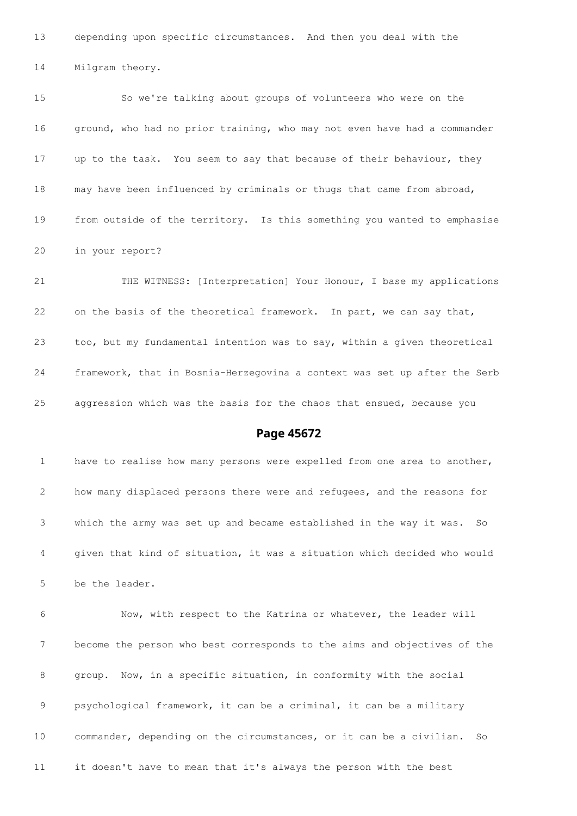depending upon specific circumstances. And then you deal with the

Milgram theory.

 So we're talking about groups of volunteers who were on the ground, who had no prior training, who may not even have had a commander up to the task. You seem to say that because of their behaviour, they may have been influenced by criminals or thugs that came from abroad, from outside of the territory. Is this something you wanted to emphasise in your report?

 THE WITNESS: [Interpretation] Your Honour, I base my applications 22 on the basis of the theoretical framework. In part, we can say that, too, but my fundamental intention was to say, within a given theoretical framework, that in Bosnia-Herzegovina a context was set up after the Serb aggression which was the basis for the chaos that ensued, because you

### **Page 45672**

 have to realise how many persons were expelled from one area to another, how many displaced persons there were and refugees, and the reasons for which the army was set up and became established in the way it was. So given that kind of situation, it was a situation which decided who would be the leader.

 Now, with respect to the Katrina or whatever, the leader will become the person who best corresponds to the aims and objectives of the group. Now, in a specific situation, in conformity with the social psychological framework, it can be a criminal, it can be a military commander, depending on the circumstances, or it can be a civilian. So it doesn't have to mean that it's always the person with the best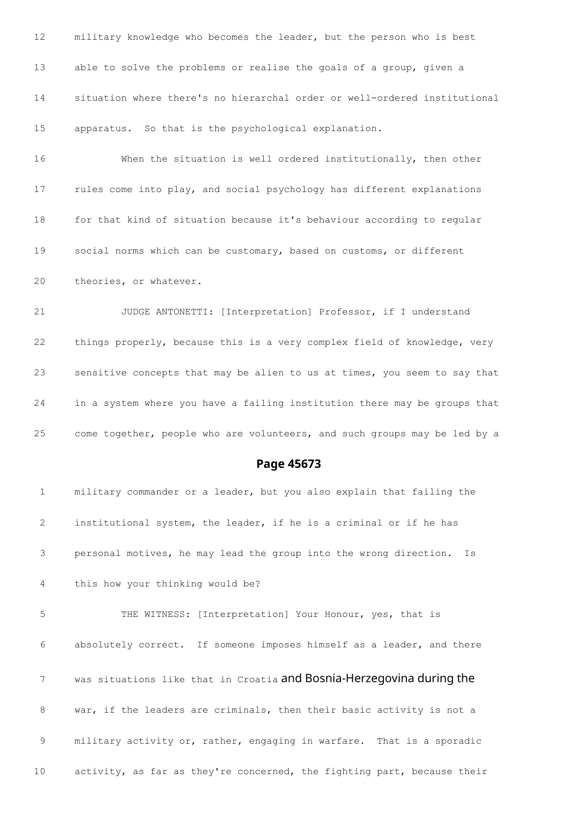military knowledge who becomes the leader, but the person who is best able to solve the problems or realise the goals of a group, given a situation where there's no hierarchal order or well-ordered institutional apparatus. So that is the psychological explanation.

 When the situation is well ordered institutionally, then other rules come into play, and social psychology has different explanations for that kind of situation because it's behaviour according to regular social norms which can be customary, based on customs, or different theories, or whatever.

 JUDGE ANTONETTI: [Interpretation] Professor, if I understand things properly, because this is a very complex field of knowledge, very sensitive concepts that may be alien to us at times, you seem to say that in a system where you have a failing institution there may be groups that come together, people who are volunteers, and such groups may be led by a

### **Page 45673**

 military commander or a leader, but you also explain that failing the institutional system, the leader, if he is a criminal or if he has personal motives, he may lead the group into the wrong direction. Is this how your thinking would be? THE WITNESS: [Interpretation] Your Honour, yes, that is absolutely correct. If someone imposes himself as a leader, and there was situations like that in Croatia and Bosnia-Herzegovina during the war, if the leaders are criminals, then their basic activity is not a military activity or, rather, engaging in warfare. That is a sporadic activity, as far as they're concerned, the fighting part, because their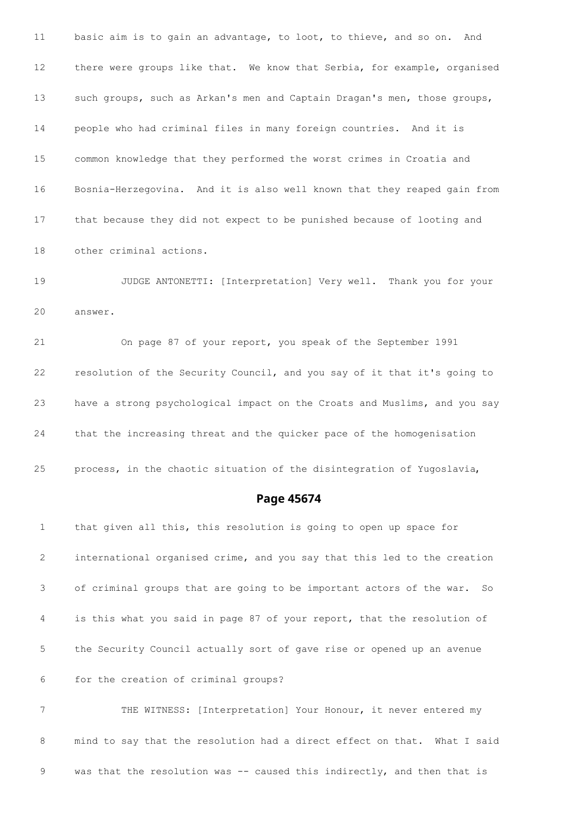basic aim is to gain an advantage, to loot, to thieve, and so on. And there were groups like that. We know that Serbia, for example, organised 13 such groups, such as Arkan's men and Captain Dragan's men, those groups, people who had criminal files in many foreign countries. And it is common knowledge that they performed the worst crimes in Croatia and Bosnia-Herzegovina. And it is also well known that they reaped gain from that because they did not expect to be punished because of looting and other criminal actions.

 JUDGE ANTONETTI: [Interpretation] Very well. Thank you for your answer.

 On page 87 of your report, you speak of the September 1991 resolution of the Security Council, and you say of it that it's going to have a strong psychological impact on the Croats and Muslims, and you say that the increasing threat and the quicker pace of the homogenisation

process, in the chaotic situation of the disintegration of Yugoslavia,

### **Page 45674**

 that given all this, this resolution is going to open up space for international organised crime, and you say that this led to the creation of criminal groups that are going to be important actors of the war. So is this what you said in page 87 of your report, that the resolution of the Security Council actually sort of gave rise or opened up an avenue for the creation of criminal groups?

 THE WITNESS: [Interpretation] Your Honour, it never entered my mind to say that the resolution had a direct effect on that. What I said 9 was that the resolution was -- caused this indirectly, and then that is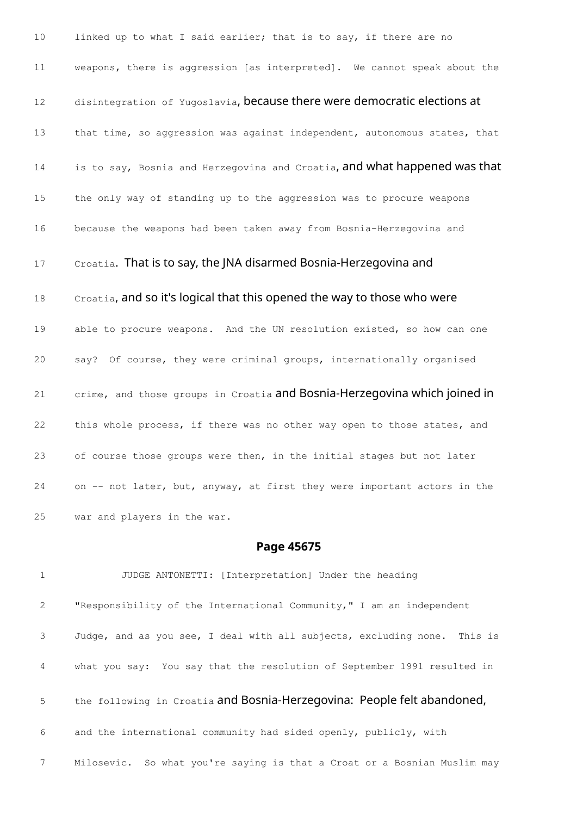10 linked up to what I said earlier; that is to say, if there are no 11 weapons, there is aggression [as interpreted]. We cannot speak about the 12 disintegration of Yugoslavia, because there were democratic elections at 13 that time, so aggression was against independent, autonomous states, that 14 is to say, Bosnia and Herzegovina and Croatia, and what happened was that 15 the only way of standing up to the aggression was to procure weapons 16 because the weapons had been taken away from Bosnia-Herzegovina and 17 Croatia. That is to say, the JNA disarmed Bosnia-Herzegovina and 18 Croatia, and so it's logical that this opened the way to those who were 19 able to procure weapons. And the UN resolution existed, so how can one 20 say? Of course, they were criminal groups, internationally organised 21 crime, and those groups in Croatia and Bosnia-Herzegovina which joined in 22 this whole process, if there was no other way open to those states, and 23 of course those groups were then, in the initial stages but not later 24 on -- not later, but, anyway, at first they were important actors in the 25 war and players in the war.

## **Page 45675**

 JUDGE ANTONETTI: [Interpretation] Under the heading "Responsibility of the International Community," I am an independent Judge, and as you see, I deal with all subjects, excluding none. This is what you say: You say that the resolution of September 1991 resulted in 5 the following in Croatia and Bosnia-Herzegovina: People felt abandoned, and the international community had sided openly, publicly, with Milosevic. So what you're saying is that a Croat or a Bosnian Muslim may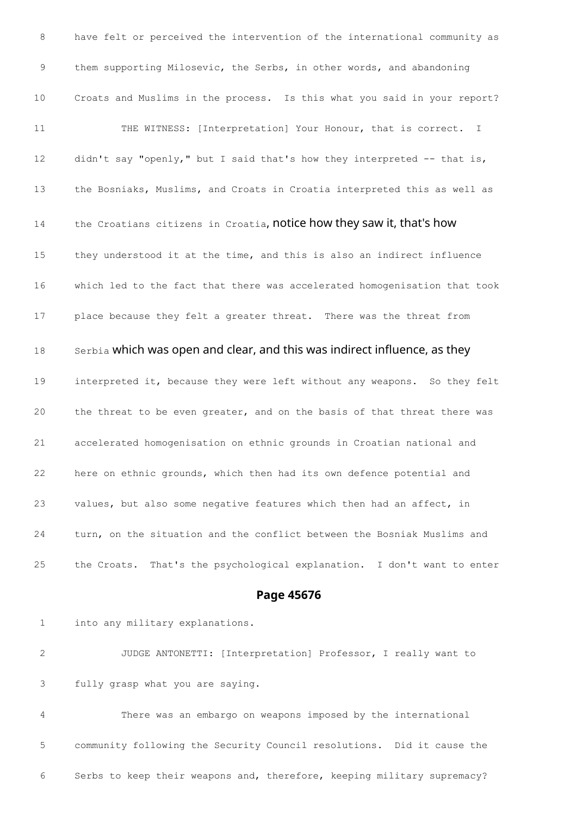have felt or perceived the intervention of the international community as them supporting Milosevic, the Serbs, in other words, and abandoning Croats and Muslims in the process. Is this what you said in your report? 11 THE WITNESS: [Interpretation] Your Honour, that is correct. I 12 didn't say "openly," but I said that's how they interpreted -- that is, the Bosniaks, Muslims, and Croats in Croatia interpreted this as well as 14 the Croatians citizens in Croatia, notice how they saw it, that's how they understood it at the time, and this is also an indirect influence which led to the fact that there was accelerated homogenisation that took place because they felt a greater threat. There was the threat from 18 Serbia which was open and clear, and this was indirect influence, as they interpreted it, because they were left without any weapons. So they felt the threat to be even greater, and on the basis of that threat there was accelerated homogenisation on ethnic grounds in Croatian national and here on ethnic grounds, which then had its own defence potential and values, but also some negative features which then had an affect, in turn, on the situation and the conflict between the Bosniak Muslims and the Croats. That's the psychological explanation. I don't want to enter

### **Page 45676**

into any military explanations.

 JUDGE ANTONETTI: [Interpretation] Professor, I really want to fully grasp what you are saying.

 There was an embargo on weapons imposed by the international community following the Security Council resolutions. Did it cause the Serbs to keep their weapons and, therefore, keeping military supremacy?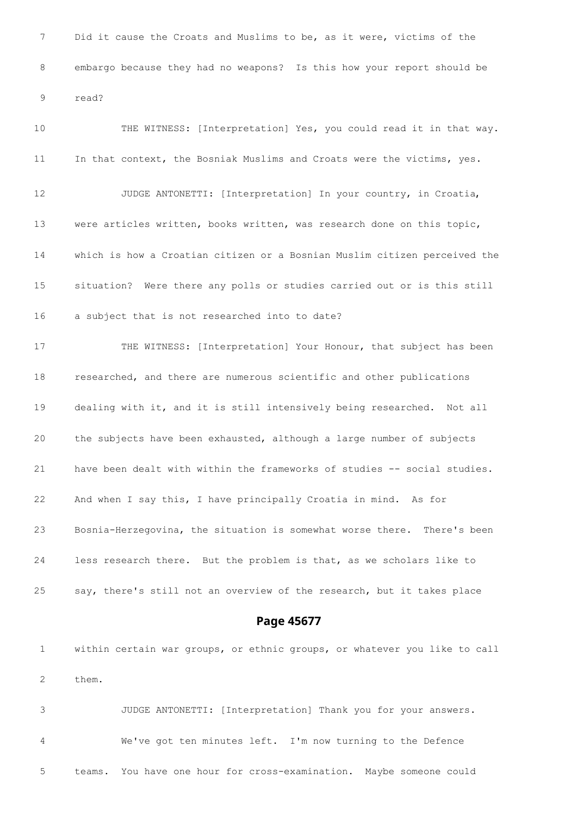Did it cause the Croats and Muslims to be, as it were, victims of the embargo because they had no weapons? Is this how your report should be read?

 THE WITNESS: [Interpretation] Yes, you could read it in that way. 11 In that context, the Bosniak Muslims and Croats were the victims, yes. JUDGE ANTONETTI: [Interpretation] In your country, in Croatia, were articles written, books written, was research done on this topic, which is how a Croatian citizen or a Bosnian Muslim citizen perceived the situation? Were there any polls or studies carried out or is this still a subject that is not researched into to date? THE WITNESS: [Interpretation] Your Honour, that subject has been researched, and there are numerous scientific and other publications dealing with it, and it is still intensively being researched. Not all the subjects have been exhausted, although a large number of subjects have been dealt with within the frameworks of studies -- social studies. And when I say this, I have principally Croatia in mind. As for Bosnia-Herzegovina, the situation is somewhat worse there. There's been less research there. But the problem is that, as we scholars like to say, there's still not an overview of the research, but it takes place

**Page 45677**

 within certain war groups, or ethnic groups, or whatever you like to call them.

 JUDGE ANTONETTI: [Interpretation] Thank you for your answers. We've got ten minutes left. I'm now turning to the Defence teams. You have one hour for cross-examination. Maybe someone could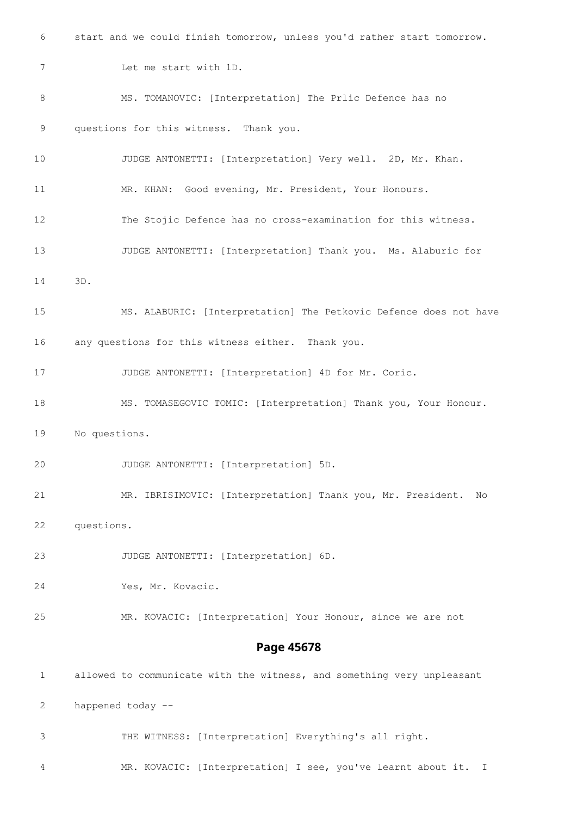start and we could finish tomorrow, unless you'd rather start tomorrow. Let me start with 1D. MS. TOMANOVIC: [Interpretation] The Prlic Defence has no questions for this witness. Thank you. JUDGE ANTONETTI: [Interpretation] Very well. 2D, Mr. Khan. MR. KHAN: Good evening, Mr. President, Your Honours. The Stojic Defence has no cross-examination for this witness. JUDGE ANTONETTI: [Interpretation] Thank you. Ms. Alaburic for 3D. MS. ALABURIC: [Interpretation] The Petkovic Defence does not have any questions for this witness either. Thank you. JUDGE ANTONETTI: [Interpretation] 4D for Mr. Coric. MS. TOMASEGOVIC TOMIC: [Interpretation] Thank you, Your Honour. No questions. JUDGE ANTONETTI: [Interpretation] 5D. MR. IBRISIMOVIC: [Interpretation] Thank you, Mr. President. No questions. JUDGE ANTONETTI: [Interpretation] 6D. Yes, Mr. Kovacic. MR. KOVACIC: [Interpretation] Your Honour, since we are not **Page 45678** allowed to communicate with the witness, and something very unpleasant happened today -- THE WITNESS: [Interpretation] Everything's all right. MR. KOVACIC: [Interpretation] I see, you've learnt about it. I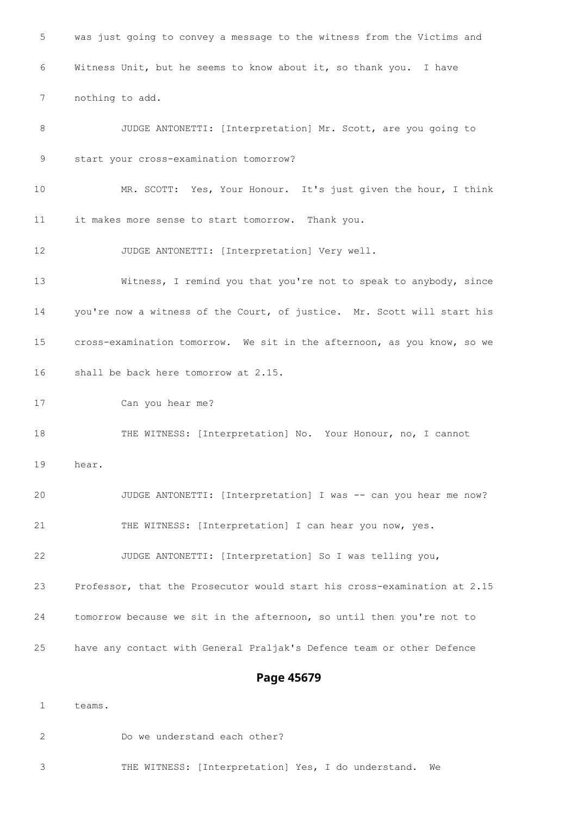was just going to convey a message to the witness from the Victims and Witness Unit, but he seems to know about it, so thank you. I have nothing to add. JUDGE ANTONETTI: [Interpretation] Mr. Scott, are you going to start your cross-examination tomorrow? MR. SCOTT: Yes, Your Honour. It's just given the hour, I think it makes more sense to start tomorrow. Thank you. JUDGE ANTONETTI: [Interpretation] Very well. Witness, I remind you that you're not to speak to anybody, since you're now a witness of the Court, of justice. Mr. Scott will start his cross-examination tomorrow. We sit in the afternoon, as you know, so we shall be back here tomorrow at 2.15. Can you hear me? 18 THE WITNESS: [Interpretation] No. Your Honour, no, I cannot hear. 20 JUDGE ANTONETTI: [Interpretation] I was -- can you hear me now? THE WITNESS: [Interpretation] I can hear you now, yes. JUDGE ANTONETTI: [Interpretation] So I was telling you, Professor, that the Prosecutor would start his cross-examination at 2.15 tomorrow because we sit in the afternoon, so until then you're not to have any contact with General Praljak's Defence team or other Defence **Page 45679**

teams.

Do we understand each other?

THE WITNESS: [Interpretation] Yes, I do understand. We